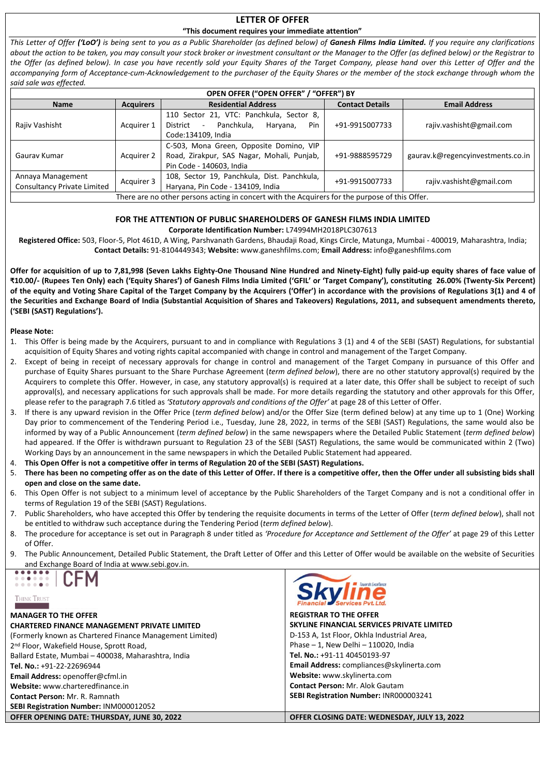# **LETTER OF OFFER**

#### **"This document requires your immediate attention"**

*This Letter of Offer ('LoO') is being sent to you as a Public Shareholder (as defined below) of Ganesh Films India Limited. If you require any clarifications about the action to be taken, you may consult your stock broker or investment consultant or the Manager to the Offer (as defined below) or the Registrar to the Offer (as defined below). In case you have recently sold your Equity Shares of the Target Company, please hand over this Letter of Offer and the accompanying form of Acceptance-cum-Acknowledgement to the purchaser of the Equity Shares or the member of the stock exchange through whom the said sale was effected.*

| OPEN OFFER ("OPEN OFFER" / "OFFER") BY                                                         |                  |                                                                                                                       |                      |                                   |  |
|------------------------------------------------------------------------------------------------|------------------|-----------------------------------------------------------------------------------------------------------------------|----------------------|-----------------------------------|--|
| <b>Name</b>                                                                                    | <b>Acquirers</b> | <b>Contact Details</b>                                                                                                | <b>Email Address</b> |                                   |  |
| Rajiv Vashisht                                                                                 | Acquirer 1       | 110 Sector 21, VTC: Panchkula, Sector 8,<br>Panchkula.<br>Pin<br>District<br>Haryana,<br>$\sim$<br>Code:134109, India | +91-9915007733       | rajiv.vashisht@gmail.com          |  |
| Gauray Kumar                                                                                   | Acquirer 2       | C-503, Mona Green, Opposite Domino, VIP<br>Road, Zirakpur, SAS Nagar, Mohali, Punjab,<br>Pin Code - 140603, India     | +91-9888595729       | gaurav.k@regencyinvestments.co.in |  |
| Annaya Management<br><b>Consultancy Private Limited</b>                                        | Acquirer 3       | 108, Sector 19, Panchkula, Dist. Panchkula,<br>Haryana, Pin Code - 134109, India                                      | +91-9915007733       | rajiv.vashisht@gmail.com          |  |
| There are no other persons acting in concert with the Acquirers for the purpose of this Offer. |                  |                                                                                                                       |                      |                                   |  |

#### **FOR THE ATTENTION OF PUBLIC SHAREHOLDERS OF GANESH FILMS INDIA LIMITED**

**Corporate Identification Number:** L74994MH2018PLC307613

**Registered Office:** 503, Floor-5, Plot 461D, A Wing, Parshvanath Gardens, Bhaudaji Road, Kings Circle, Matunga, Mumbai - 400019, Maharashtra, India; **Contact Details:** 91-8104449343; **Website:** [www.g](http://www./)aneshfilms.com; **Email Address:** [info@ganeshfilms.com](mailto:info@ganeshfilms.com)

**Offer for acquisition of up to 7,81,998 (Seven Lakhs Eighty-One Thousand Nine Hundred and Ninety-Eight) fully paid-up equity shares of face value of ₹10.00/- (Rupees Ten Only) each ('Equity Shares') of Ganesh Films India Limited ('GFIL' or 'Target Company'), constituting 26.00% (Twenty-Six Percent) of the equity and Voting Share Capital of the Target Company by the Acquirers ('Offer') in accordance with the provisions of Regulations 3(1) and 4 of the Securities and Exchange Board of India (Substantial Acquisition of Shares and Takeovers) Regulations, 2011, and subsequent amendments thereto, ('SEBI (SAST) Regulations').**

#### **Please Note:**

- 1. This Offer is being made by the Acquirers, pursuant to and in compliance with Regulations 3 (1) and 4 of the SEBI (SAST) Regulations, for substantial acquisition of Equity Shares and voting rights capital accompanied with change in control and management of the Target Company.
- 2. Except of being in receipt of necessary approvals for change in control and management of the Target Company in pursuance of this Offer and purchase of Equity Shares pursuant to the Share Purchase Agreement (*term defined below*), there are no other statutory approval(s) required by the Acquirers to complete this Offer. However, in case, any statutory approval(s) is required at a later date, this Offer shall be subject to receipt of such approval(s), and necessary applications for such approvals shall be made. For more details regarding the statutory and other approvals for this Offer, please refer to the paragraph 7.6 titled as *'Statutory approvals and conditions of the Offer'* at page 28 of this Letter of Offer.
- 3. If there is any upward revision in the Offer Price (*term defined below*) and/or the Offer Size (term defined below) at any time up to 1 (One) Working Day prior to commencement of the Tendering Period i.e., Tuesday, June 28, 2022, in terms of the SEBI (SAST) Regulations, the same would also be informed by way of a Public Announcement (*term defined below*) in the same newspapers where the Detailed Public Statement (*term defined below*) had appeared. If the Offer is withdrawn pursuant to Regulation 23 of the SEBI (SAST) Regulations, the same would be communicated within 2 (Two) Working Days by an announcement in the same newspapers in which the Detailed Public Statement had appeared.
- 4. **This Open Offer is not a competitive offer in terms of Regulation 20 of the SEBI (SAST) Regulations.**
- 5. **There has been no competing offer as on the date of this Letter of Offer. If there is a competitive offer, then the Offer under all subsisting bids shall open and close on the same date.**
- 6. This Open Offer is not subject to a minimum level of acceptance by the Public Shareholders of the Target Company and is not a conditional offer in terms of Regulation 19 of the SEBI (SAST) Regulations.
- 7. Public Shareholders, who have accepted this Offer by tendering the requisite documents in terms of the Letter of Offer (*term defined below*), shall not be entitled to withdraw such acceptance during the Tendering Period (*term defined below*).
- 8. The procedure for acceptance is set out in Paragraph 8 under titled as *'Procedure for Acceptance and Settlement of the Offer'* at page 29 of this Letter of Offer.
- 9. The Public Announcement, Detailed Public Statement, the Draft Letter of Offer and this Letter of Offer would be available on the website of Securities and Exchange Board of India a[t www.sebi.gov.in.](http://www.sebi.gov.in/)





**MANAGER TO THE OFFER CHARTERED FINANCE MANAGEMENT PRIVATE LIMITED**  (Formerly known as Chartered Finance Management Limited) 2 nd Floor, Wakefield House, Sprott Road, Ballard Estate, Mumbai – 400038, Maharashtra, India **Tel. No.:** +91-22-22696944 **Email Address:** [openoffer@cfml.in](mailto:openoffer@cfml.in) **Website:** [www.charteredfinance.in](http://www.charteredfinance.in/) **Contact Person:** Mr. R. Ramnath **SEBI Registration Number:** INM000012052 **OFFER OPENING DATE: THURSDAY, JUNE 30, 2022 OFFER CLOSING DATE: WEDNESDAY, JULY 13, 2022**



**REGISTRAR TO THE OFFER SKYLINE FINANCIAL SERVICES PRIVATE LIMITED** D-153 A, 1st Floor, Okhla Industrial Area, Phase – 1, New Delhi – 110020, India **Tel. No.:** +91-11 40450193-97 **Email Address:** [compliances@skylinerta.com](mailto:compliances@skylinerta.com)  **Website:** [www.skylinerta.com](http://www.purvashare.com/) **Contact Person:** Mr. Alok Gautam **SEBI Registration Number:** INR000003241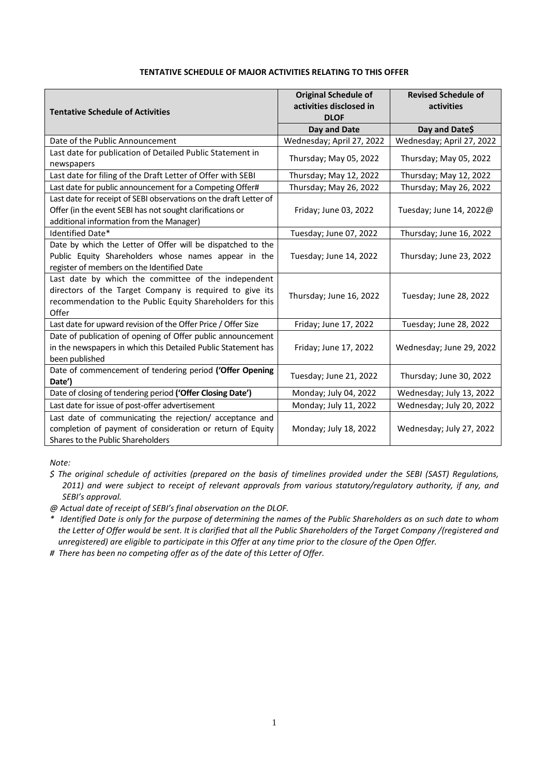| <b>Tentative Schedule of Activities</b>                                                                                                                                              | <b>Original Schedule of</b><br>activities disclosed in<br><b>DLOF</b> | <b>Revised Schedule of</b><br>activities |  |
|--------------------------------------------------------------------------------------------------------------------------------------------------------------------------------------|-----------------------------------------------------------------------|------------------------------------------|--|
|                                                                                                                                                                                      | Day and Date                                                          | Day and Date\$                           |  |
| Date of the Public Announcement                                                                                                                                                      | Wednesday; April 27, 2022                                             | Wednesday; April 27, 2022                |  |
| Last date for publication of Detailed Public Statement in<br>newspapers                                                                                                              | Thursday; May 05, 2022                                                | Thursday; May 05, 2022                   |  |
| Last date for filing of the Draft Letter of Offer with SEBI                                                                                                                          | Thursday; May 12, 2022                                                | Thursday; May 12, 2022                   |  |
| Last date for public announcement for a Competing Offer#                                                                                                                             | Thursday; May 26, 2022                                                | Thursday; May 26, 2022                   |  |
| Last date for receipt of SEBI observations on the draft Letter of<br>Offer (in the event SEBI has not sought clarifications or<br>additional information from the Manager)           | Friday; June 03, 2022                                                 | Tuesday; June 14, 2022@                  |  |
| Identified Date*                                                                                                                                                                     | Tuesday; June 07, 2022                                                | Thursday; June 16, 2022                  |  |
| Date by which the Letter of Offer will be dispatched to the<br>Public Equity Shareholders whose names appear in the<br>register of members on the Identified Date                    | Tuesday; June 14, 2022                                                | Thursday; June 23, 2022                  |  |
| Last date by which the committee of the independent<br>directors of the Target Company is required to give its<br>recommendation to the Public Equity Shareholders for this<br>Offer | Thursday; June 16, 2022                                               | Tuesday; June 28, 2022                   |  |
| Last date for upward revision of the Offer Price / Offer Size                                                                                                                        | Friday; June 17, 2022                                                 | Tuesday; June 28, 2022                   |  |
| Date of publication of opening of Offer public announcement<br>in the newspapers in which this Detailed Public Statement has<br>been published                                       | Friday; June 17, 2022                                                 | Wednesday; June 29, 2022                 |  |
| Date of commencement of tendering period ('Offer Opening<br>Date')                                                                                                                   | Tuesday; June 21, 2022                                                | Thursday; June 30, 2022                  |  |
| Date of closing of tendering period ('Offer Closing Date')                                                                                                                           | Monday; July 04, 2022                                                 | Wednesday; July 13, 2022                 |  |
| Last date for issue of post-offer advertisement                                                                                                                                      | Monday; July 11, 2022                                                 | Wednesday; July 20, 2022                 |  |
| Last date of communicating the rejection/ acceptance and<br>completion of payment of consideration or return of Equity<br>Shares to the Public Shareholders                          | Monday; July 18, 2022                                                 | Wednesday; July 27, 2022                 |  |

*Note:* 

*@ Actual date of receipt of SEBI's final observation on the DLOF.*

*\* Identified Date is only for the purpose of determining the names of the Public Shareholders as on such date to whom the Letter of Offer would be sent. It is clarified that all the Public Shareholders of the Target Company /(registered and unregistered) are eligible to participate in this Offer at any time prior to the closure of the Open Offer.*

*# There has been no competing offer as of the date of this Letter of Offer.*

*<sup>\$</sup> The original schedule of activities (prepared on the basis of timelines provided under the SEBI (SAST) Regulations, 2011) and were subject to receipt of relevant approvals from various statutory/regulatory authority, if any, and SEBI's approval.*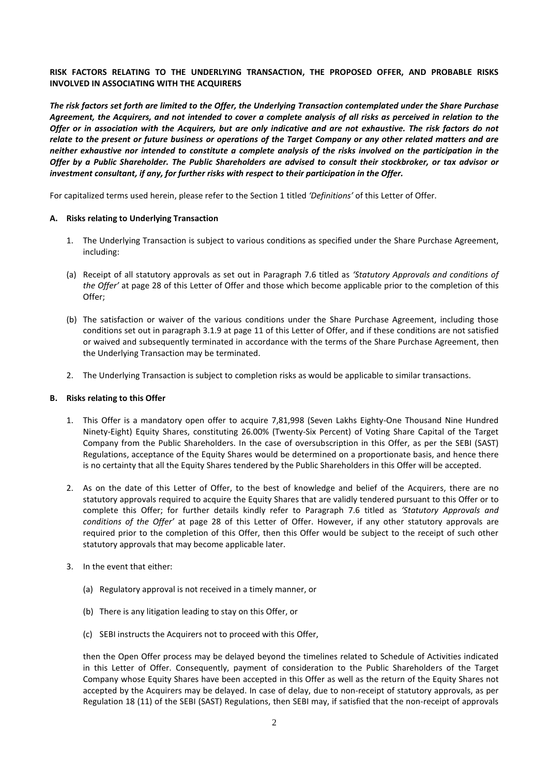# **RISK FACTORS RELATING TO THE UNDERLYING TRANSACTION, THE PROPOSED OFFER, AND PROBABLE RISKS INVOLVED IN ASSOCIATING WITH THE ACQUIRERS**

*The risk factors set forth are limited to the Offer, the Underlying Transaction contemplated under the Share Purchase Agreement, the Acquirers, and not intended to cover a complete analysis of all risks as perceived in relation to the Offer or in association with the Acquirers, but are only indicative and are not exhaustive. The risk factors do not relate to the present or future business or operations of the Target Company or any other related matters and are neither exhaustive nor intended to constitute a complete analysis of the risks involved on the participation in the Offer by a Public Shareholder. The Public Shareholders are advised to consult their stockbroker, or tax advisor or investment consultant, if any, for further risks with respect to their participation in the Offer.*

For capitalized terms used herein, please refer to the Section 1 titled *'Definitions'* of this Letter of Offer.

### **A. Risks relating to Underlying Transaction**

- 1. The Underlying Transaction is subject to various conditions as specified under the Share Purchase Agreement, including:
- (a) Receipt of all statutory approvals as set out in Paragraph 7.6 titled as *'Statutory Approvals and conditions of the Offer'* at page 28 of this Letter of Offer and those which become applicable prior to the completion of this Offer;
- (b) The satisfaction or waiver of the various conditions under the Share Purchase Agreement, including those conditions set out in paragraph 3.1.9 at page 11 of this Letter of Offer, and if these conditions are not satisfied or waived and subsequently terminated in accordance with the terms of the Share Purchase Agreement, then the Underlying Transaction may be terminated.
- 2. The Underlying Transaction is subject to completion risks as would be applicable to similar transactions.

#### **B. Risks relating to this Offer**

- 1. This Offer is a mandatory open offer to acquire 7,81,998 (Seven Lakhs Eighty-One Thousand Nine Hundred Ninety-Eight) Equity Shares, constituting 26.00% (Twenty-Six Percent) of Voting Share Capital of the Target Company from the Public Shareholders. In the case of oversubscription in this Offer, as per the SEBI (SAST) Regulations, acceptance of the Equity Shares would be determined on a proportionate basis, and hence there is no certainty that all the Equity Shares tendered by the Public Shareholders in this Offer will be accepted.
- 2. As on the date of this Letter of Offer, to the best of knowledge and belief of the Acquirers, there are no statutory approvals required to acquire the Equity Shares that are validly tendered pursuant to this Offer or to complete this Offer; for further details kindly refer to Paragraph 7.6 titled as *'Statutory Approvals and conditions of the Offer'* at page 28 of this Letter of Offer. However, if any other statutory approvals are required prior to the completion of this Offer, then this Offer would be subject to the receipt of such other statutory approvals that may become applicable later.
- 3. In the event that either:
	- (a) Regulatory approval is not received in a timely manner, or
	- (b) There is any litigation leading to stay on this Offer, or
	- (c) SEBI instructs the Acquirers not to proceed with this Offer,

then the Open Offer process may be delayed beyond the timelines related to Schedule of Activities indicated in this Letter of Offer. Consequently, payment of consideration to the Public Shareholders of the Target Company whose Equity Shares have been accepted in this Offer as well as the return of the Equity Shares not accepted by the Acquirers may be delayed. In case of delay, due to non-receipt of statutory approvals, as per Regulation 18 (11) of the SEBI (SAST) Regulations, then SEBI may, if satisfied that the non-receipt of approvals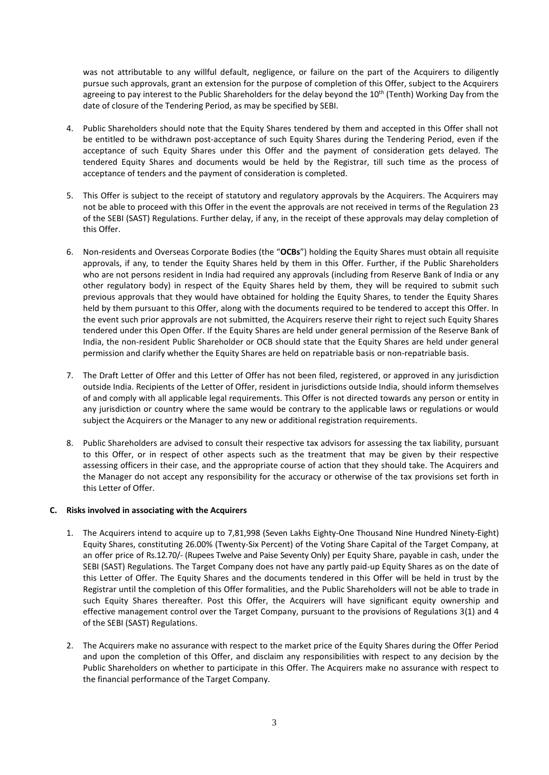was not attributable to any willful default, negligence, or failure on the part of the Acquirers to diligently pursue such approvals, grant an extension for the purpose of completion of this Offer, subject to the Acquirers agreeing to pay interest to the Public Shareholders for the delay beyond the 10<sup>th</sup> (Tenth) Working Day from the date of closure of the Tendering Period, as may be specified by SEBI.

- 4. Public Shareholders should note that the Equity Shares tendered by them and accepted in this Offer shall not be entitled to be withdrawn post-acceptance of such Equity Shares during the Tendering Period, even if the acceptance of such Equity Shares under this Offer and the payment of consideration gets delayed. The tendered Equity Shares and documents would be held by the Registrar, till such time as the process of acceptance of tenders and the payment of consideration is completed.
- 5. This Offer is subject to the receipt of statutory and regulatory approvals by the Acquirers. The Acquirers may not be able to proceed with this Offer in the event the approvals are not received in terms of the Regulation 23 of the SEBI (SAST) Regulations. Further delay, if any, in the receipt of these approvals may delay completion of this Offer.
- 6. Non-residents and Overseas Corporate Bodies (the "**OCBs**") holding the Equity Shares must obtain all requisite approvals, if any, to tender the Equity Shares held by them in this Offer. Further, if the Public Shareholders who are not persons resident in India had required any approvals (including from Reserve Bank of India or any other regulatory body) in respect of the Equity Shares held by them, they will be required to submit such previous approvals that they would have obtained for holding the Equity Shares, to tender the Equity Shares held by them pursuant to this Offer, along with the documents required to be tendered to accept this Offer. In the event such prior approvals are not submitted, the Acquirers reserve their right to reject such Equity Shares tendered under this Open Offer. If the Equity Shares are held under general permission of the Reserve Bank of India, the non-resident Public Shareholder or OCB should state that the Equity Shares are held under general permission and clarify whether the Equity Shares are held on repatriable basis or non-repatriable basis.
- 7. The Draft Letter of Offer and this Letter of Offer has not been filed, registered, or approved in any jurisdiction outside India. Recipients of the Letter of Offer, resident in jurisdictions outside India, should inform themselves of and comply with all applicable legal requirements. This Offer is not directed towards any person or entity in any jurisdiction or country where the same would be contrary to the applicable laws or regulations or would subject the Acquirers or the Manager to any new or additional registration requirements.
- 8. Public Shareholders are advised to consult their respective tax advisors for assessing the tax liability, pursuant to this Offer, or in respect of other aspects such as the treatment that may be given by their respective assessing officers in their case, and the appropriate course of action that they should take. The Acquirers and the Manager do not accept any responsibility for the accuracy or otherwise of the tax provisions set forth in this Letter of Offer.

### **C. Risks involved in associating with the Acquirers**

- 1. The Acquirers intend to acquire up to 7,81,998 (Seven Lakhs Eighty-One Thousand Nine Hundred Ninety-Eight) Equity Shares, constituting 26.00% (Twenty-Six Percent) of the Voting Share Capital of the Target Company, at an offer price of Rs.12.70/- (Rupees Twelve and Paise Seventy Only) per Equity Share, payable in cash, under the SEBI (SAST) Regulations. The Target Company does not have any partly paid-up Equity Shares as on the date of this Letter of Offer. The Equity Shares and the documents tendered in this Offer will be held in trust by the Registrar until the completion of this Offer formalities, and the Public Shareholders will not be able to trade in such Equity Shares thereafter. Post this Offer, the Acquirers will have significant equity ownership and effective management control over the Target Company, pursuant to the provisions of Regulations 3(1) and 4 of the SEBI (SAST) Regulations.
- 2. The Acquirers make no assurance with respect to the market price of the Equity Shares during the Offer Period and upon the completion of this Offer, and disclaim any responsibilities with respect to any decision by the Public Shareholders on whether to participate in this Offer. The Acquirers make no assurance with respect to the financial performance of the Target Company.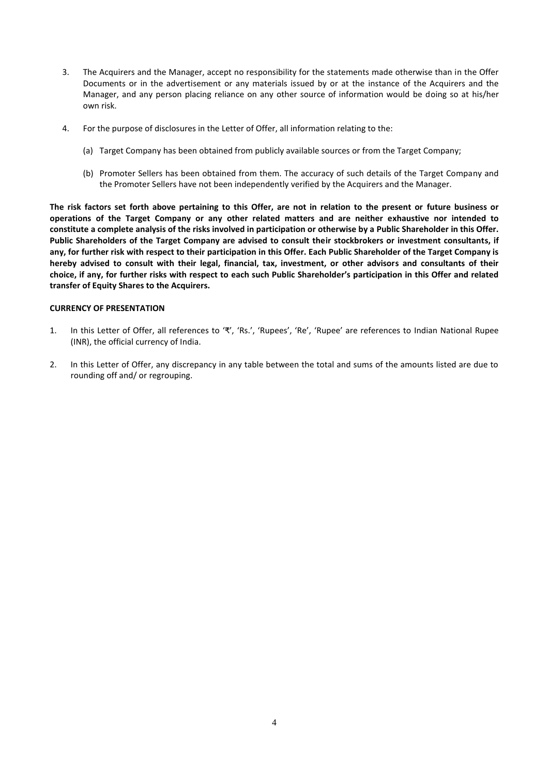- 3. The Acquirers and the Manager, accept no responsibility for the statements made otherwise than in the Offer Documents or in the advertisement or any materials issued by or at the instance of the Acquirers and the Manager, and any person placing reliance on any other source of information would be doing so at his/her own risk.
- 4. For the purpose of disclosures in the Letter of Offer, all information relating to the:
	- (a) Target Company has been obtained from publicly available sources or from the Target Company;
	- (b) Promoter Sellers has been obtained from them. The accuracy of such details of the Target Company and the Promoter Sellers have not been independently verified by the Acquirers and the Manager.

**The risk factors set forth above pertaining to this Offer, are not in relation to the present or future business or operations of the Target Company or any other related matters and are neither exhaustive nor intended to constitute a complete analysis of the risks involved in participation or otherwise by a Public Shareholder in this Offer. Public Shareholders of the Target Company are advised to consult their stockbrokers or investment consultants, if any, for further risk with respect to their participation in this Offer. Each Public Shareholder of the Target Company is hereby advised to consult with their legal, financial, tax, investment, or other advisors and consultants of their choice, if any, for further risks with respect to each such Public Shareholder's participation in this Offer and related transfer of Equity Shares to the Acquirers.**

#### **CURRENCY OF PRESENTATION**

- 1. In this Letter of Offer, all references to '₹', 'Rs.', 'Rupees', 'Re', 'Rupee' are references to Indian National Rupee (INR), the official currency of India.
- 2. In this Letter of Offer, any discrepancy in any table between the total and sums of the amounts listed are due to rounding off and/ or regrouping.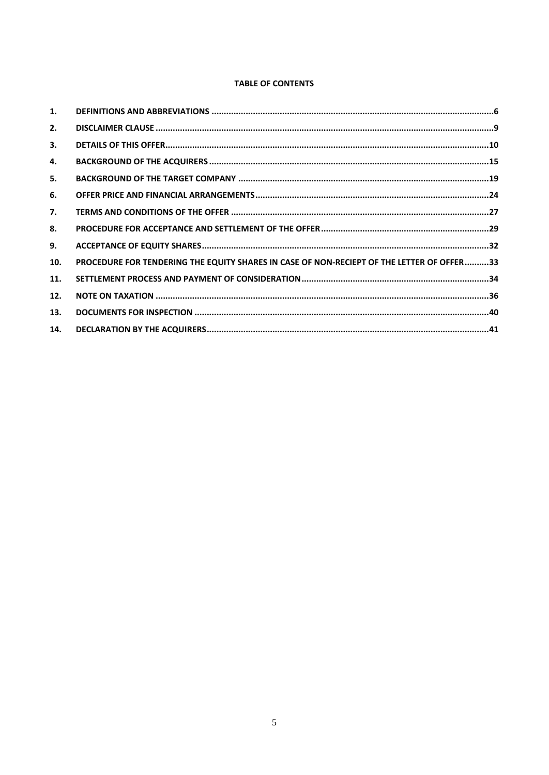# **TABLE OF CONTENTS**

| 1.  |                                                                                           |  |
|-----|-------------------------------------------------------------------------------------------|--|
| 2.  |                                                                                           |  |
| 3.  |                                                                                           |  |
| 4.  |                                                                                           |  |
| 5.  |                                                                                           |  |
| 6.  |                                                                                           |  |
| 7.  |                                                                                           |  |
| 8.  |                                                                                           |  |
| 9.  |                                                                                           |  |
| 10. | PROCEDURE FOR TENDERING THE EQUITY SHARES IN CASE OF NON-RECIEPT OF THE LETTER OF OFFER33 |  |
| 11. |                                                                                           |  |
| 12. |                                                                                           |  |
| 13. |                                                                                           |  |
| 14. |                                                                                           |  |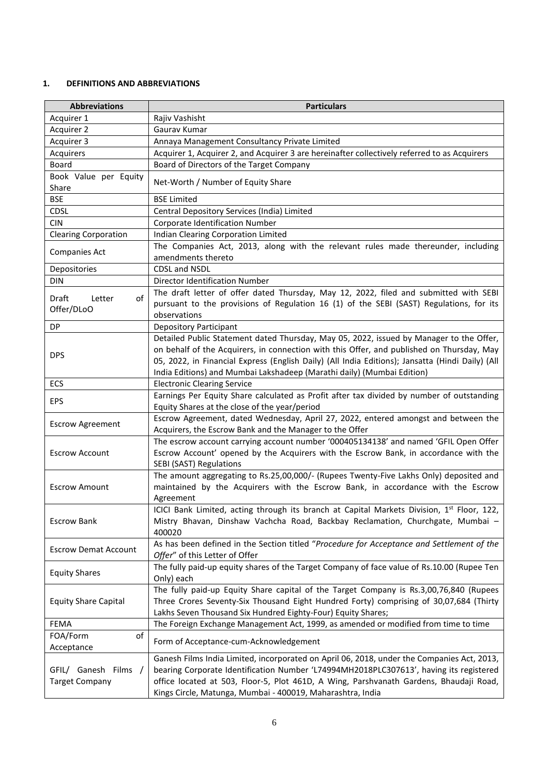# <span id="page-6-0"></span>**1. DEFINITIONS AND ABBREVIATIONS**

| <b>Abbreviations</b>                          | <b>Particulars</b>                                                                                                                                                                                                                                                                                                                                                 |
|-----------------------------------------------|--------------------------------------------------------------------------------------------------------------------------------------------------------------------------------------------------------------------------------------------------------------------------------------------------------------------------------------------------------------------|
| Acquirer 1                                    | Rajiv Vashisht                                                                                                                                                                                                                                                                                                                                                     |
| Acquirer 2                                    | Gaurav Kumar                                                                                                                                                                                                                                                                                                                                                       |
| Acquirer 3                                    | Annaya Management Consultancy Private Limited                                                                                                                                                                                                                                                                                                                      |
| Acquirers                                     | Acquirer 1, Acquirer 2, and Acquirer 3 are hereinafter collectively referred to as Acquirers                                                                                                                                                                                                                                                                       |
| Board                                         | Board of Directors of the Target Company                                                                                                                                                                                                                                                                                                                           |
| Book Value per Equity<br>Share                | Net-Worth / Number of Equity Share                                                                                                                                                                                                                                                                                                                                 |
| <b>BSE</b>                                    | <b>BSE Limited</b>                                                                                                                                                                                                                                                                                                                                                 |
| <b>CDSL</b>                                   | Central Depository Services (India) Limited                                                                                                                                                                                                                                                                                                                        |
| <b>CIN</b>                                    | Corporate Identification Number                                                                                                                                                                                                                                                                                                                                    |
| <b>Clearing Corporation</b>                   | Indian Clearing Corporation Limited                                                                                                                                                                                                                                                                                                                                |
|                                               | The Companies Act, 2013, along with the relevant rules made thereunder, including                                                                                                                                                                                                                                                                                  |
| <b>Companies Act</b>                          | amendments thereto                                                                                                                                                                                                                                                                                                                                                 |
| Depositories                                  | CDSL and NSDL                                                                                                                                                                                                                                                                                                                                                      |
| <b>DIN</b>                                    | Director Identification Number                                                                                                                                                                                                                                                                                                                                     |
|                                               | The draft letter of offer dated Thursday, May 12, 2022, filed and submitted with SEBI                                                                                                                                                                                                                                                                              |
| Draft<br>Letter<br>of<br>Offer/DLoO           | pursuant to the provisions of Regulation 16 (1) of the SEBI (SAST) Regulations, for its<br>observations                                                                                                                                                                                                                                                            |
| DP.                                           | <b>Depository Participant</b>                                                                                                                                                                                                                                                                                                                                      |
| <b>DPS</b>                                    | Detailed Public Statement dated Thursday, May 05, 2022, issued by Manager to the Offer,<br>on behalf of the Acquirers, in connection with this Offer, and published on Thursday, May<br>05, 2022, in Financial Express (English Daily) (All India Editions); Jansatta (Hindi Daily) (All<br>India Editions) and Mumbai Lakshadeep (Marathi daily) (Mumbai Edition) |
| ECS                                           | <b>Electronic Clearing Service</b>                                                                                                                                                                                                                                                                                                                                 |
|                                               | Earnings Per Equity Share calculated as Profit after tax divided by number of outstanding                                                                                                                                                                                                                                                                          |
| <b>EPS</b>                                    | Equity Shares at the close of the year/period                                                                                                                                                                                                                                                                                                                      |
|                                               | Escrow Agreement, dated Wednesday, April 27, 2022, entered amongst and between the                                                                                                                                                                                                                                                                                 |
| <b>Escrow Agreement</b>                       | Acquirers, the Escrow Bank and the Manager to the Offer                                                                                                                                                                                                                                                                                                            |
| <b>Escrow Account</b>                         | The escrow account carrying account number '000405134138' and named 'GFIL Open Offer<br>Escrow Account' opened by the Acquirers with the Escrow Bank, in accordance with the<br>SEBI (SAST) Regulations                                                                                                                                                            |
| <b>Escrow Amount</b>                          | The amount aggregating to Rs.25,00,000/- (Rupees Twenty-Five Lakhs Only) deposited and<br>maintained by the Acquirers with the Escrow Bank, in accordance with the Escrow<br>Agreement                                                                                                                                                                             |
| <b>Escrow Bank</b>                            | ICICI Bank Limited, acting through its branch at Capital Markets Division, 1 <sup>st</sup> Floor, 122,<br>Mistry Bhavan, Dinshaw Vachcha Road, Backbay Reclamation, Churchgate, Mumbai -<br>400020                                                                                                                                                                 |
| <b>Escrow Demat Account</b>                   | As has been defined in the Section titled "Procedure for Acceptance and Settlement of the<br>Offer" of this Letter of Offer                                                                                                                                                                                                                                        |
| <b>Equity Shares</b>                          | The fully paid-up equity shares of the Target Company of face value of Rs.10.00 (Rupee Ten<br>Only) each                                                                                                                                                                                                                                                           |
| <b>Equity Share Capital</b>                   | The fully paid-up Equity Share capital of the Target Company is Rs.3,00,76,840 (Rupees<br>Three Crores Seventy-Six Thousand Eight Hundred Forty) comprising of 30,07,684 (Thirty<br>Lakhs Seven Thousand Six Hundred Eighty-Four) Equity Shares;                                                                                                                   |
| FEMA                                          | The Foreign Exchange Management Act, 1999, as amended or modified from time to time                                                                                                                                                                                                                                                                                |
| FOA/Form<br>of<br>Acceptance                  | Form of Acceptance-cum-Acknowledgement                                                                                                                                                                                                                                                                                                                             |
| GFIL/ Ganesh Films /<br><b>Target Company</b> | Ganesh Films India Limited, incorporated on April 06, 2018, under the Companies Act, 2013,<br>bearing Corporate Identification Number 'L74994MH2018PLC307613', having its registered<br>office located at 503, Floor-5, Plot 461D, A Wing, Parshvanath Gardens, Bhaudaji Road,<br>Kings Circle, Matunga, Mumbai - 400019, Maharashtra, India                       |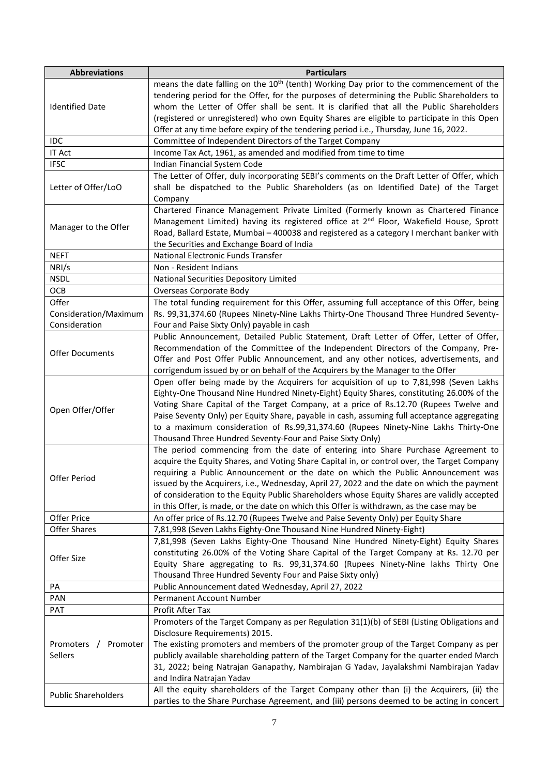| <b>Abbreviations</b>                            | <b>Particulars</b>                                                                                                                                                                                                                                                                                                                                                                                                                                                                                                                                           |
|-------------------------------------------------|--------------------------------------------------------------------------------------------------------------------------------------------------------------------------------------------------------------------------------------------------------------------------------------------------------------------------------------------------------------------------------------------------------------------------------------------------------------------------------------------------------------------------------------------------------------|
| <b>Identified Date</b>                          | means the date falling on the 10 <sup>th</sup> (tenth) Working Day prior to the commencement of the<br>tendering period for the Offer, for the purposes of determining the Public Shareholders to<br>whom the Letter of Offer shall be sent. It is clarified that all the Public Shareholders<br>(registered or unregistered) who own Equity Shares are eligible to participate in this Open                                                                                                                                                                 |
|                                                 | Offer at any time before expiry of the tendering period i.e., Thursday, June 16, 2022.                                                                                                                                                                                                                                                                                                                                                                                                                                                                       |
| IDC                                             | Committee of Independent Directors of the Target Company                                                                                                                                                                                                                                                                                                                                                                                                                                                                                                     |
| <b>IT Act</b>                                   | Income Tax Act, 1961, as amended and modified from time to time                                                                                                                                                                                                                                                                                                                                                                                                                                                                                              |
| <b>IFSC</b>                                     | Indian Financial System Code                                                                                                                                                                                                                                                                                                                                                                                                                                                                                                                                 |
| Letter of Offer/LoO                             | The Letter of Offer, duly incorporating SEBI's comments on the Draft Letter of Offer, which<br>shall be dispatched to the Public Shareholders (as on Identified Date) of the Target<br>Company                                                                                                                                                                                                                                                                                                                                                               |
| Manager to the Offer                            | Chartered Finance Management Private Limited (Formerly known as Chartered Finance<br>Management Limited) having its registered office at 2 <sup>nd</sup> Floor, Wakefield House, Sprott<br>Road, Ballard Estate, Mumbai - 400038 and registered as a category I merchant banker with<br>the Securities and Exchange Board of India                                                                                                                                                                                                                           |
| <b>NEFT</b>                                     | National Electronic Funds Transfer                                                                                                                                                                                                                                                                                                                                                                                                                                                                                                                           |
| NRI/s                                           | Non - Resident Indians                                                                                                                                                                                                                                                                                                                                                                                                                                                                                                                                       |
| <b>NSDL</b>                                     | National Securities Depository Limited                                                                                                                                                                                                                                                                                                                                                                                                                                                                                                                       |
| OCB                                             | Overseas Corporate Body                                                                                                                                                                                                                                                                                                                                                                                                                                                                                                                                      |
| Offer<br>Consideration/Maximum<br>Consideration | The total funding requirement for this Offer, assuming full acceptance of this Offer, being<br>Rs. 99,31,374.60 (Rupees Ninety-Nine Lakhs Thirty-One Thousand Three Hundred Seventy-<br>Four and Paise Sixty Only) payable in cash                                                                                                                                                                                                                                                                                                                           |
| <b>Offer Documents</b>                          | Public Announcement, Detailed Public Statement, Draft Letter of Offer, Letter of Offer,<br>Recommendation of the Committee of the Independent Directors of the Company, Pre-<br>Offer and Post Offer Public Announcement, and any other notices, advertisements, and<br>corrigendum issued by or on behalf of the Acquirers by the Manager to the Offer                                                                                                                                                                                                      |
| Open Offer/Offer                                | Open offer being made by the Acquirers for acquisition of up to 7,81,998 (Seven Lakhs<br>Eighty-One Thousand Nine Hundred Ninety-Eight) Equity Shares, constituting 26.00% of the<br>Voting Share Capital of the Target Company, at a price of Rs.12.70 (Rupees Twelve and<br>Paise Seventy Only) per Equity Share, payable in cash, assuming full acceptance aggregating<br>to a maximum consideration of Rs.99,31,374.60 (Rupees Ninety-Nine Lakhs Thirty-One<br>Thousand Three Hundred Seventy-Four and Paise Sixty Only)                                 |
| Offer Period                                    | The period commencing from the date of entering into Share Purchase Agreement to<br>acquire the Equity Shares, and Voting Share Capital in, or control over, the Target Company<br>requiring a Public Announcement or the date on which the Public Announcement was<br>issued by the Acquirers, i.e., Wednesday, April 27, 2022 and the date on which the payment<br>of consideration to the Equity Public Shareholders whose Equity Shares are validly accepted<br>in this Offer, is made, or the date on which this Offer is withdrawn, as the case may be |
| Offer Price                                     | An offer price of Rs.12.70 (Rupees Twelve and Paise Seventy Only) per Equity Share                                                                                                                                                                                                                                                                                                                                                                                                                                                                           |
| Offer Shares                                    | 7,81,998 (Seven Lakhs Eighty-One Thousand Nine Hundred Ninety-Eight)                                                                                                                                                                                                                                                                                                                                                                                                                                                                                         |
| Offer Size                                      | 7,81,998 (Seven Lakhs Eighty-One Thousand Nine Hundred Ninety-Eight) Equity Shares<br>constituting 26.00% of the Voting Share Capital of the Target Company at Rs. 12.70 per<br>Equity Share aggregating to Rs. 99,31,374.60 (Rupees Ninety-Nine lakhs Thirty One<br>Thousand Three Hundred Seventy Four and Paise Sixty only)                                                                                                                                                                                                                               |
| PA                                              | Public Announcement dated Wednesday, April 27, 2022                                                                                                                                                                                                                                                                                                                                                                                                                                                                                                          |
| PAN                                             | Permanent Account Number                                                                                                                                                                                                                                                                                                                                                                                                                                                                                                                                     |
| <b>PAT</b>                                      | Profit After Tax                                                                                                                                                                                                                                                                                                                                                                                                                                                                                                                                             |
| Promoters / Promoter<br>Sellers                 | Promoters of the Target Company as per Regulation 31(1)(b) of SEBI (Listing Obligations and<br>Disclosure Requirements) 2015.<br>The existing promoters and members of the promoter group of the Target Company as per<br>publicly available shareholding pattern of the Target Company for the quarter ended March<br>31, 2022; being Natrajan Ganapathy, Nambirajan G Yadav, Jayalakshmi Nambirajan Yadav<br>and Indira Natrajan Yadav                                                                                                                     |
| <b>Public Shareholders</b>                      | All the equity shareholders of the Target Company other than (i) the Acquirers, (ii) the<br>parties to the Share Purchase Agreement, and (iii) persons deemed to be acting in concert                                                                                                                                                                                                                                                                                                                                                                        |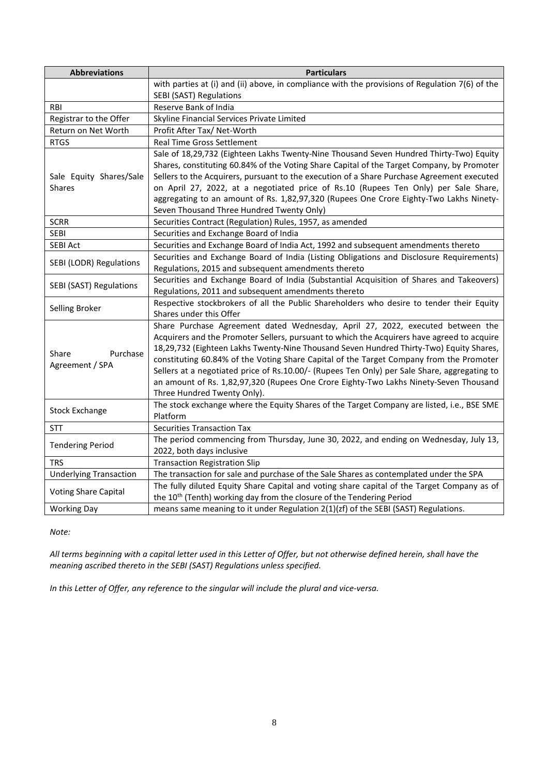| <b>Abbreviations</b>          | <b>Particulars</b>                                                                              |  |  |  |  |
|-------------------------------|-------------------------------------------------------------------------------------------------|--|--|--|--|
|                               | with parties at (i) and (ii) above, in compliance with the provisions of Regulation 7(6) of the |  |  |  |  |
|                               | SEBI (SAST) Regulations                                                                         |  |  |  |  |
| <b>RBI</b>                    | Reserve Bank of India                                                                           |  |  |  |  |
| Registrar to the Offer        | Skyline Financial Services Private Limited                                                      |  |  |  |  |
| Return on Net Worth           | Profit After Tax/ Net-Worth                                                                     |  |  |  |  |
| <b>RTGS</b>                   | Real Time Gross Settlement                                                                      |  |  |  |  |
|                               | Sale of 18,29,732 (Eighteen Lakhs Twenty-Nine Thousand Seven Hundred Thirty-Two) Equity         |  |  |  |  |
|                               | Shares, constituting 60.84% of the Voting Share Capital of the Target Company, by Promoter      |  |  |  |  |
| Sale Equity Shares/Sale       | Sellers to the Acquirers, pursuant to the execution of a Share Purchase Agreement executed      |  |  |  |  |
| <b>Shares</b>                 | on April 27, 2022, at a negotiated price of Rs.10 (Rupees Ten Only) per Sale Share,             |  |  |  |  |
|                               | aggregating to an amount of Rs. 1,82,97,320 (Rupees One Crore Eighty-Two Lakhs Ninety-          |  |  |  |  |
|                               | Seven Thousand Three Hundred Twenty Only)                                                       |  |  |  |  |
| <b>SCRR</b>                   | Securities Contract (Regulation) Rules, 1957, as amended                                        |  |  |  |  |
| <b>SEBI</b>                   | Securities and Exchange Board of India                                                          |  |  |  |  |
| SEBI Act                      | Securities and Exchange Board of India Act, 1992 and subsequent amendments thereto              |  |  |  |  |
|                               | Securities and Exchange Board of India (Listing Obligations and Disclosure Requirements)        |  |  |  |  |
| SEBI (LODR) Regulations       | Regulations, 2015 and subsequent amendments thereto                                             |  |  |  |  |
|                               | Securities and Exchange Board of India (Substantial Acquisition of Shares and Takeovers)        |  |  |  |  |
| SEBI (SAST) Regulations       | Regulations, 2011 and subsequent amendments thereto                                             |  |  |  |  |
|                               | Respective stockbrokers of all the Public Shareholders who desire to tender their Equity        |  |  |  |  |
| Selling Broker                | Shares under this Offer                                                                         |  |  |  |  |
|                               | Share Purchase Agreement dated Wednesday, April 27, 2022, executed between the                  |  |  |  |  |
|                               | Acquirers and the Promoter Sellers, pursuant to which the Acquirers have agreed to acquire      |  |  |  |  |
| Share<br>Purchase             | 18,29,732 (Eighteen Lakhs Twenty-Nine Thousand Seven Hundred Thirty-Two) Equity Shares,         |  |  |  |  |
|                               | constituting 60.84% of the Voting Share Capital of the Target Company from the Promoter         |  |  |  |  |
| Agreement / SPA               | Sellers at a negotiated price of Rs.10.00/- (Rupees Ten Only) per Sale Share, aggregating to    |  |  |  |  |
|                               | an amount of Rs. 1,82,97,320 (Rupees One Crore Eighty-Two Lakhs Ninety-Seven Thousand           |  |  |  |  |
|                               | Three Hundred Twenty Only).                                                                     |  |  |  |  |
|                               | The stock exchange where the Equity Shares of the Target Company are listed, i.e., BSE SME      |  |  |  |  |
| <b>Stock Exchange</b>         | Platform                                                                                        |  |  |  |  |
| <b>STT</b>                    | <b>Securities Transaction Tax</b>                                                               |  |  |  |  |
|                               | The period commencing from Thursday, June 30, 2022, and ending on Wednesday, July 13,           |  |  |  |  |
| <b>Tendering Period</b>       | 2022, both days inclusive                                                                       |  |  |  |  |
| <b>TRS</b>                    | <b>Transaction Registration Slip</b>                                                            |  |  |  |  |
| <b>Underlying Transaction</b> | The transaction for sale and purchase of the Sale Shares as contemplated under the SPA          |  |  |  |  |
|                               | The fully diluted Equity Share Capital and voting share capital of the Target Company as of     |  |  |  |  |
| <b>Voting Share Capital</b>   | the 10 <sup>th</sup> (Tenth) working day from the closure of the Tendering Period               |  |  |  |  |
| <b>Working Day</b>            | means same meaning to it under Regulation 2(1)(zf) of the SEBI (SAST) Regulations.              |  |  |  |  |

# *Note:*

*All terms beginning with a capital letter used in this Letter of Offer, but not otherwise defined herein, shall have the meaning ascribed thereto in the SEBI (SAST) Regulations unless specified.*

*In this Letter of Offer, any reference to the singular will include the plural and vice-versa.*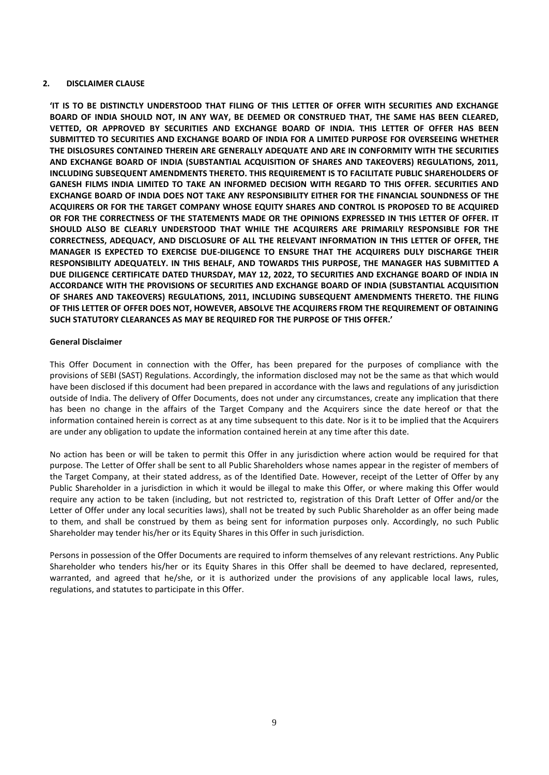#### <span id="page-9-0"></span>**2. DISCLAIMER CLAUSE**

**'IT IS TO BE DISTINCTLY UNDERSTOOD THAT FILING OF THIS LETTER OF OFFER WITH SECURITIES AND EXCHANGE BOARD OF INDIA SHOULD NOT, IN ANY WAY, BE DEEMED OR CONSTRUED THAT, THE SAME HAS BEEN CLEARED, VETTED, OR APPROVED BY SECURITIES AND EXCHANGE BOARD OF INDIA. THIS LETTER OF OFFER HAS BEEN SUBMITTED TO SECURITIES AND EXCHANGE BOARD OF INDIA FOR A LIMITED PURPOSE FOR OVERSEEING WHETHER THE DISLOSURES CONTAINED THEREIN ARE GENERALLY ADEQUATE AND ARE IN CONFORMITY WITH THE SECURITIES AND EXCHANGE BOARD OF INDIA (SUBSTANTIAL ACQUISITION OF SHARES AND TAKEOVERS) REGULATIONS, 2011, INCLUDING SUBSEQUENT AMENDMENTS THERETO. THIS REQUIREMENT IS TO FACILITATE PUBLIC SHAREHOLDERS OF GANESH FILMS INDIA LIMITED TO TAKE AN INFORMED DECISION WITH REGARD TO THIS OFFER. SECURITIES AND EXCHANGE BOARD OF INDIA DOES NOT TAKE ANY RESPONSIBILITY EITHER FOR THE FINANCIAL SOUNDNESS OF THE ACQUIRERS OR FOR THE TARGET COMPANY WHOSE EQUITY SHARES AND CONTROL IS PROPOSED TO BE ACQUIRED OR FOR THE CORRECTNESS OF THE STATEMENTS MADE OR THE OPINIONS EXPRESSED IN THIS LETTER OF OFFER. IT SHOULD ALSO BE CLEARLY UNDERSTOOD THAT WHILE THE ACQUIRERS ARE PRIMARILY RESPONSIBLE FOR THE CORRECTNESS, ADEQUACY, AND DISCLOSURE OF ALL THE RELEVANT INFORMATION IN THIS LETTER OF OFFER, THE MANAGER IS EXPECTED TO EXERCISE DUE-DILIGENCE TO ENSURE THAT THE ACQUIRERS DULY DISCHARGE THEIR RESPONSIBILITY ADEQUATELY. IN THIS BEHALF, AND TOWARDS THIS PURPOSE, THE MANAGER HAS SUBMITTED A DUE DILIGENCE CERTIFICATE DATED THURSDAY, MAY 12, 2022, TO SECURITIES AND EXCHANGE BOARD OF INDIA IN ACCORDANCE WITH THE PROVISIONS OF SECURITIES AND EXCHANGE BOARD OF INDIA (SUBSTANTIAL ACQUISITION OF SHARES AND TAKEOVERS) REGULATIONS, 2011, INCLUDING SUBSEQUENT AMENDMENTS THERETO. THE FILING OF THIS LETTER OF OFFER DOES NOT, HOWEVER, ABSOLVE THE ACQUIRERS FROM THE REQUIREMENT OF OBTAINING SUCH STATUTORY CLEARANCES AS MAY BE REQUIRED FOR THE PURPOSE OF THIS OFFER.'**

#### **General Disclaimer**

This Offer Document in connection with the Offer, has been prepared for the purposes of compliance with the provisions of SEBI (SAST) Regulations. Accordingly, the information disclosed may not be the same as that which would have been disclosed if this document had been prepared in accordance with the laws and regulations of any jurisdiction outside of India. The delivery of Offer Documents, does not under any circumstances, create any implication that there has been no change in the affairs of the Target Company and the Acquirers since the date hereof or that the information contained herein is correct as at any time subsequent to this date. Nor is it to be implied that the Acquirers are under any obligation to update the information contained herein at any time after this date.

No action has been or will be taken to permit this Offer in any jurisdiction where action would be required for that purpose. The Letter of Offer shall be sent to all Public Shareholders whose names appear in the register of members of the Target Company, at their stated address, as of the Identified Date. However, receipt of the Letter of Offer by any Public Shareholder in a jurisdiction in which it would be illegal to make this Offer, or where making this Offer would require any action to be taken (including, but not restricted to, registration of this Draft Letter of Offer and/or the Letter of Offer under any local securities laws), shall not be treated by such Public Shareholder as an offer being made to them, and shall be construed by them as being sent for information purposes only. Accordingly, no such Public Shareholder may tender his/her or its Equity Shares in this Offer in such jurisdiction.

Persons in possession of the Offer Documents are required to inform themselves of any relevant restrictions. Any Public Shareholder who tenders his/her or its Equity Shares in this Offer shall be deemed to have declared, represented, warranted, and agreed that he/she, or it is authorized under the provisions of any applicable local laws, rules, regulations, and statutes to participate in this Offer.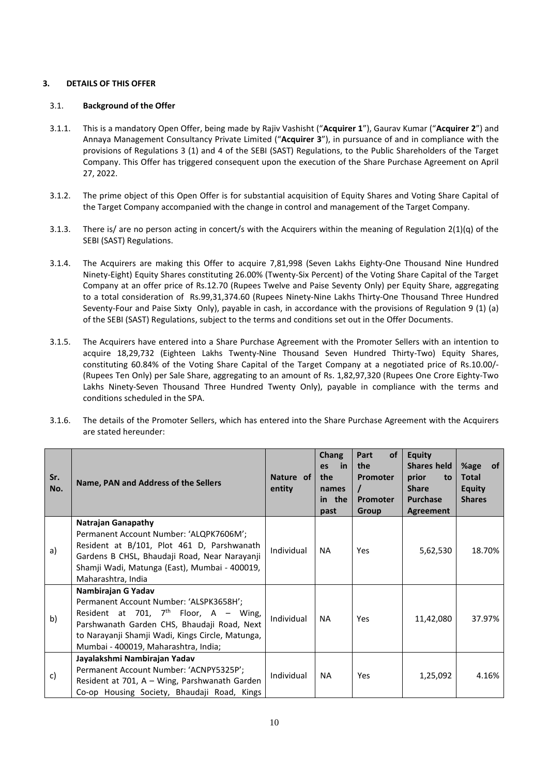# <span id="page-10-0"></span>**3. DETAILS OF THIS OFFER**

### 3.1. **Background of the Offer**

- 3.1.1. This is a mandatory Open Offer, being made by Rajiv Vashisht ("**Acquirer 1**"), Gaurav Kumar ("**Acquirer 2**") and Annaya Management Consultancy Private Limited ("**Acquirer 3**"), in pursuance of and in compliance with the provisions of Regulations 3 (1) and 4 of the SEBI (SAST) Regulations, to the Public Shareholders of the Target Company. This Offer has triggered consequent upon the execution of the Share Purchase Agreement on April 27, 2022.
- 3.1.2. The prime object of this Open Offer is for substantial acquisition of Equity Shares and Voting Share Capital of the Target Company accompanied with the change in control and management of the Target Company.
- 3.1.3. There is/ are no person acting in concert/s with the Acquirers within the meaning of Regulation  $2(1)(q)$  of the SEBI (SAST) Regulations.
- 3.1.4. The Acquirers are making this Offer to acquire 7,81,998 (Seven Lakhs Eighty-One Thousand Nine Hundred Ninety-Eight) Equity Shares constituting 26.00% (Twenty-Six Percent) of the Voting Share Capital of the Target Company at an offer price of Rs.12.70 (Rupees Twelve and Paise Seventy Only) per Equity Share, aggregating to a total consideration of Rs.99,31,374.60 (Rupees Ninety-Nine Lakhs Thirty-One Thousand Three Hundred Seventy-Four and Paise Sixty Only), payable in cash, in accordance with the provisions of Regulation 9 (1) (a) of the SEBI (SAST) Regulations, subject to the terms and conditions set out in the Offer Documents.
- 3.1.5. The Acquirers have entered into a Share Purchase Agreement with the Promoter Sellers with an intention to acquire 18,29,732 (Eighteen Lakhs Twenty-Nine Thousand Seven Hundred Thirty-Two) Equity Shares, constituting 60.84% of the Voting Share Capital of the Target Company at a negotiated price of Rs.10.00/- (Rupees Ten Only) per Sale Share, aggregating to an amount of Rs. 1,82,97,320 (Rupees One Crore Eighty-Two Lakhs Ninety-Seven Thousand Three Hundred Twenty Only), payable in compliance with the terms and conditions scheduled in the SPA.
- 3.1.6. The details of the Promoter Sellers, which has entered into the Share Purchase Agreement with the Acquirers are stated hereunder:

| Sr.<br>No. | Name, PAN and Address of the Sellers                                                                                                                                                                                                                | Nature of<br>entity | <b>Chang</b><br>in.<br><b>es</b><br>the<br>names<br>in the<br>past | <b>of</b><br>Part<br>the<br>Promoter<br>$\prime$<br>Promoter<br>Group | <b>Equity</b><br><b>Shares held</b><br>prior<br>to<br><b>Share</b><br><b>Purchase</b><br>Agreement | %age<br><b>of</b><br><b>Total</b><br><b>Equity</b><br><b>Shares</b> |
|------------|-----------------------------------------------------------------------------------------------------------------------------------------------------------------------------------------------------------------------------------------------------|---------------------|--------------------------------------------------------------------|-----------------------------------------------------------------------|----------------------------------------------------------------------------------------------------|---------------------------------------------------------------------|
| a)         | <b>Natrajan Ganapathy</b><br>Permanent Account Number: 'ALQPK7606M';<br>Resident at B/101, Plot 461 D, Parshwanath<br>Gardens B CHSL, Bhaudaji Road, Near Narayanji<br>Shamji Wadi, Matunga (East), Mumbai - 400019,<br>Maharashtra, India          | Individual          | <b>NA</b>                                                          | Yes                                                                   | 5,62,530                                                                                           | 18.70%                                                              |
| b)         | Nambirajan G Yadav<br>Permanent Account Number: 'ALSPK3658H';<br>Resident at 701, $7th$ Floor, A – Wing,<br>Parshwanath Garden CHS, Bhaudaji Road, Next<br>to Narayanji Shamji Wadi, Kings Circle, Matunga,<br>Mumbai - 400019, Maharashtra, India; | Individual          | <b>NA</b>                                                          | Yes                                                                   | 11,42,080                                                                                          | 37.97%                                                              |
| c)         | Jayalakshmi Nambirajan Yadav<br>Permanent Account Number: 'ACNPY5325P';<br>Resident at 701, A - Wing, Parshwanath Garden<br>Co-op Housing Society, Bhaudaji Road, Kings                                                                             | Individual          | NA.                                                                | Yes                                                                   | 1,25,092                                                                                           | 4.16%                                                               |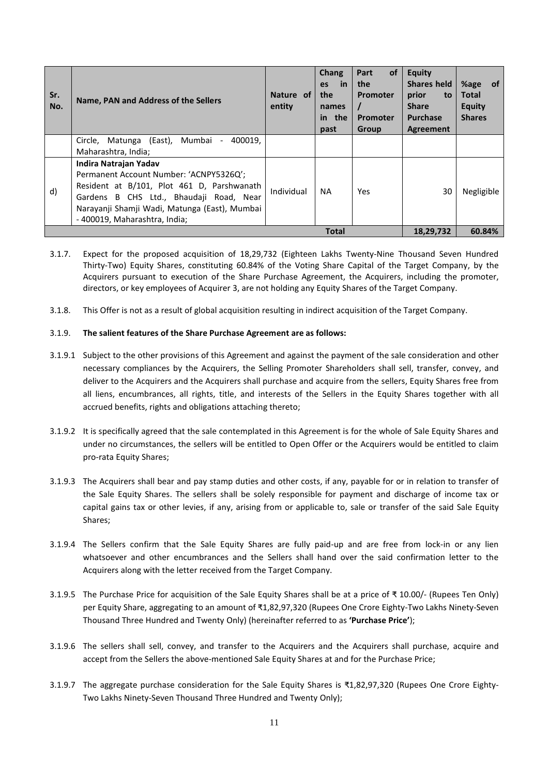| Sr.<br>No. | Name, PAN and Address of the Sellers                                                                                                                                                                                                        | Nature of<br>entity | <b>Chang</b><br>in<br>es<br>the<br>names<br>in the<br>past | <b>of</b><br>Part<br>the<br><b>Promoter</b><br>Promoter<br>Group | <b>Equity</b><br><b>Shares held</b><br>prior<br>to<br><b>Share</b><br><b>Purchase</b><br><b>Agreement</b> | <b>of</b><br>%age<br><b>Total</b><br><b>Equity</b><br><b>Shares</b> |
|------------|---------------------------------------------------------------------------------------------------------------------------------------------------------------------------------------------------------------------------------------------|---------------------|------------------------------------------------------------|------------------------------------------------------------------|-----------------------------------------------------------------------------------------------------------|---------------------------------------------------------------------|
|            | Circle, Matunga (East),<br>Mumbai<br>400019.<br>$\sim$<br>Maharashtra, India;                                                                                                                                                               |                     |                                                            |                                                                  |                                                                                                           |                                                                     |
| d)         | Indira Natrajan Yadav<br>Permanent Account Number: 'ACNPY5326Q';<br>Resident at B/101, Plot 461 D, Parshwanath<br>Gardens B CHS Ltd., Bhaudaji Road, Near<br>Narayanji Shamji Wadi, Matunga (East), Mumbai<br>- 400019, Maharashtra, India; | Individual          | <b>NA</b>                                                  | <b>Yes</b>                                                       | 30                                                                                                        | Negligible                                                          |
|            |                                                                                                                                                                                                                                             |                     | <b>Total</b>                                               |                                                                  | 18,29,732                                                                                                 | 60.84%                                                              |

- 3.1.7. Expect for the proposed acquisition of 18,29,732 (Eighteen Lakhs Twenty-Nine Thousand Seven Hundred Thirty-Two) Equity Shares, constituting 60.84% of the Voting Share Capital of the Target Company, by the Acquirers pursuant to execution of the Share Purchase Agreement, the Acquirers, including the promoter, directors, or key employees of Acquirer 3, are not holding any Equity Shares of the Target Company.
- 3.1.8. This Offer is not as a result of global acquisition resulting in indirect acquisition of the Target Company.

#### 3.1.9. **The salient features of the Share Purchase Agreement are as follows:**

- 3.1.9.1 Subject to the other provisions of this Agreement and against the payment of the sale consideration and other necessary compliances by the Acquirers, the Selling Promoter Shareholders shall sell, transfer, convey, and deliver to the Acquirers and the Acquirers shall purchase and acquire from the sellers, Equity Shares free from all liens, encumbrances, all rights, title, and interests of the Sellers in the Equity Shares together with all accrued benefits, rights and obligations attaching thereto;
- 3.1.9.2 It is specifically agreed that the sale contemplated in this Agreement is for the whole of Sale Equity Shares and under no circumstances, the sellers will be entitled to Open Offer or the Acquirers would be entitled to claim pro-rata Equity Shares;
- 3.1.9.3 The Acquirers shall bear and pay stamp duties and other costs, if any, payable for or in relation to transfer of the Sale Equity Shares. The sellers shall be solely responsible for payment and discharge of income tax or capital gains tax or other levies, if any, arising from or applicable to, sale or transfer of the said Sale Equity Shares;
- 3.1.9.4 The Sellers confirm that the Sale Equity Shares are fully paid-up and are free from lock-in or any lien whatsoever and other encumbrances and the Sellers shall hand over the said confirmation letter to the Acquirers along with the letter received from the Target Company.
- 3.1.9.5 The Purchase Price for acquisition of the Sale Equity Shares shall be at a price of ₹ 10.00/- (Rupees Ten Only) per Equity Share, aggregating to an amount of ₹1,82,97,320 (Rupees One Crore Eighty-Two Lakhs Ninety-Seven Thousand Three Hundred and Twenty Only) (hereinafter referred to as **'Purchase Price'**);
- 3.1.9.6 The sellers shall sell, convey, and transfer to the Acquirers and the Acquirers shall purchase, acquire and accept from the Sellers the above-mentioned Sale Equity Shares at and for the Purchase Price;
- 3.1.9.7 The aggregate purchase consideration for the Sale Equity Shares is ₹1,82,97,320 (Rupees One Crore Eighty-Two Lakhs Ninety-Seven Thousand Three Hundred and Twenty Only);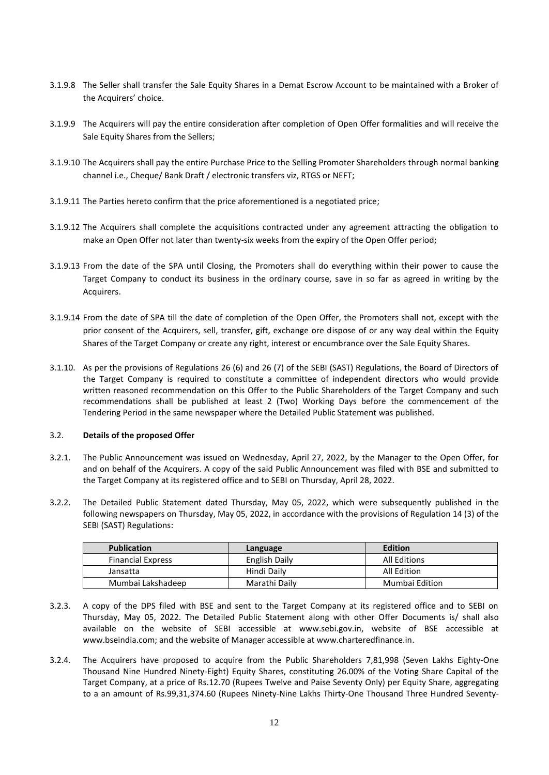- 3.1.9.8 The Seller shall transfer the Sale Equity Shares in a Demat Escrow Account to be maintained with a Broker of the Acquirers' choice.
- 3.1.9.9 The Acquirers will pay the entire consideration after completion of Open Offer formalities and will receive the Sale Equity Shares from the Sellers;
- 3.1.9.10 The Acquirers shall pay the entire Purchase Price to the Selling Promoter Shareholders through normal banking channel i.e., Cheque/ Bank Draft / electronic transfers viz, RTGS or NEFT;
- 3.1.9.11 The Parties hereto confirm that the price aforementioned is a negotiated price;
- 3.1.9.12 The Acquirers shall complete the acquisitions contracted under any agreement attracting the obligation to make an Open Offer not later than twenty-six weeks from the expiry of the Open Offer period;
- 3.1.9.13 From the date of the SPA until Closing, the Promoters shall do everything within their power to cause the Target Company to conduct its business in the ordinary course, save in so far as agreed in writing by the Acquirers.
- 3.1.9.14 From the date of SPA till the date of completion of the Open Offer, the Promoters shall not, except with the prior consent of the Acquirers, sell, transfer, gift, exchange ore dispose of or any way deal within the Equity Shares of the Target Company or create any right, interest or encumbrance over the Sale Equity Shares.
- 3.1.10. As per the provisions of Regulations 26 (6) and 26 (7) of the SEBI (SAST) Regulations, the Board of Directors of the Target Company is required to constitute a committee of independent directors who would provide written reasoned recommendation on this Offer to the Public Shareholders of the Target Company and such recommendations shall be published at least 2 (Two) Working Days before the commencement of the Tendering Period in the same newspaper where the Detailed Public Statement was published.

### 3.2. **Details of the proposed Offer**

- 3.2.1. The Public Announcement was issued on Wednesday, April 27, 2022, by the Manager to the Open Offer, for and on behalf of the Acquirers. A copy of the said Public Announcement was filed with BSE and submitted to the Target Company at its registered office and to SEBI on Thursday, April 28, 2022.
- 3.2.2. The Detailed Public Statement dated Thursday, May 05, 2022, which were subsequently published in the following newspapers on Thursday, May 05, 2022, in accordance with the provisions of Regulation 14 (3) of the SEBI (SAST) Regulations:

| <b>Publication</b>       | Language      | Edition             |
|--------------------------|---------------|---------------------|
| <b>Financial Express</b> | English Daily | <b>All Editions</b> |
| Jansatta                 | Hindi Daily   | All Edition         |
| Mumbai Lakshadeep        | Marathi Daily | Mumbai Edition      |

- 3.2.3. A copy of the DPS filed with BSE and sent to the Target Company at its registered office and to SEBI on Thursday, May 05, 2022. The Detailed Public Statement along with other Offer Documents is/ shall also available on the website of SEBI accessible at [www.sebi.gov.in,](http://www.sebi.gov.in/) website of BSE accessible at [www.bseindia.com;](http://www.bseindia.com/) and the website of Manager accessible a[t www.charteredfinance.in.](http://www.charteredfinance.in/)
- 3.2.4. The Acquirers have proposed to acquire from the Public Shareholders 7,81,998 (Seven Lakhs Eighty-One Thousand Nine Hundred Ninety-Eight) Equity Shares, constituting 26.00% of the Voting Share Capital of the Target Company, at a price of Rs.12.70 (Rupees Twelve and Paise Seventy Only) per Equity Share, aggregating to a an amount of Rs.99,31,374.60 (Rupees Ninety-Nine Lakhs Thirty-One Thousand Three Hundred Seventy-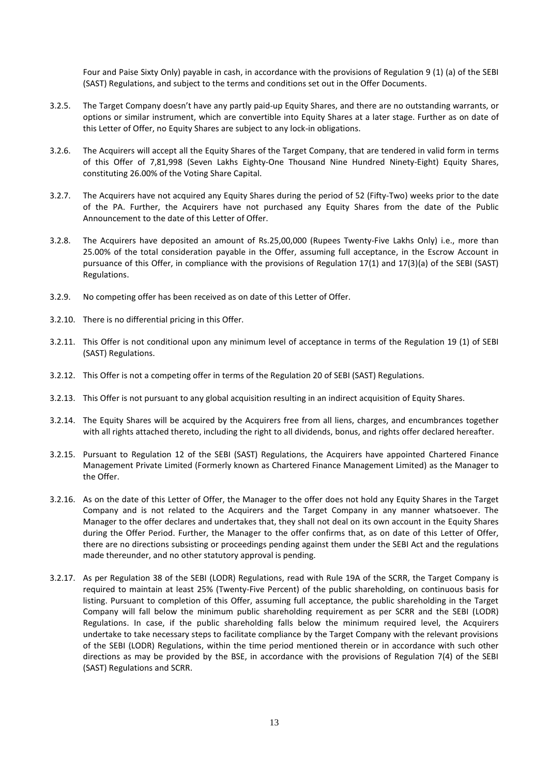Four and Paise Sixty Only) payable in cash, in accordance with the provisions of Regulation 9 (1) (a) of the SEBI (SAST) Regulations, and subject to the terms and conditions set out in the Offer Documents.

- 3.2.5. The Target Company doesn't have any partly paid-up Equity Shares, and there are no outstanding warrants, or options or similar instrument, which are convertible into Equity Shares at a later stage. Further as on date of this Letter of Offer, no Equity Shares are subject to any lock-in obligations.
- 3.2.6. The Acquirers will accept all the Equity Shares of the Target Company, that are tendered in valid form in terms of this Offer of 7,81,998 (Seven Lakhs Eighty-One Thousand Nine Hundred Ninety-Eight) Equity Shares, constituting 26.00% of the Voting Share Capital.
- 3.2.7. The Acquirers have not acquired any Equity Shares during the period of 52 (Fifty-Two) weeks prior to the date of the PA. Further, the Acquirers have not purchased any Equity Shares from the date of the Public Announcement to the date of this Letter of Offer.
- 3.2.8. The Acquirers have deposited an amount of Rs.25,00,000 (Rupees Twenty-Five Lakhs Only) i.e., more than 25.00% of the total consideration payable in the Offer, assuming full acceptance, in the Escrow Account in pursuance of this Offer, in compliance with the provisions of Regulation 17(1) and 17(3)(a) of the SEBI (SAST) Regulations.
- 3.2.9. No competing offer has been received as on date of this Letter of Offer.
- 3.2.10. There is no differential pricing in this Offer.
- 3.2.11. This Offer is not conditional upon any minimum level of acceptance in terms of the Regulation 19 (1) of SEBI (SAST) Regulations.
- 3.2.12. This Offer is not a competing offer in terms of the Regulation 20 of SEBI (SAST) Regulations.
- 3.2.13. This Offer is not pursuant to any global acquisition resulting in an indirect acquisition of Equity Shares.
- 3.2.14. The Equity Shares will be acquired by the Acquirers free from all liens, charges, and encumbrances together with all rights attached thereto, including the right to all dividends, bonus, and rights offer declared hereafter.
- 3.2.15. Pursuant to Regulation 12 of the SEBI (SAST) Regulations, the Acquirers have appointed Chartered Finance Management Private Limited (Formerly known as Chartered Finance Management Limited) as the Manager to the Offer.
- 3.2.16. As on the date of this Letter of Offer, the Manager to the offer does not hold any Equity Shares in the Target Company and is not related to the Acquirers and the Target Company in any manner whatsoever. The Manager to the offer declares and undertakes that, they shall not deal on its own account in the Equity Shares during the Offer Period. Further, the Manager to the offer confirms that, as on date of this Letter of Offer, there are no directions subsisting or proceedings pending against them under the SEBI Act and the regulations made thereunder, and no other statutory approval is pending.
- 3.2.17. As per Regulation 38 of the SEBI (LODR) Regulations, read with Rule 19A of the SCRR, the Target Company is required to maintain at least 25% (Twenty-Five Percent) of the public shareholding, on continuous basis for listing. Pursuant to completion of this Offer, assuming full acceptance, the public shareholding in the Target Company will fall below the minimum public shareholding requirement as per SCRR and the SEBI (LODR) Regulations. In case, if the public shareholding falls below the minimum required level, the Acquirers undertake to take necessary steps to facilitate compliance by the Target Company with the relevant provisions of the SEBI (LODR) Regulations, within the time period mentioned therein or in accordance with such other directions as may be provided by the BSE, in accordance with the provisions of Regulation 7(4) of the SEBI (SAST) Regulations and SCRR.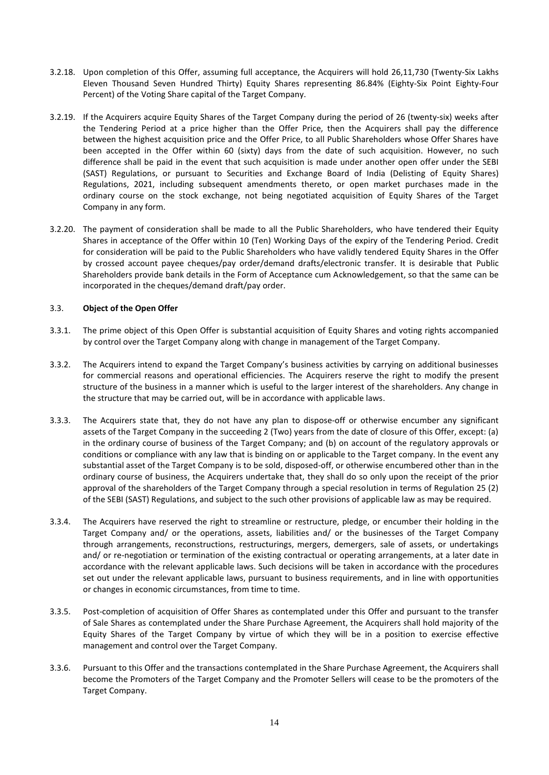- 3.2.18. Upon completion of this Offer, assuming full acceptance, the Acquirers will hold 26,11,730 (Twenty-Six Lakhs Eleven Thousand Seven Hundred Thirty) Equity Shares representing 86.84% (Eighty-Six Point Eighty-Four Percent) of the Voting Share capital of the Target Company.
- 3.2.19. If the Acquirers acquire Equity Shares of the Target Company during the period of 26 (twenty-six) weeks after the Tendering Period at a price higher than the Offer Price, then the Acquirers shall pay the difference between the highest acquisition price and the Offer Price, to all Public Shareholders whose Offer Shares have been accepted in the Offer within 60 (sixty) days from the date of such acquisition. However, no such difference shall be paid in the event that such acquisition is made under another open offer under the SEBI (SAST) Regulations, or pursuant to Securities and Exchange Board of India (Delisting of Equity Shares) Regulations, 2021, including subsequent amendments thereto, or open market purchases made in the ordinary course on the stock exchange, not being negotiated acquisition of Equity Shares of the Target Company in any form.
- 3.2.20. The payment of consideration shall be made to all the Public Shareholders, who have tendered their Equity Shares in acceptance of the Offer within 10 (Ten) Working Days of the expiry of the Tendering Period. Credit for consideration will be paid to the Public Shareholders who have validly tendered Equity Shares in the Offer by crossed account payee cheques/pay order/demand drafts/electronic transfer. It is desirable that Public Shareholders provide bank details in the Form of Acceptance cum Acknowledgement, so that the same can be incorporated in the cheques/demand draft/pay order.

# 3.3. **Object of the Open Offer**

- 3.3.1. The prime object of this Open Offer is substantial acquisition of Equity Shares and voting rights accompanied by control over the Target Company along with change in management of the Target Company.
- 3.3.2. The Acquirers intend to expand the Target Company's business activities by carrying on additional businesses for commercial reasons and operational efficiencies. The Acquirers reserve the right to modify the present structure of the business in a manner which is useful to the larger interest of the shareholders. Any change in the structure that may be carried out, will be in accordance with applicable laws.
- 3.3.3. The Acquirers state that, they do not have any plan to dispose-off or otherwise encumber any significant assets of the Target Company in the succeeding 2 (Two) years from the date of closure of this Offer, except: (a) in the ordinary course of business of the Target Company; and (b) on account of the regulatory approvals or conditions or compliance with any law that is binding on or applicable to the Target company. In the event any substantial asset of the Target Company is to be sold, disposed-off, or otherwise encumbered other than in the ordinary course of business, the Acquirers undertake that, they shall do so only upon the receipt of the prior approval of the shareholders of the Target Company through a special resolution in terms of Regulation 25 (2) of the SEBI (SAST) Regulations, and subject to the such other provisions of applicable law as may be required.
- 3.3.4. The Acquirers have reserved the right to streamline or restructure, pledge, or encumber their holding in the Target Company and/ or the operations, assets, liabilities and/ or the businesses of the Target Company through arrangements, reconstructions, restructurings, mergers, demergers, sale of assets, or undertakings and/ or re-negotiation or termination of the existing contractual or operating arrangements, at a later date in accordance with the relevant applicable laws. Such decisions will be taken in accordance with the procedures set out under the relevant applicable laws, pursuant to business requirements, and in line with opportunities or changes in economic circumstances, from time to time.
- 3.3.5. Post-completion of acquisition of Offer Shares as contemplated under this Offer and pursuant to the transfer of Sale Shares as contemplated under the Share Purchase Agreement, the Acquirers shall hold majority of the Equity Shares of the Target Company by virtue of which they will be in a position to exercise effective management and control over the Target Company.
- 3.3.6. Pursuant to this Offer and the transactions contemplated in the Share Purchase Agreement, the Acquirers shall become the Promoters of the Target Company and the Promoter Sellers will cease to be the promoters of the Target Company.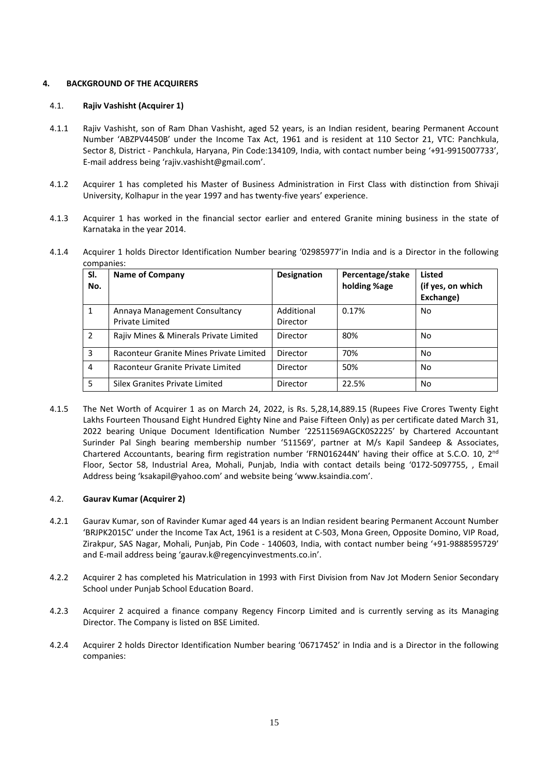# <span id="page-15-0"></span>**4. BACKGROUND OF THE ACQUIRERS**

#### 4.1. **Rajiv Vashisht (Acquirer 1)**

- 4.1.1 Rajiv Vashisht, son of Ram Dhan Vashisht, aged 52 years, is an Indian resident, bearing Permanent Account Number 'ABZPV4450B' under the Income Tax Act, 1961 and is resident at 110 Sector 21, VTC: Panchkula, Sector 8, District - Panchkula, Haryana, Pin Code:134109, India, with contact number being '+91-9915007733', E-mail address being 'rajiv.vashisht@gmail.com'.
- 4.1.2 Acquirer 1 has completed his Master of Business Administration in First Class with distinction from Shivaji University, Kolhapur in the year 1997 and has twenty-five years' experience.
- 4.1.3 Acquirer 1 has worked in the financial sector earlier and entered Granite mining business in the state of Karnataka in the year 2014.
- 4.1.4 Acquirer 1 holds Director Identification Number bearing '02985977'in India and is a Director in the following companies:

| SI.<br>No. | <b>Name of Company</b>                                  | <b>Designation</b>     | Percentage/stake<br>holding %age | Listed<br>(if yes, on which<br>Exchange) |
|------------|---------------------------------------------------------|------------------------|----------------------------------|------------------------------------------|
| 1          | Annaya Management Consultancy<br><b>Private Limited</b> | Additional<br>Director | 0.17%                            | No                                       |
| 2          | Rajiv Mines & Minerals Private Limited                  | Director               | 80%                              | No                                       |
| 3          | Raconteur Granite Mines Private Limited                 | Director               | 70%                              | <b>No</b>                                |
| 4          | Raconteur Granite Private Limited                       | Director               | 50%                              | No                                       |
| 5          | Silex Granites Private Limited                          | Director               | 22.5%                            | <b>No</b>                                |

4.1.5 The Net Worth of Acquirer 1 as on March 24, 2022, is Rs. 5,28,14,889.15 (Rupees Five Crores Twenty Eight Lakhs Fourteen Thousand Eight Hundred Eighty Nine and Paise Fifteen Only) as per certificate dated March 31, 2022 bearing Unique Document Identification Number '22511569AGCK0S2225' by Chartered Accountant Surinder Pal Singh bearing membership number '511569', partner at M/s Kapil Sandeep & Associates, Chartered Accountants, bearing firm registration number 'FRN016244N' having their office at S.C.O. 10, 2<sup>nd</sup> Floor, Sector 58, Industrial Area, Mohali, Punjab, India with contact details being '0172-5097755, , Email Address being 'ksakapil@yahoo.com' and website being 'www.ksaindia.com'.

### 4.2. **Gaurav Kumar (Acquirer 2)**

- 4.2.1 Gaurav Kumar, son of Ravinder Kumar aged 44 years is an Indian resident bearing Permanent Account Number 'BRJPK2015C' under the Income Tax Act, 1961 is a resident at C-503, Mona Green, Opposite Domino, VIP Road, Zirakpur, SAS Nagar, Mohali, Punjab, Pin Code - 140603, India, with contact number being '+91-9888595729' and E-mail address being 'gaurav.k@regencyinvestments.co.in'.
- 4.2.2 Acquirer 2 has completed his Matriculation in 1993 with First Division from Nav Jot Modern Senior Secondary School under Punjab School Education Board.
- 4.2.3 Acquirer 2 acquired a finance company Regency Fincorp Limited and is currently serving as its Managing Director. The Company is listed on BSE Limited.
- 4.2.4 Acquirer 2 holds Director Identification Number bearing '06717452' in India and is a Director in the following companies: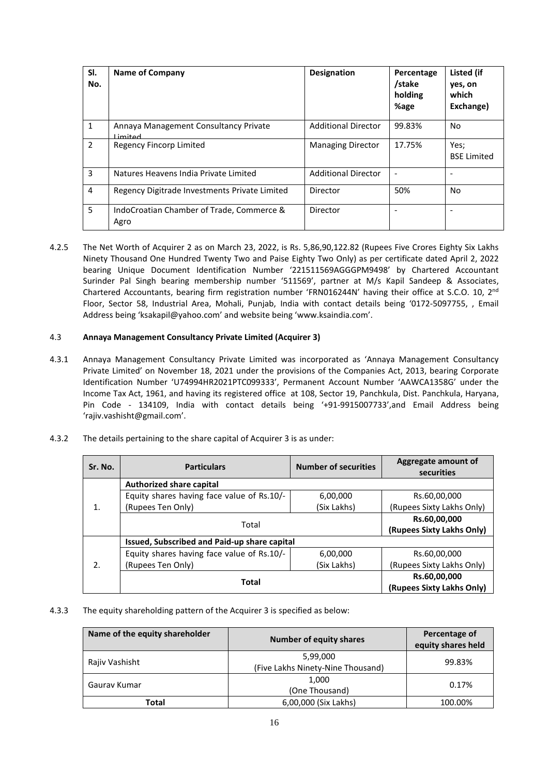| SI.<br>No.     | <b>Name of Company</b>                                  | <b>Designation</b>         | Percentage<br>/stake<br>holding<br>%age | Listed (if<br>yes, on<br>which<br>Exchange) |
|----------------|---------------------------------------------------------|----------------------------|-----------------------------------------|---------------------------------------------|
| 1              | Annaya Management Consultancy Private<br><b>Limitad</b> | <b>Additional Director</b> | 99.83%                                  | No                                          |
| $\overline{2}$ | Regency Fincorp Limited                                 | <b>Managing Director</b>   | 17.75%                                  | Yes;<br><b>BSE Limited</b>                  |
| 3              | Natures Heavens India Private Limited                   | <b>Additional Director</b> | $\overline{\phantom{a}}$                |                                             |
| 4              | Regency Digitrade Investments Private Limited           | Director                   | 50%                                     | No                                          |
| 5              | IndoCroatian Chamber of Trade, Commerce &<br>Agro       | Director                   |                                         |                                             |

4.2.5 The Net Worth of Acquirer 2 as on March 23, 2022, is Rs. 5,86,90,122.82 (Rupees Five Crores Eighty Six Lakhs Ninety Thousand One Hundred Twenty Two and Paise Eighty Two Only) as per certificate dated April 2, 2022 bearing Unique Document Identification Number '221511569AGGGPM9498' by Chartered Accountant Surinder Pal Singh bearing membership number '511569', partner at M/s Kapil Sandeep & Associates, Chartered Accountants, bearing firm registration number 'FRN016244N' having their office at S.C.O. 10, 2<sup>nd</sup> Floor, Sector 58, Industrial Area, Mohali, Punjab, India with contact details being '0172-5097755, , Email Address being 'ksakapil@yahoo.com' and website being 'www.ksaindia.com'.

# 4.3 **Annaya Management Consultancy Private Limited (Acquirer 3)**

4.3.1 Annaya Management Consultancy Private Limited was incorporated as 'Annaya Management Consultancy Private Limited' on November 18, 2021 under the provisions of the Companies Act, 2013, bearing Corporate Identification Number 'U74994HR2021PTC099333', Permanent Account Number 'AAWCA1358G' under the Income Tax Act, 1961, and having its registered office at 108, Sector 19, Panchkula, Dist. Panchkula, Haryana, Pin Code - 134109, India with contact details being '+91-9915007733',and Email Address being 'rajiv.vashisht@gmail.com'.

| The details pertaining to the share capital of Acquirer 3 is as under:<br>4.3.2 |  |
|---------------------------------------------------------------------------------|--|
|---------------------------------------------------------------------------------|--|

| Sr. No.       | <b>Particulars</b>                           | <b>Number of securities</b>               | Aggregate amount of<br>securities |
|---------------|----------------------------------------------|-------------------------------------------|-----------------------------------|
|               | <b>Authorized share capital</b>              |                                           |                                   |
|               | Equity shares having face value of Rs.10/-   | 6,00,000                                  | Rs.60,00,000                      |
|               | (Rupees Ten Only)                            | (Six Lakhs)                               | (Rupees Sixty Lakhs Only)         |
|               | Total                                        | Rs.60,00,000                              |                                   |
|               |                                              | (Rupees Sixty Lakhs Only)                 |                                   |
|               | Issued, Subscribed and Paid-up share capital |                                           |                                   |
|               | Equity shares having face value of Rs.10/-   | 6,00,000                                  | Rs.60,00,000                      |
| $\mathcal{L}$ | (Rupees Ten Only)                            | (Rupees Sixty Lakhs Only)                 |                                   |
|               | <b>Total</b>                                 | Rs.60,00,000<br>(Rupees Sixty Lakhs Only) |                                   |

4.3.3 The equity shareholding pattern of the Acquirer 3 is specified as below:

| Name of the equity shareholder | <b>Number of equity shares</b>                | Percentage of<br>equity shares held |
|--------------------------------|-----------------------------------------------|-------------------------------------|
| Rajiv Vashisht                 | 5,99,000<br>(Five Lakhs Ninety-Nine Thousand) | 99.83%                              |
| Gauray Kumar                   | 1.000<br>(One Thousand)                       | 0.17%                               |
| Total                          | 6,00,000 (Six Lakhs)                          | 100.00%                             |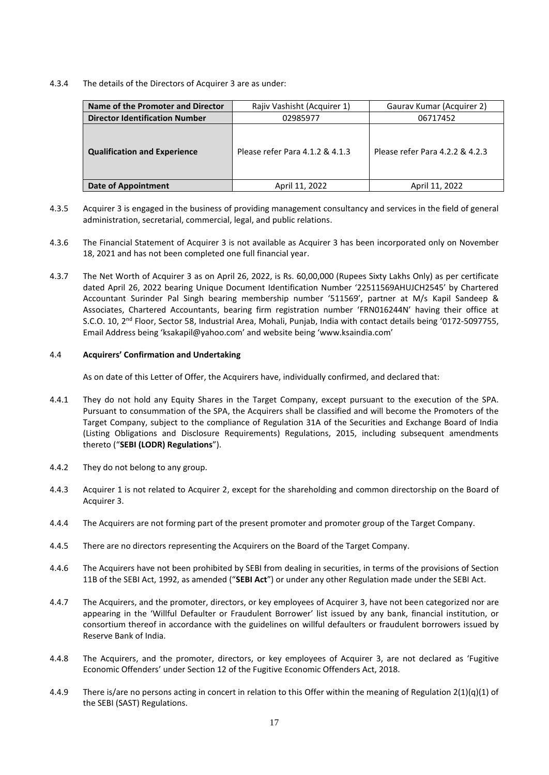4.3.4 The details of the Directors of Acquirer 3 are as under:

| Name of the Promoter and Director     | Rajiv Vashisht (Acquirer 1)     | Gaurav Kumar (Acquirer 2)       |
|---------------------------------------|---------------------------------|---------------------------------|
| <b>Director Identification Number</b> | 02985977                        | 06717452                        |
| <b>Qualification and Experience</b>   | Please refer Para 4.1.2 & 4.1.3 | Please refer Para 4.2.2 & 4.2.3 |
| <b>Date of Appointment</b>            | April 11, 2022                  | April 11, 2022                  |

- 4.3.5 Acquirer 3 is engaged in the business of providing management consultancy and services in the field of general administration, secretarial, commercial, legal, and public relations.
- 4.3.6 The Financial Statement of Acquirer 3 is not available as Acquirer 3 has been incorporated only on November 18, 2021 and has not been completed one full financial year.
- 4.3.7 The Net Worth of Acquirer 3 as on April 26, 2022, is Rs. 60,00,000 (Rupees Sixty Lakhs Only) as per certificate dated April 26, 2022 bearing Unique Document Identification Number '22511569AHUJCH2545' by Chartered Accountant Surinder Pal Singh bearing membership number '511569', partner at M/s Kapil Sandeep & Associates, Chartered Accountants, bearing firm registration number 'FRN016244N' having their office at S.C.O. 10, 2nd Floor, Sector 58, Industrial Area, Mohali, Punjab, India with contact details being '0172-5097755, Email Address being 'ksakapil@yahoo.com' and website being 'www.ksaindia.com'

### 4.4 **Acquirers' Confirmation and Undertaking**

As on date of this Letter of Offer, the Acquirers have, individually confirmed, and declared that:

- 4.4.1 They do not hold any Equity Shares in the Target Company, except pursuant to the execution of the SPA. Pursuant to consummation of the SPA, the Acquirers shall be classified and will become the Promoters of the Target Company, subject to the compliance of Regulation 31A of the Securities and Exchange Board of India (Listing Obligations and Disclosure Requirements) Regulations, 2015, including subsequent amendments thereto ("**SEBI (LODR) Regulations**").
- 4.4.2 They do not belong to any group.
- 4.4.3 Acquirer 1 is not related to Acquirer 2, except for the shareholding and common directorship on the Board of Acquirer 3.
- 4.4.4 The Acquirers are not forming part of the present promoter and promoter group of the Target Company.
- 4.4.5 There are no directors representing the Acquirers on the Board of the Target Company.
- 4.4.6 The Acquirers have not been prohibited by SEBI from dealing in securities, in terms of the provisions of Section 11B of the SEBI Act, 1992, as amended ("**SEBI Act**") or under any other Regulation made under the SEBI Act.
- 4.4.7 The Acquirers, and the promoter, directors, or key employees of Acquirer 3, have not been categorized nor are appearing in the 'Willful Defaulter or Fraudulent Borrower' list issued by any bank, financial institution, or consortium thereof in accordance with the guidelines on willful defaulters or fraudulent borrowers issued by Reserve Bank of India.
- 4.4.8 The Acquirers, and the promoter, directors, or key employees of Acquirer 3, are not declared as 'Fugitive Economic Offenders' under Section 12 of the Fugitive Economic Offenders Act, 2018.
- 4.4.9 There is/are no persons acting in concert in relation to this Offer within the meaning of Regulation 2(1)(q)(1) of the SEBI (SAST) Regulations.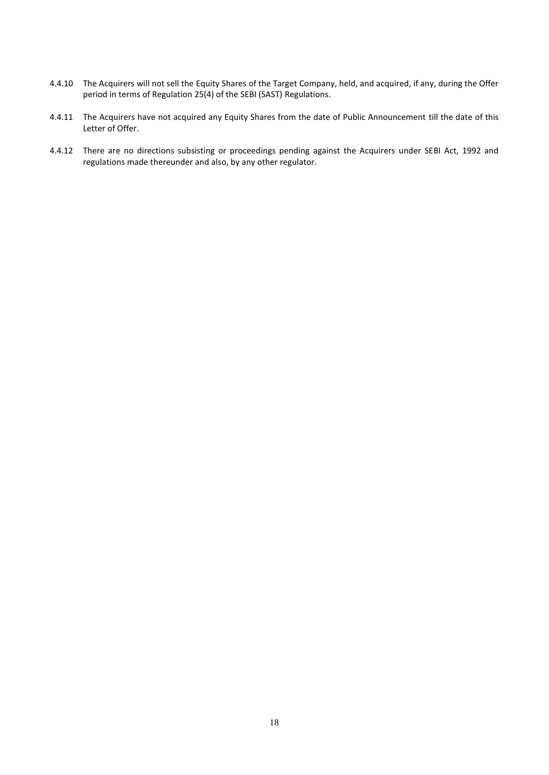- 4.4.10 The Acquirers will not sell the Equity Shares of the Target Company, held, and acquired, if any, during the Offer period in terms of Regulation 25(4) of the SEBI (SAST) Regulations.
- 4.4.11 The Acquirers have not acquired any Equity Shares from the date of Public Announcement till the date of this Letter of Offer.
- 4.4.12 There are no directions subsisting or proceedings pending against the Acquirers under SEBI Act, 1992 and regulations made thereunder and also, by any other regulator.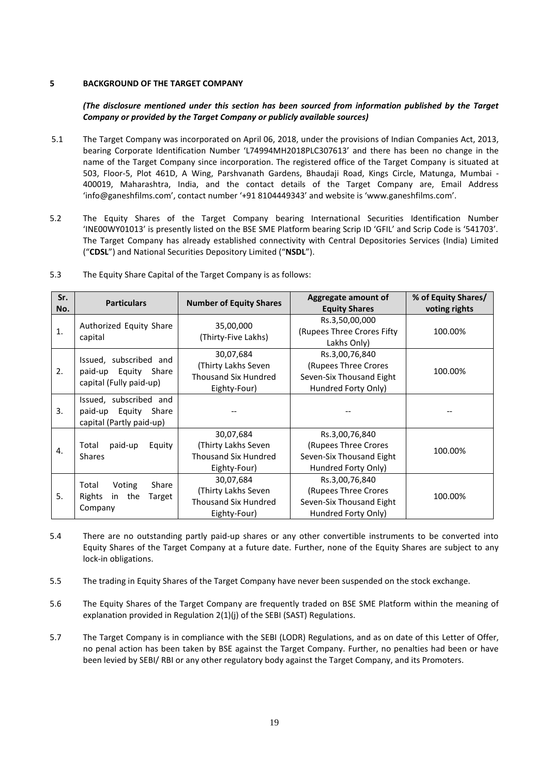## <span id="page-19-0"></span>**5 BACKGROUND OF THE TARGET COMPANY**

# *(The disclosure mentioned under this section has been sourced from information published by the Target Company or provided by the Target Company or publicly available sources)*

- 5.1 The Target Company was incorporated on April 06, 2018, under the provisions of Indian Companies Act, 2013, bearing Corporate Identification Number 'L74994MH2018PLC307613' and there has been no change in the name of the Target Company since incorporation. The registered office of the Target Company is situated at 503, Floor-5, Plot 461D, A Wing, Parshvanath Gardens, Bhaudaji Road, Kings Circle, Matunga, Mumbai - 400019, Maharashtra, India, and the contact details of the Target Company are, Email Address 'info@ganeshfilms.com', contact number '+91 8104449343' and website is 'www.ganeshfilms.com'.
- 5.2 The Equity Shares of the Target Company bearing International Securities Identification Number 'INE00WY01013' is presently listed on the BSE SME Platform bearing Scrip ID 'GFIL' and Scrip Code is '541703'. The Target Company has already established connectivity with Central Depositories Services (India) Limited ("**CDSL**") and National Securities Depository Limited ("**NSDL**").

| Sr. |                                                 | Aggregate amount of<br><b>Particulars</b><br><b>Number of Equity Shares</b> |                                               | % of Equity Shares/ |
|-----|-------------------------------------------------|-----------------------------------------------------------------------------|-----------------------------------------------|---------------------|
| No. |                                                 |                                                                             | <b>Equity Shares</b>                          | voting rights       |
| 1.  | Authorized Equity Share                         | 35,00,000                                                                   | Rs.3,50,00,000<br>(Rupees Three Crores Fifty) | 100.00%             |
|     | capital                                         | (Thirty-Five Lakhs)                                                         | Lakhs Only)                                   |                     |
|     | Issued, subscribed and                          | 30,07,684                                                                   | Rs.3,00,76,840                                |                     |
| 2.  |                                                 | (Thirty Lakhs Seven                                                         | (Rupees Three Crores                          | 100.00%             |
|     | paid-up Equity Share<br>capital (Fully paid-up) | <b>Thousand Six Hundred</b>                                                 | Seven-Six Thousand Eight                      |                     |
|     |                                                 | Eighty-Four)                                                                | Hundred Forty Only)                           |                     |
|     | Issued, subscribed and                          |                                                                             |                                               |                     |
| 3.  | paid-up Equity Share                            |                                                                             |                                               |                     |
|     | capital (Partly paid-up)                        |                                                                             |                                               |                     |
|     |                                                 | 30,07,684                                                                   | Rs.3,00,76,840                                |                     |
| 4.  | paid-up<br>Total<br>Equity                      | (Thirty Lakhs Seven                                                         | (Rupees Three Crores                          | 100.00%             |
|     | <b>Shares</b>                                   | <b>Thousand Six Hundred</b>                                                 | Seven-Six Thousand Eight                      |                     |
|     |                                                 | Eighty-Four)                                                                | Hundred Forty Only)                           |                     |
|     | Share<br>Total                                  | 30,07,684                                                                   | Rs.3,00,76,840                                |                     |
| 5.  | Voting                                          | (Thirty Lakhs Seven                                                         | (Rupees Three Crores                          | 100.00%             |
|     | Rights<br>the<br>Target<br>in                   | <b>Thousand Six Hundred</b>                                                 | Seven-Six Thousand Eight                      |                     |
|     | Company                                         | Eighty-Four)                                                                | Hundred Forty Only)                           |                     |

5.3 The Equity Share Capital of the Target Company is as follows:

- 5.4 There are no outstanding partly paid-up shares or any other convertible instruments to be converted into Equity Shares of the Target Company at a future date. Further, none of the Equity Shares are subject to any lock-in obligations.
- 5.5 The trading in Equity Shares of the Target Company have never been suspended on the stock exchange.
- 5.6 The Equity Shares of the Target Company are frequently traded on BSE SME Platform within the meaning of explanation provided in Regulation 2(1)(j) of the SEBI (SAST) Regulations.
- 5.7 The Target Company is in compliance with the SEBI (LODR) Regulations, and as on date of this Letter of Offer, no penal action has been taken by BSE against the Target Company. Further, no penalties had been or have been levied by SEBI/ RBI or any other regulatory body against the Target Company, and its Promoters.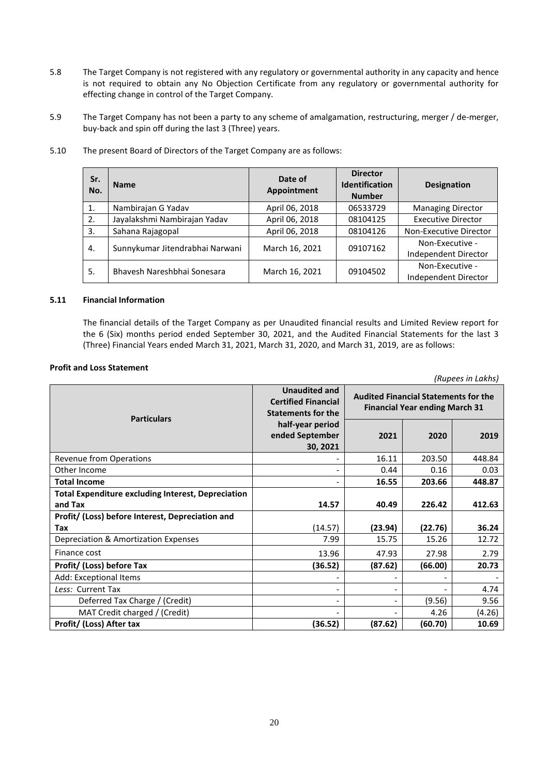- 5.8 The Target Company is not registered with any regulatory or governmental authority in any capacity and hence is not required to obtain any No Objection Certificate from any regulatory or governmental authority for effecting change in control of the Target Company.
- 5.9 The Target Company has not been a party to any scheme of amalgamation, restructuring, merger / de-merger, buy-back and spin off during the last 3 (Three) years.

| Sr.<br>No. | Date of<br><b>Name</b><br>Appointment |                | <b>Director</b><br><b>Identification</b><br><b>Number</b> | <b>Designation</b>                      |
|------------|---------------------------------------|----------------|-----------------------------------------------------------|-----------------------------------------|
| 1.         | Nambirajan G Yadav                    | April 06, 2018 | 06533729                                                  | <b>Managing Director</b>                |
| 2.         | Jayalakshmi Nambirajan Yadav          | April 06, 2018 | 08104125                                                  | <b>Executive Director</b>               |
| 3.         | Sahana Rajagopal                      | April 06, 2018 | 08104126                                                  | Non-Executive Director                  |
| 4.         | Sunnykumar Jitendrabhai Narwani       | March 16, 2021 | 09107162                                                  | Non-Executive -<br>Independent Director |
| 5.         | Bhavesh Nareshbhai Sonesara           | March 16, 2021 | 09104502                                                  | Non-Executive -<br>Independent Director |

5.10 The present Board of Directors of the Target Company are as follows:

#### **5.11 Financial Information**

The financial details of the Target Company as per Unaudited financial results and Limited Review report for the 6 (Six) months period ended September 30, 2021, and the Audited Financial Statements for the last 3 (Three) Financial Years ended March 31, 2021, March 31, 2020, and March 31, 2019, are as follows:

#### **Profit and Loss Statement**

**Particulars Unaudited and Certified Financial Statements for the half-year period ended September 30, 2021 Audited Financial Statements for the Financial Year ending March 31 2021 2020 2019** Revenue from Operations 16.11 203.50 448.84 Other Income - 0.44 0.16 0.03 **Total Income** - **16.55 203.66 448.87 Total Expenditure excluding Interest, Depreciation and Tax 14.57 40.49 226.42 412.63 Profit/ (Loss) before Interest, Depreciation and Tax** (14.57) **(23.94) (22.76) 36.24** Depreciation & Amortization Expenses 15.25 | 15.26 | 12.72 Finance cost **13.96 13.96 13.96 13.98 27.98 2.79 Profit/ (Loss) before Tax (36.52) (87.62) (66.00) 20.73** Add: Exceptional Items **Less:** Current Tax **a** and the set of the set of the set of the set of the set of the set of the set of the set of the set of the set of the set of the set of the set of the set of the set of the set of the set of the set Deferred Tax Charge / (Credit) - - (9.56) 9.56 MAT Credit charged / (Credit)  $\begin{vmatrix} 1 & 0 & -1 \\ 0 & -1 & -1 \end{vmatrix}$  (4.26)  $\begin{vmatrix} 4.26 & -1 \\ -1 & 4.26 \end{vmatrix}$  (4.26) **Profit/ (Loss) After tax (36.52) (87.62) (60.70) 10.69**

*(Rupees in Lakhs)*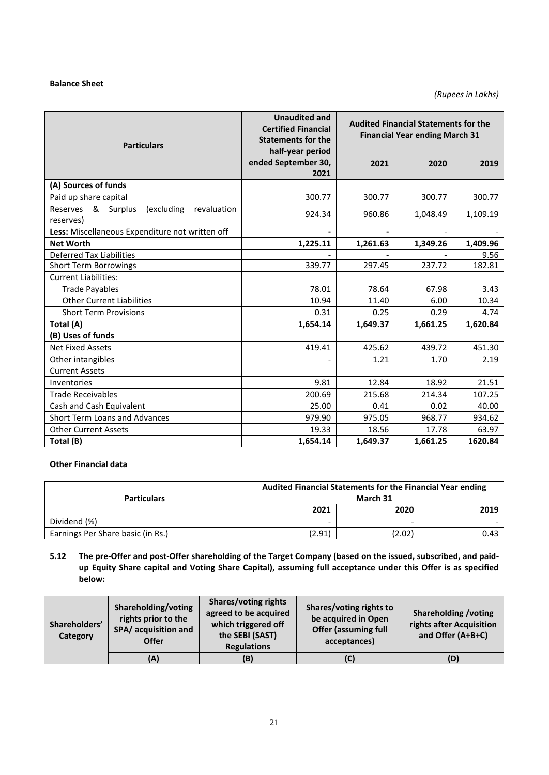## **Balance Sheet**

| <b>Particulars</b>                                              | <b>Unaudited and</b><br><b>Certified Financial</b><br><b>Statements for the</b> |          | <b>Audited Financial Statements for the</b><br><b>Financial Year ending March 31</b> |          |  |
|-----------------------------------------------------------------|---------------------------------------------------------------------------------|----------|--------------------------------------------------------------------------------------|----------|--|
|                                                                 | half-year period<br>ended September 30,<br>2021                                 | 2021     | 2020                                                                                 | 2019     |  |
| (A) Sources of funds                                            |                                                                                 |          |                                                                                      |          |  |
| Paid up share capital                                           | 300.77                                                                          | 300.77   | 300.77                                                                               | 300.77   |  |
| Reserves &<br>Surplus<br>(excluding<br>revaluation<br>reserves) | 924.34                                                                          | 960.86   | 1,048.49                                                                             | 1,109.19 |  |
| Less: Miscellaneous Expenditure not written off                 |                                                                                 |          |                                                                                      |          |  |
| <b>Net Worth</b>                                                | 1,225.11                                                                        | 1,261.63 | 1,349.26                                                                             | 1,409.96 |  |
| <b>Deferred Tax Liabilities</b>                                 |                                                                                 |          |                                                                                      | 9.56     |  |
| <b>Short Term Borrowings</b>                                    | 339.77                                                                          | 297.45   | 237.72                                                                               | 182.81   |  |
| <b>Current Liabilities:</b>                                     |                                                                                 |          |                                                                                      |          |  |
| <b>Trade Payables</b>                                           | 78.01                                                                           | 78.64    | 67.98                                                                                | 3.43     |  |
| <b>Other Current Liabilities</b>                                | 10.94                                                                           | 11.40    | 6.00                                                                                 | 10.34    |  |
| <b>Short Term Provisions</b>                                    | 0.31                                                                            | 0.25     | 0.29                                                                                 | 4.74     |  |
| Total (A)                                                       | 1,654.14                                                                        | 1,649.37 | 1,661.25                                                                             | 1,620.84 |  |
| (B) Uses of funds                                               |                                                                                 |          |                                                                                      |          |  |
| <b>Net Fixed Assets</b>                                         | 419.41                                                                          | 425.62   | 439.72                                                                               | 451.30   |  |
| Other intangibles                                               |                                                                                 | 1.21     | 1.70                                                                                 | 2.19     |  |
| <b>Current Assets</b>                                           |                                                                                 |          |                                                                                      |          |  |
| Inventories                                                     | 9.81                                                                            | 12.84    | 18.92                                                                                | 21.51    |  |
| <b>Trade Receivables</b>                                        | 200.69                                                                          | 215.68   | 214.34                                                                               | 107.25   |  |
| Cash and Cash Equivalent                                        | 25.00                                                                           | 0.41     | 0.02                                                                                 | 40.00    |  |
| Short Term Loans and Advances                                   | 979.90                                                                          | 975.05   | 968.77                                                                               | 934.62   |  |
| <b>Other Current Assets</b>                                     | 19.33                                                                           | 18.56    | 17.78                                                                                | 63.97    |  |
| Total (B)                                                       | 1,654.14                                                                        | 1,649.37 | 1,661.25                                                                             | 1620.84  |  |

# **Other Financial data**

| <b>Particulars</b>                | Audited Financial Statements for the Financial Year ending<br>March 31 |      |      |  |
|-----------------------------------|------------------------------------------------------------------------|------|------|--|
|                                   | 2021                                                                   | 2020 | 2019 |  |
| Dividend (%)                      | -                                                                      |      |      |  |
| Earnings Per Share basic (in Rs.) | (2.91)<br>(2.02)<br>0.43                                               |      |      |  |

# **5.12 The pre-Offer and post-Offer shareholding of the Target Company (based on the issued, subscribed, and paidup Equity Share capital and Voting Share Capital), assuming full acceptance under this Offer is as specified below:**

| Shareholders'<br>Category | Shareholding/voting<br>rights prior to the<br>SPA/ acquisition and<br><b>Offer</b> | <b>Shares/voting rights</b><br>agreed to be acquired<br>which triggered off<br>the SEBI (SAST)<br><b>Regulations</b> | Shares/voting rights to<br>be acquired in Open<br><b>Offer (assuming full</b><br>acceptances) | <b>Shareholding /voting</b><br>rights after Acquisition<br>and Offer (A+B+C) |
|---------------------------|------------------------------------------------------------------------------------|----------------------------------------------------------------------------------------------------------------------|-----------------------------------------------------------------------------------------------|------------------------------------------------------------------------------|
|                           | (A)                                                                                | (B)                                                                                                                  | (C)                                                                                           | (D)                                                                          |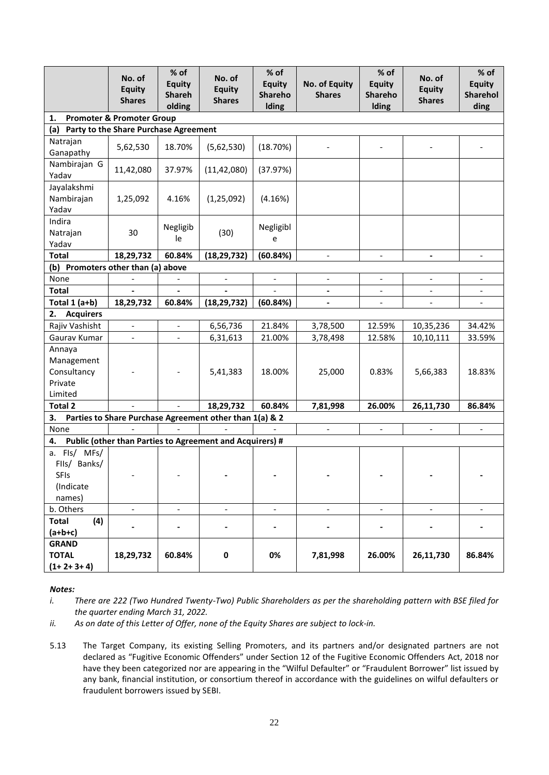|                                                             | No. of<br><b>Equity</b><br><b>Shares</b> | % of<br><b>Equity</b><br><b>Shareh</b><br>olding | No. of<br><b>Equity</b><br><b>Shares</b>                 | % of<br><b>Equity</b><br>Shareho<br>Iding | No. of Equity<br><b>Shares</b> | $%$ of<br><b>Equity</b><br>Shareho<br>Iding | No. of<br><b>Equity</b><br><b>Shares</b> | % of<br><b>Equity</b><br><b>Sharehol</b><br>ding |
|-------------------------------------------------------------|------------------------------------------|--------------------------------------------------|----------------------------------------------------------|-------------------------------------------|--------------------------------|---------------------------------------------|------------------------------------------|--------------------------------------------------|
| 1.                                                          | <b>Promoter &amp; Promoter Group</b>     |                                                  |                                                          |                                           |                                |                                             |                                          |                                                  |
| (a) Party to the Share Purchase Agreement                   |                                          |                                                  |                                                          |                                           |                                |                                             |                                          |                                                  |
| Natrajan<br>Ganapathy                                       | 5,62,530                                 | 18.70%                                           | (5,62,530)                                               | (18.70%)                                  |                                |                                             |                                          |                                                  |
| Nambirajan G<br>Yadav                                       | 11,42,080                                | 37.97%                                           | (11, 42, 080)                                            | (37.97%)                                  |                                |                                             |                                          |                                                  |
| Jayalakshmi<br>Nambirajan<br>Yadav                          | 1,25,092                                 | 4.16%                                            | (1, 25, 092)                                             | (4.16%)                                   |                                |                                             |                                          |                                                  |
| Indira<br>Natrajan<br>Yadav                                 | 30                                       | Negligib<br>le                                   | (30)                                                     | Negligibl<br>e                            |                                |                                             |                                          |                                                  |
| <b>Total</b>                                                | 18,29,732                                | 60.84%                                           | (18, 29, 732)                                            | (60.84%)                                  | $\overline{\phantom{a}}$       | $\overline{\phantom{a}}$                    | $\overline{\phantom{0}}$                 | $\blacksquare$                                   |
| (b) Promoters other than (a) above                          |                                          |                                                  |                                                          |                                           |                                |                                             |                                          |                                                  |
| None                                                        |                                          |                                                  |                                                          |                                           |                                |                                             |                                          |                                                  |
| <b>Total</b>                                                |                                          |                                                  |                                                          |                                           |                                |                                             |                                          |                                                  |
| Total 1 (a+b)                                               | 18,29,732                                | 60.84%                                           | (18, 29, 732)                                            | (60.84%)                                  |                                |                                             |                                          |                                                  |
| <b>Acquirers</b><br>2.                                      |                                          |                                                  |                                                          |                                           |                                |                                             |                                          |                                                  |
| Rajiv Vashisht                                              | $\overline{\phantom{a}}$                 | $\overline{\phantom{0}}$                         | 6,56,736                                                 | 21.84%                                    | 3,78,500                       | 12.59%                                      | 10,35,236                                | 34.42%                                           |
| Gaurav Kumar                                                | $\overline{\phantom{a}}$                 | $\overline{\phantom{0}}$                         | 6,31,613                                                 | 21.00%                                    | 3,78,498                       | 12.58%                                      | 10,10,111                                | 33.59%                                           |
| Annaya<br>Management<br>Consultancy<br>Private<br>Limited   |                                          |                                                  | 5,41,383                                                 | 18.00%                                    | 25,000                         | 0.83%                                       | 5,66,383                                 | 18.83%                                           |
| <b>Total 2</b>                                              |                                          |                                                  | 18,29,732                                                | 60.84%                                    | 7,81,998                       | 26.00%                                      | 26,11,730                                | 86.84%                                           |
| 3.                                                          |                                          |                                                  | Parties to Share Purchase Agreement other than 1(a) & 2  |                                           |                                |                                             |                                          |                                                  |
| None                                                        |                                          |                                                  |                                                          |                                           | $\overline{\phantom{a}}$       | $\overline{\phantom{a}}$                    | $\overline{\phantom{a}}$                 | $\overline{\phantom{0}}$                         |
| 4.                                                          |                                          |                                                  | Public (other than Parties to Agreement and Acquirers) # |                                           |                                |                                             |                                          |                                                  |
| a. Fls/ MFs/<br>Flls/ Banks/<br>SFIs<br>(Indicate<br>names) |                                          |                                                  |                                                          |                                           |                                |                                             |                                          |                                                  |
| b. Others                                                   | $\overline{\phantom{a}}$                 | $\overline{\phantom{a}}$                         | $\overline{\phantom{a}}$                                 | $\blacksquare$                            | $\blacksquare$                 | $\overline{\phantom{a}}$                    | $\overline{\phantom{a}}$                 | $\overline{\phantom{a}}$                         |
| (4)<br><b>Total</b><br>$(a+b+c)$                            | $\overline{\phantom{0}}$                 |                                                  | $\blacksquare$                                           | $\overline{\phantom{0}}$                  |                                | $\blacksquare$                              |                                          |                                                  |
| <b>GRAND</b><br><b>TOTAL</b><br>$(1+2+3+4)$                 | 18,29,732                                | 60.84%                                           | $\pmb{0}$                                                | 0%                                        | 7,81,998                       | 26.00%                                      | 26,11,730                                | 86.84%                                           |

# *Notes:*

*i. There are 222 (Two Hundred Twenty-Two) Public Shareholders as per the shareholding pattern with BSE filed for the quarter ending March 31, 2022.*

*ii. As on date of this Letter of Offer, none of the Equity Shares are subject to lock-in.*

5.13 The Target Company, its existing Selling Promoters, and its partners and/or designated partners are not declared as "Fugitive Economic Offenders" under Section 12 of the Fugitive Economic Offenders Act, 2018 nor have they been categorized nor are appearing in the "Wilful Defaulter" or "Fraudulent Borrower" list issued by any bank, financial institution, or consortium thereof in accordance with the guidelines on wilful defaulters or fraudulent borrowers issued by SEBI.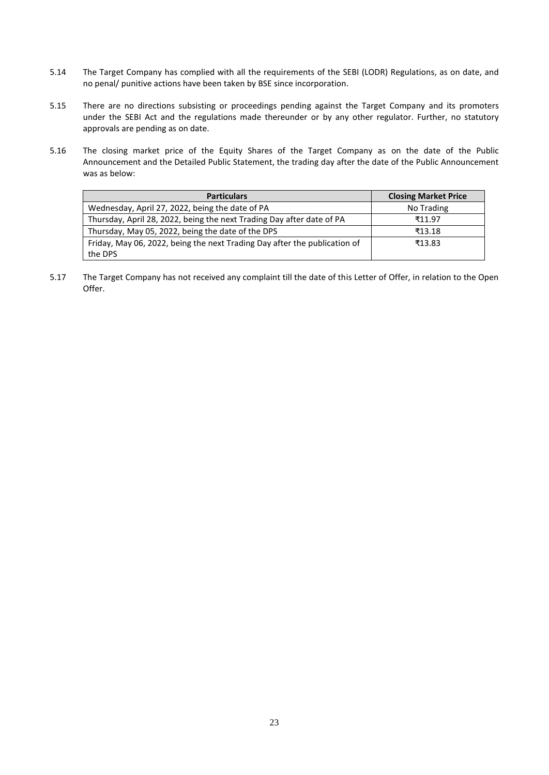- 5.14 The Target Company has complied with all the requirements of the SEBI (LODR) Regulations, as on date, and no penal/ punitive actions have been taken by BSE since incorporation.
- 5.15 There are no directions subsisting or proceedings pending against the Target Company and its promoters under the SEBI Act and the regulations made thereunder or by any other regulator. Further, no statutory approvals are pending as on date.
- 5.16 The closing market price of the Equity Shares of the Target Company as on the date of the Public Announcement and the Detailed Public Statement, the trading day after the date of the Public Announcement was as below:

| <b>Particulars</b>                                                        | <b>Closing Market Price</b> |
|---------------------------------------------------------------------------|-----------------------------|
| Wednesday, April 27, 2022, being the date of PA                           | No Trading                  |
| Thursday, April 28, 2022, being the next Trading Day after date of PA     | ₹11.97                      |
| Thursday, May 05, 2022, being the date of the DPS                         | ₹13.18                      |
| Friday, May 06, 2022, being the next Trading Day after the publication of | ₹13.83                      |
| the DPS                                                                   |                             |

5.17 The Target Company has not received any complaint till the date of this Letter of Offer, in relation to the Open Offer.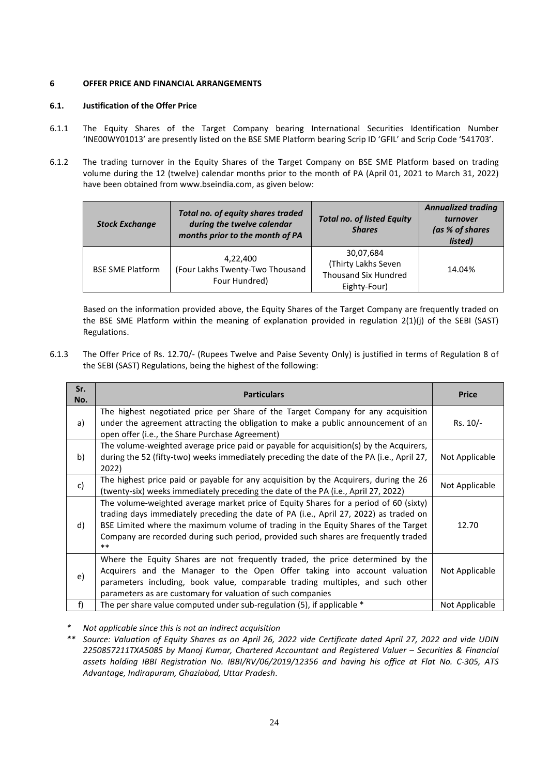# <span id="page-24-0"></span>**6 OFFER PRICE AND FINANCIAL ARRANGEMENTS**

# **6.1. Justification of the Offer Price**

- 6.1.1 The Equity Shares of the Target Company bearing International Securities Identification Number 'INE00WY01013' are presently listed on the BSE SME Platform bearing Scrip ID 'GFIL' and Scrip Code '541703'.
- 6.1.2 The trading turnover in the Equity Shares of the Target Company on BSE SME Platform based on trading volume during the 12 (twelve) calendar months prior to the month of PA (April 01, 2021 to March 31, 2022) have been obtained fro[m www.bseindia.com,](http://www.bseindia.com/) as given below:

| <b>Stock Exchange</b>   | Total no. of equity shares traded<br>during the twelve calendar<br>months prior to the month of PA | <b>Total no. of listed Equity</b><br><b>Shares</b>                              | <b>Annualized trading</b><br>turnover<br>(as % of shares<br>listed) |
|-------------------------|----------------------------------------------------------------------------------------------------|---------------------------------------------------------------------------------|---------------------------------------------------------------------|
| <b>BSE SME Platform</b> | 4,22,400<br>(Four Lakhs Twenty-Two Thousand<br>Four Hundred)                                       | 30,07,684<br>(Thirty Lakhs Seven<br><b>Thousand Six Hundred</b><br>Eighty-Four) | 14.04%                                                              |

Based on the information provided above, the Equity Shares of the Target Company are frequently traded on the BSE SME Platform within the meaning of explanation provided in regulation 2(1)(j) of the SEBI (SAST) Regulations.

6.1.3 The Offer Price of Rs. 12.70/- (Rupees Twelve and Paise Seventy Only) is justified in terms of Regulation 8 of the SEBI (SAST) Regulations, being the highest of the following:

| Sr.<br>No. | <b>Particulars</b>                                                                                                                                                                                                                                                                                                                                                  | <b>Price</b>   |
|------------|---------------------------------------------------------------------------------------------------------------------------------------------------------------------------------------------------------------------------------------------------------------------------------------------------------------------------------------------------------------------|----------------|
|            | The highest negotiated price per Share of the Target Company for any acquisition                                                                                                                                                                                                                                                                                    | Rs. 10/-       |
| a)         | under the agreement attracting the obligation to make a public announcement of an<br>open offer (i.e., the Share Purchase Agreement)                                                                                                                                                                                                                                |                |
| b)         | The volume-weighted average price paid or payable for acquisition(s) by the Acquirers,<br>during the 52 (fifty-two) weeks immediately preceding the date of the PA (i.e., April 27,<br>2022)                                                                                                                                                                        | Not Applicable |
| c)         | The highest price paid or payable for any acquisition by the Acquirers, during the 26<br>(twenty-six) weeks immediately preceding the date of the PA (i.e., April 27, 2022)                                                                                                                                                                                         | Not Applicable |
| d)         | The volume-weighted average market price of Equity Shares for a period of 60 (sixty)<br>trading days immediately preceding the date of PA (i.e., April 27, 2022) as traded on<br>BSE Limited where the maximum volume of trading in the Equity Shares of the Target<br>Company are recorded during such period, provided such shares are frequently traded<br>$***$ | 12.70          |
| e)         | Where the Equity Shares are not frequently traded, the price determined by the<br>Acquirers and the Manager to the Open Offer taking into account valuation<br>parameters including, book value, comparable trading multiples, and such other<br>parameters as are customary for valuation of such companies                                                        | Not Applicable |
| f)         | The per share value computed under sub-regulation (5), if applicable *                                                                                                                                                                                                                                                                                              | Not Applicable |

*\* Not applicable since this is not an indirect acquisition*

*\*\* Source: Valuation of Equity Shares as on April 26, 2022 vide Certificate dated April 27, 2022 and vide UDIN 2250857211TXA5085 by Manoj Kumar, Chartered Accountant and Registered Valuer – Securities & Financial assets holding IBBI Registration No. IBBI/RV/06/2019/12356 and having his office at Flat No. C-305, ATS Advantage, Indirapuram, Ghaziabad, Uttar Pradesh.*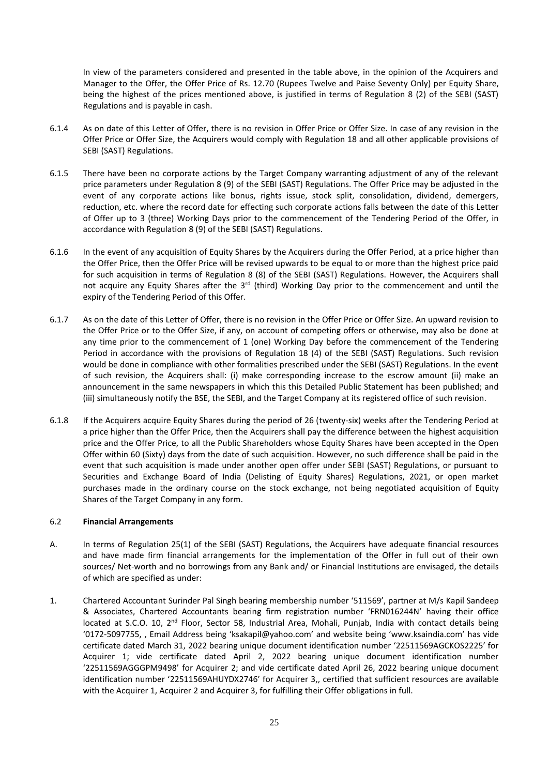In view of the parameters considered and presented in the table above, in the opinion of the Acquirers and Manager to the Offer, the Offer Price of Rs. 12.70 (Rupees Twelve and Paise Seventy Only) per Equity Share, being the highest of the prices mentioned above, is justified in terms of Regulation 8 (2) of the SEBI (SAST) Regulations and is payable in cash.

- 6.1.4 As on date of this Letter of Offer, there is no revision in Offer Price or Offer Size. In case of any revision in the Offer Price or Offer Size, the Acquirers would comply with Regulation 18 and all other applicable provisions of SEBI (SAST) Regulations.
- 6.1.5 There have been no corporate actions by the Target Company warranting adjustment of any of the relevant price parameters under Regulation 8 (9) of the SEBI (SAST) Regulations. The Offer Price may be adjusted in the event of any corporate actions like bonus, rights issue, stock split, consolidation, dividend, demergers, reduction, etc. where the record date for effecting such corporate actions falls between the date of this Letter of Offer up to 3 (three) Working Days prior to the commencement of the Tendering Period of the Offer, in accordance with Regulation 8 (9) of the SEBI (SAST) Regulations.
- 6.1.6 In the event of any acquisition of Equity Shares by the Acquirers during the Offer Period, at a price higher than the Offer Price, then the Offer Price will be revised upwards to be equal to or more than the highest price paid for such acquisition in terms of Regulation 8 (8) of the SEBI (SAST) Regulations. However, the Acquirers shall not acquire any Equity Shares after the 3<sup>rd</sup> (third) Working Day prior to the commencement and until the expiry of the Tendering Period of this Offer.
- 6.1.7 As on the date of this Letter of Offer, there is no revision in the Offer Price or Offer Size. An upward revision to the Offer Price or to the Offer Size, if any, on account of competing offers or otherwise, may also be done at any time prior to the commencement of 1 (one) Working Day before the commencement of the Tendering Period in accordance with the provisions of Regulation 18 (4) of the SEBI (SAST) Regulations. Such revision would be done in compliance with other formalities prescribed under the SEBI (SAST) Regulations. In the event of such revision, the Acquirers shall: (i) make corresponding increase to the escrow amount (ii) make an announcement in the same newspapers in which this this Detailed Public Statement has been published; and (iii) simultaneously notify the BSE, the SEBI, and the Target Company at its registered office of such revision.
- 6.1.8 If the Acquirers acquire Equity Shares during the period of 26 (twenty-six) weeks after the Tendering Period at a price higher than the Offer Price, then the Acquirers shall pay the difference between the highest acquisition price and the Offer Price, to all the Public Shareholders whose Equity Shares have been accepted in the Open Offer within 60 (Sixty) days from the date of such acquisition. However, no such difference shall be paid in the event that such acquisition is made under another open offer under SEBI (SAST) Regulations, or pursuant to Securities and Exchange Board of India (Delisting of Equity Shares) Regulations, 2021, or open market purchases made in the ordinary course on the stock exchange, not being negotiated acquisition of Equity Shares of the Target Company in any form.

### 6.2 **Financial Arrangements**

- A. In terms of Regulation 25(1) of the SEBI (SAST) Regulations, the Acquirers have adequate financial resources and have made firm financial arrangements for the implementation of the Offer in full out of their own sources/ Net-worth and no borrowings from any Bank and/ or Financial Institutions are envisaged, the details of which are specified as under:
- 1. Chartered Accountant Surinder Pal Singh bearing membership number '511569', partner at M/s Kapil Sandeep & Associates, Chartered Accountants bearing firm registration number 'FRN016244N' having their office located at S.C.O. 10, 2<sup>nd</sup> Floor, Sector 58, Industrial Area, Mohali, Punjab, India with contact details being '0172-5097755, , Email Address being 'ksakapil@yahoo.com' and website being 'www.ksaindia.com' has vide certificate dated March 31, 2022 bearing unique document identification number '22511569AGCKOS2225' for Acquirer 1; vide certificate dated April 2, 2022 bearing unique document identification number '22511569AGGGPM9498' for Acquirer 2; and vide certificate dated April 26, 2022 bearing unique document identification number '22511569AHUYDX2746' for Acquirer 3,, certified that sufficient resources are available with the Acquirer 1, Acquirer 2 and Acquirer 3, for fulfilling their Offer obligations in full.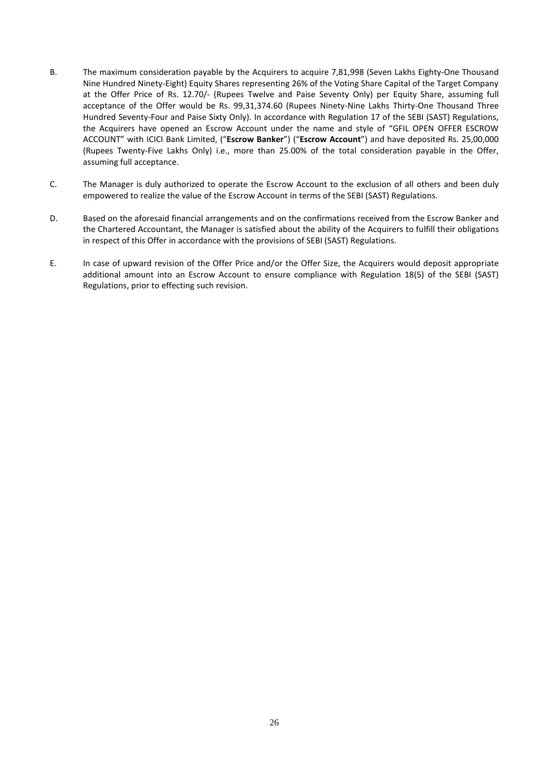- B. The maximum consideration payable by the Acquirers to acquire 7,81,998 (Seven Lakhs Eighty-One Thousand Nine Hundred Ninety-Eight) Equity Shares representing 26% of the Voting Share Capital of the Target Company at the Offer Price of Rs. 12.70/- (Rupees Twelve and Paise Seventy Only) per Equity Share, assuming full acceptance of the Offer would be Rs. 99,31,374.60 (Rupees Ninety-Nine Lakhs Thirty-One Thousand Three Hundred Seventy-Four and Paise Sixty Only). In accordance with Regulation 17 of the SEBI (SAST) Regulations, the Acquirers have opened an Escrow Account under the name and style of "GFIL OPEN OFFER ESCROW ACCOUNT" with ICICI Bank Limited, ("**Escrow Banker**") ("**Escrow Account**") and have deposited Rs. 25,00,000 (Rupees Twenty-Five Lakhs Only) i.e., more than 25.00% of the total consideration payable in the Offer, assuming full acceptance.
- C. The Manager is duly authorized to operate the Escrow Account to the exclusion of all others and been duly empowered to realize the value of the Escrow Account in terms of the SEBI (SAST) Regulations.
- D. Based on the aforesaid financial arrangements and on the confirmations received from the Escrow Banker and the Chartered Accountant, the Manager is satisfied about the ability of the Acquirers to fulfill their obligations in respect of this Offer in accordance with the provisions of SEBI (SAST) Regulations.
- E. In case of upward revision of the Offer Price and/or the Offer Size, the Acquirers would deposit appropriate additional amount into an Escrow Account to ensure compliance with Regulation 18(5) of the SEBI (SAST) Regulations, prior to effecting such revision.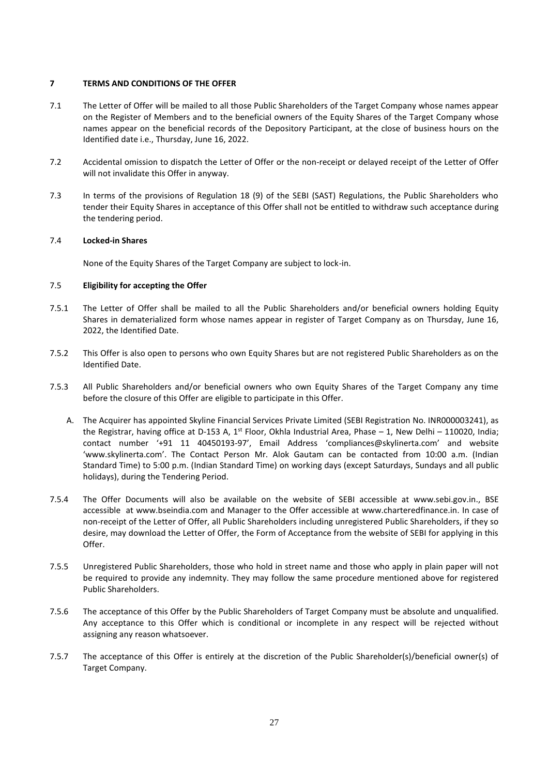### <span id="page-27-0"></span>**7 TERMS AND CONDITIONS OF THE OFFER**

- 7.1 The Letter of Offer will be mailed to all those Public Shareholders of the Target Company whose names appear on the Register of Members and to the beneficial owners of the Equity Shares of the Target Company whose names appear on the beneficial records of the Depository Participant, at the close of business hours on the Identified date i.e., Thursday, June 16, 2022.
- 7.2 Accidental omission to dispatch the Letter of Offer or the non-receipt or delayed receipt of the Letter of Offer will not invalidate this Offer in anyway.
- 7.3 In terms of the provisions of Regulation 18 (9) of the SEBI (SAST) Regulations, the Public Shareholders who tender their Equity Shares in acceptance of this Offer shall not be entitled to withdraw such acceptance during the tendering period.

### 7.4 **Locked-in Shares**

None of the Equity Shares of the Target Company are subject to lock-in.

#### 7.5 **Eligibility for accepting the Offer**

- 7.5.1 The Letter of Offer shall be mailed to all the Public Shareholders and/or beneficial owners holding Equity Shares in dematerialized form whose names appear in register of Target Company as on Thursday, June 16, 2022, the Identified Date.
- 7.5.2 This Offer is also open to persons who own Equity Shares but are not registered Public Shareholders as on the Identified Date.
- 7.5.3 All Public Shareholders and/or beneficial owners who own Equity Shares of the Target Company any time before the closure of this Offer are eligible to participate in this Offer.
	- A. The Acquirer has appointed Skyline Financial Services Private Limited (SEBI Registration No. INR000003241), as the Registrar, having office at D-153 A, 1<sup>st</sup> Floor, Okhla Industrial Area, Phase – 1, New Delhi – 110020, India; contact number '+91 11 40450193-97', Email Address 'compliances@skylinerta.com' and website 'www.skylinerta.com'. The Contact Person Mr. Alok Gautam can be contacted from 10:00 a.m. (Indian Standard Time) to 5:00 p.m. (Indian Standard Time) on working days (except Saturdays, Sundays and all public holidays), during the Tendering Period.
- 7.5.4 The Offer Documents will also be available on the website of SEBI accessible at [www.sebi.gov.in.](http://www.sebi.gov.in/), BSE accessible at [www.bseindia.com](http://www.bseindia.com/) and Manager to the Offer accessible at [www.charteredfinance.in.](http://www.charteredfinance.in/) In case of non-receipt of the Letter of Offer, all Public Shareholders including unregistered Public Shareholders, if they so desire, may download the Letter of Offer, the Form of Acceptance from the website of SEBI for applying in this Offer.
- 7.5.5 Unregistered Public Shareholders, those who hold in street name and those who apply in plain paper will not be required to provide any indemnity. They may follow the same procedure mentioned above for registered Public Shareholders.
- 7.5.6 The acceptance of this Offer by the Public Shareholders of Target Company must be absolute and unqualified. Any acceptance to this Offer which is conditional or incomplete in any respect will be rejected without assigning any reason whatsoever.
- 7.5.7 The acceptance of this Offer is entirely at the discretion of the Public Shareholder(s)/beneficial owner(s) of Target Company.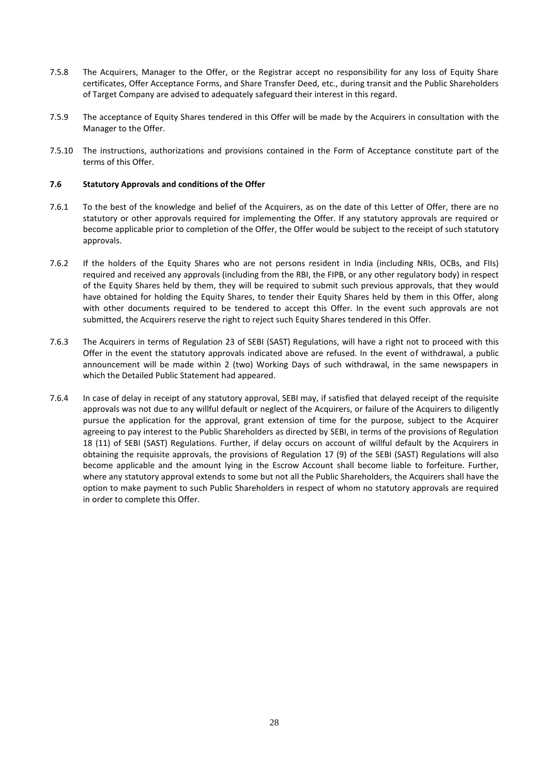- 7.5.8 The Acquirers, Manager to the Offer, or the Registrar accept no responsibility for any loss of Equity Share certificates, Offer Acceptance Forms, and Share Transfer Deed, etc., during transit and the Public Shareholders of Target Company are advised to adequately safeguard their interest in this regard.
- 7.5.9 The acceptance of Equity Shares tendered in this Offer will be made by the Acquirers in consultation with the Manager to the Offer.
- 7.5.10 The instructions, authorizations and provisions contained in the Form of Acceptance constitute part of the terms of this Offer.

### **7.6 Statutory Approvals and conditions of the Offer**

- 7.6.1 To the best of the knowledge and belief of the Acquirers, as on the date of this Letter of Offer, there are no statutory or other approvals required for implementing the Offer. If any statutory approvals are required or become applicable prior to completion of the Offer, the Offer would be subject to the receipt of such statutory approvals.
- 7.6.2 If the holders of the Equity Shares who are not persons resident in India (including NRIs, OCBs, and FIIs) required and received any approvals (including from the RBI, the FIPB, or any other regulatory body) in respect of the Equity Shares held by them, they will be required to submit such previous approvals, that they would have obtained for holding the Equity Shares, to tender their Equity Shares held by them in this Offer, along with other documents required to be tendered to accept this Offer. In the event such approvals are not submitted, the Acquirers reserve the right to reject such Equity Shares tendered in this Offer.
- 7.6.3 The Acquirers in terms of Regulation 23 of SEBI (SAST) Regulations, will have a right not to proceed with this Offer in the event the statutory approvals indicated above are refused. In the event of withdrawal, a public announcement will be made within 2 (two) Working Days of such withdrawal, in the same newspapers in which the Detailed Public Statement had appeared.
- 7.6.4 In case of delay in receipt of any statutory approval, SEBI may, if satisfied that delayed receipt of the requisite approvals was not due to any willful default or neglect of the Acquirers, or failure of the Acquirers to diligently pursue the application for the approval, grant extension of time for the purpose, subject to the Acquirer agreeing to pay interest to the Public Shareholders as directed by SEBI, in terms of the provisions of Regulation 18 (11) of SEBI (SAST) Regulations. Further, if delay occurs on account of willful default by the Acquirers in obtaining the requisite approvals, the provisions of Regulation 17 (9) of the SEBI (SAST) Regulations will also become applicable and the amount lying in the Escrow Account shall become liable to forfeiture. Further, where any statutory approval extends to some but not all the Public Shareholders, the Acquirers shall have the option to make payment to such Public Shareholders in respect of whom no statutory approvals are required in order to complete this Offer.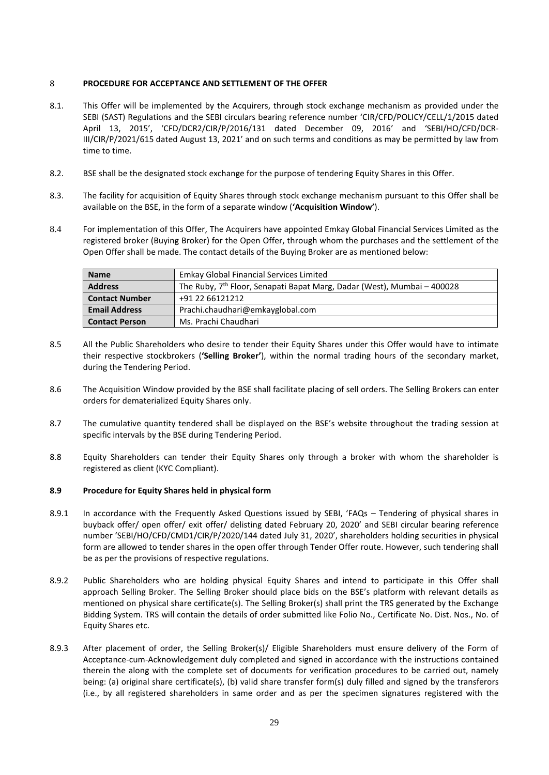### <span id="page-29-0"></span>8 **PROCEDURE FOR ACCEPTANCE AND SETTLEMENT OF THE OFFER**

- 8.1. This Offer will be implemented by the Acquirers, through stock exchange mechanism as provided under the SEBI (SAST) Regulations and the SEBI circulars bearing reference number 'CIR/CFD/POLICY/CELL/1/2015 dated April 13, 2015', 'CFD/DCR2/CIR/P/2016/131 dated December 09, 2016' and 'SEBI/HO/CFD/DCR-III/CIR/P/2021/615 dated August 13, 2021' and on such terms and conditions as may be permitted by law from time to time.
- 8.2. BSE shall be the designated stock exchange for the purpose of tendering Equity Shares in this Offer.
- 8.3. The facility for acquisition of Equity Shares through stock exchange mechanism pursuant to this Offer shall be available on the BSE, in the form of a separate window (**'Acquisition Window'**).
- 8.4 For implementation of this Offer, The Acquirers have appointed Emkay Global Financial Services Limited as the registered broker (Buying Broker) for the Open Offer, through whom the purchases and the settlement of the Open Offer shall be made. The contact details of the Buying Broker are as mentioned below:

| <b>Name</b>           | <b>Emkay Global Financial Services Limited</b>                                      |
|-----------------------|-------------------------------------------------------------------------------------|
| <b>Address</b>        | The Ruby, 7 <sup>th</sup> Floor, Senapati Bapat Marg, Dadar (West), Mumbai - 400028 |
| <b>Contact Number</b> | +91 22 66121212                                                                     |
| <b>Email Address</b>  | Prachi.chaudhari@emkayglobal.com                                                    |
| <b>Contact Person</b> | Ms. Prachi Chaudhari                                                                |

- 8.5 All the Public Shareholders who desire to tender their Equity Shares under this Offer would have to intimate their respective stockbrokers (**'Selling Broker'**), within the normal trading hours of the secondary market, during the Tendering Period.
- 8.6 The Acquisition Window provided by the BSE shall facilitate placing of sell orders. The Selling Brokers can enter orders for dematerialized Equity Shares only.
- 8.7 The cumulative quantity tendered shall be displayed on the BSE's website throughout the trading session at specific intervals by the BSE during Tendering Period.
- 8.8 Equity Shareholders can tender their Equity Shares only through a broker with whom the shareholder is registered as client (KYC Compliant).

### **8.9 Procedure for Equity Shares held in physical form**

- 8.9.1 In accordance with the Frequently Asked Questions issued by SEBI, 'FAQs Tendering of physical shares in buyback offer/ open offer/ exit offer/ delisting dated February 20, 2020' and SEBI circular bearing reference number 'SEBI/HO/CFD/CMD1/CIR/P/2020/144 dated July 31, 2020', shareholders holding securities in physical form are allowed to tender shares in the open offer through Tender Offer route. However, such tendering shall be as per the provisions of respective regulations.
- 8.9.2 Public Shareholders who are holding physical Equity Shares and intend to participate in this Offer shall approach Selling Broker. The Selling Broker should place bids on the BSE's platform with relevant details as mentioned on physical share certificate(s). The Selling Broker(s) shall print the TRS generated by the Exchange Bidding System. TRS will contain the details of order submitted like Folio No., Certificate No. Dist. Nos., No. of Equity Shares etc.
- 8.9.3 After placement of order, the Selling Broker(s)/ Eligible Shareholders must ensure delivery of the Form of Acceptance-cum-Acknowledgement duly completed and signed in accordance with the instructions contained therein the along with the complete set of documents for verification procedures to be carried out, namely being: (a) original share certificate(s), (b) valid share transfer form(s) duly filled and signed by the transferors (i.e., by all registered shareholders in same order and as per the specimen signatures registered with the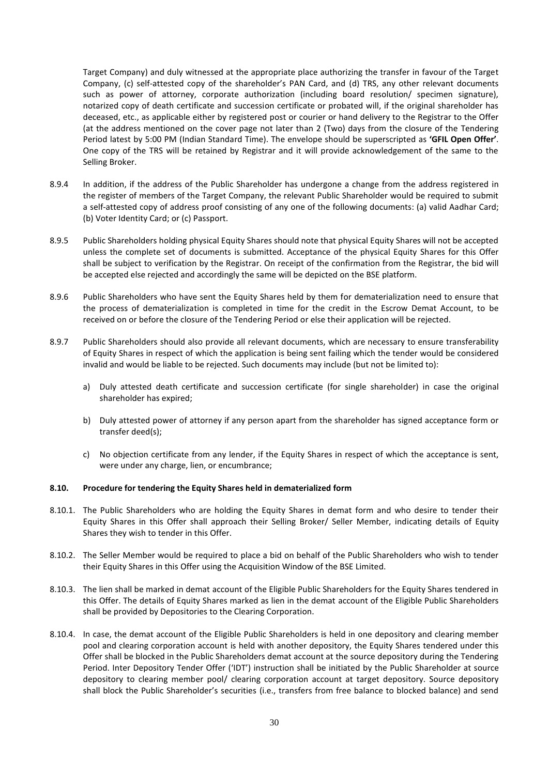Target Company) and duly witnessed at the appropriate place authorizing the transfer in favour of the Target Company, (c) self-attested copy of the shareholder's PAN Card, and (d) TRS, any other relevant documents such as power of attorney, corporate authorization (including board resolution/ specimen signature), notarized copy of death certificate and succession certificate or probated will, if the original shareholder has deceased, etc., as applicable either by registered post or courier or hand delivery to the Registrar to the Offer (at the address mentioned on the cover page not later than 2 (Two) days from the closure of the Tendering Period latest by 5:00 PM (Indian Standard Time). The envelope should be superscripted as **'GFIL Open Offer'**. One copy of the TRS will be retained by Registrar and it will provide acknowledgement of the same to the Selling Broker.

- 8.9.4 In addition, if the address of the Public Shareholder has undergone a change from the address registered in the register of members of the Target Company, the relevant Public Shareholder would be required to submit a self-attested copy of address proof consisting of any one of the following documents: (a) valid Aadhar Card; (b) Voter Identity Card; or (c) Passport.
- 8.9.5 Public Shareholders holding physical Equity Shares should note that physical Equity Shares will not be accepted unless the complete set of documents is submitted. Acceptance of the physical Equity Shares for this Offer shall be subject to verification by the Registrar. On receipt of the confirmation from the Registrar, the bid will be accepted else rejected and accordingly the same will be depicted on the BSE platform.
- 8.9.6 Public Shareholders who have sent the Equity Shares held by them for dematerialization need to ensure that the process of dematerialization is completed in time for the credit in the Escrow Demat Account, to be received on or before the closure of the Tendering Period or else their application will be rejected.
- 8.9.7 Public Shareholders should also provide all relevant documents, which are necessary to ensure transferability of Equity Shares in respect of which the application is being sent failing which the tender would be considered invalid and would be liable to be rejected. Such documents may include (but not be limited to):
	- a) Duly attested death certificate and succession certificate (for single shareholder) in case the original shareholder has expired;
	- b) Duly attested power of attorney if any person apart from the shareholder has signed acceptance form or transfer deed(s);
	- c) No objection certificate from any lender, if the Equity Shares in respect of which the acceptance is sent, were under any charge, lien, or encumbrance;

#### **8.10. Procedure for tendering the Equity Shares held in dematerialized form**

- 8.10.1. The Public Shareholders who are holding the Equity Shares in demat form and who desire to tender their Equity Shares in this Offer shall approach their Selling Broker/ Seller Member, indicating details of Equity Shares they wish to tender in this Offer.
- 8.10.2. The Seller Member would be required to place a bid on behalf of the Public Shareholders who wish to tender their Equity Shares in this Offer using the Acquisition Window of the BSE Limited.
- 8.10.3. The lien shall be marked in demat account of the Eligible Public Shareholders for the Equity Shares tendered in this Offer. The details of Equity Shares marked as lien in the demat account of the Eligible Public Shareholders shall be provided by Depositories to the Clearing Corporation.
- 8.10.4. In case, the demat account of the Eligible Public Shareholders is held in one depository and clearing member pool and clearing corporation account is held with another depository, the Equity Shares tendered under this Offer shall be blocked in the Public Shareholders demat account at the source depository during the Tendering Period. Inter Depository Tender Offer ('IDT') instruction shall be initiated by the Public Shareholder at source depository to clearing member pool/ clearing corporation account at target depository. Source depository shall block the Public Shareholder's securities (i.e., transfers from free balance to blocked balance) and send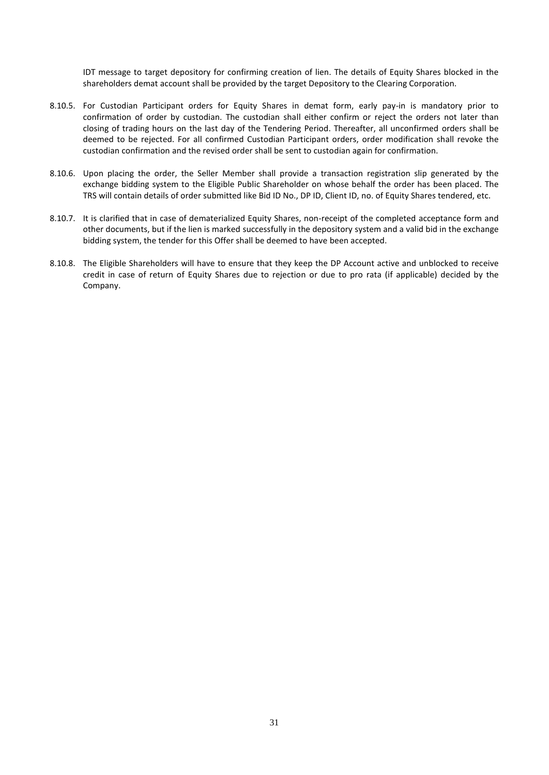IDT message to target depository for confirming creation of lien. The details of Equity Shares blocked in the shareholders demat account shall be provided by the target Depository to the Clearing Corporation.

- 8.10.5. For Custodian Participant orders for Equity Shares in demat form, early pay-in is mandatory prior to confirmation of order by custodian. The custodian shall either confirm or reject the orders not later than closing of trading hours on the last day of the Tendering Period. Thereafter, all unconfirmed orders shall be deemed to be rejected. For all confirmed Custodian Participant orders, order modification shall revoke the custodian confirmation and the revised order shall be sent to custodian again for confirmation.
- 8.10.6. Upon placing the order, the Seller Member shall provide a transaction registration slip generated by the exchange bidding system to the Eligible Public Shareholder on whose behalf the order has been placed. The TRS will contain details of order submitted like Bid ID No., DP ID, Client ID, no. of Equity Shares tendered, etc.
- 8.10.7. It is clarified that in case of dematerialized Equity Shares, non-receipt of the completed acceptance form and other documents, but if the lien is marked successfully in the depository system and a valid bid in the exchange bidding system, the tender for this Offer shall be deemed to have been accepted.
- 8.10.8. The Eligible Shareholders will have to ensure that they keep the DP Account active and unblocked to receive credit in case of return of Equity Shares due to rejection or due to pro rata (if applicable) decided by the Company.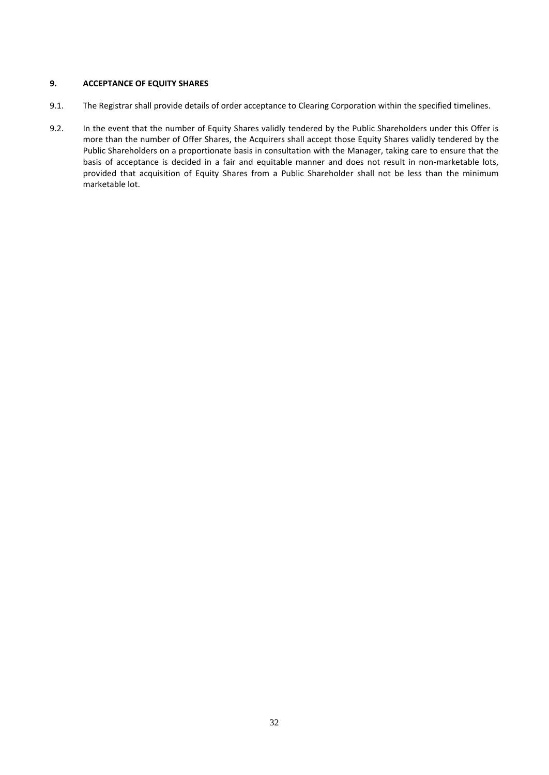# <span id="page-32-0"></span>**9. ACCEPTANCE OF EQUITY SHARES**

- 9.1. The Registrar shall provide details of order acceptance to Clearing Corporation within the specified timelines.
- 9.2. In the event that the number of Equity Shares validly tendered by the Public Shareholders under this Offer is more than the number of Offer Shares, the Acquirers shall accept those Equity Shares validly tendered by the Public Shareholders on a proportionate basis in consultation with the Manager, taking care to ensure that the basis of acceptance is decided in a fair and equitable manner and does not result in non-marketable lots, provided that acquisition of Equity Shares from a Public Shareholder shall not be less than the minimum marketable lot.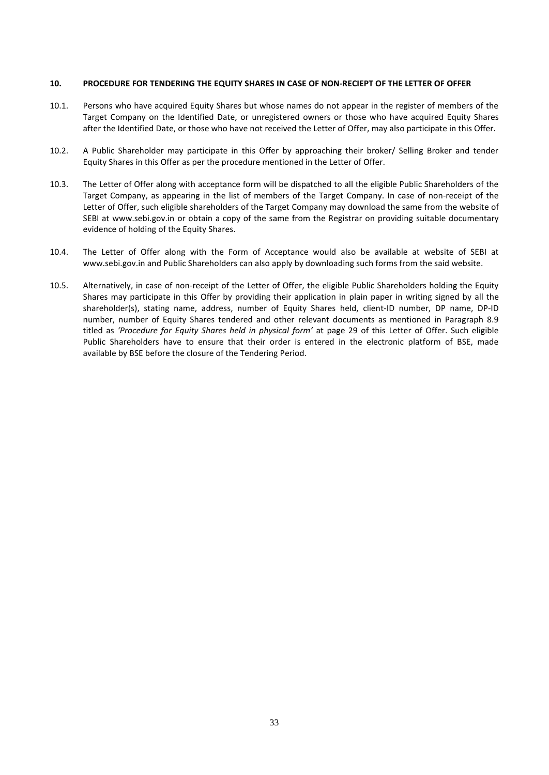#### <span id="page-33-0"></span>**10. PROCEDURE FOR TENDERING THE EQUITY SHARES IN CASE OF NON-RECIEPT OF THE LETTER OF OFFER**

- 10.1. Persons who have acquired Equity Shares but whose names do not appear in the register of members of the Target Company on the Identified Date, or unregistered owners or those who have acquired Equity Shares after the Identified Date, or those who have not received the Letter of Offer, may also participate in this Offer.
- 10.2. A Public Shareholder may participate in this Offer by approaching their broker/ Selling Broker and tender Equity Shares in this Offer as per the procedure mentioned in the Letter of Offer.
- 10.3. The Letter of Offer along with acceptance form will be dispatched to all the eligible Public Shareholders of the Target Company, as appearing in the list of members of the Target Company. In case of non-receipt of the Letter of Offer, such eligible shareholders of the Target Company may download the same from the website of SEBI at [www.sebi.gov.in](http://www.sebi.gov.in/) or obtain a copy of the same from the Registrar on providing suitable documentary evidence of holding of the Equity Shares.
- 10.4. The Letter of Offer along with the Form of Acceptance would also be available at website of SEBI at [www.sebi.gov.in](http://www.sebi.gov.in/) and Public Shareholders can also apply by downloading such forms from the said website.
- 10.5. Alternatively, in case of non-receipt of the Letter of Offer, the eligible Public Shareholders holding the Equity Shares may participate in this Offer by providing their application in plain paper in writing signed by all the shareholder(s), stating name, address, number of Equity Shares held, client-ID number, DP name, DP-ID number, number of Equity Shares tendered and other relevant documents as mentioned in Paragraph 8.9 titled as *'Procedure for Equity Shares held in physical form'* at page 29 of this Letter of Offer. Such eligible Public Shareholders have to ensure that their order is entered in the electronic platform of BSE, made available by BSE before the closure of the Tendering Period.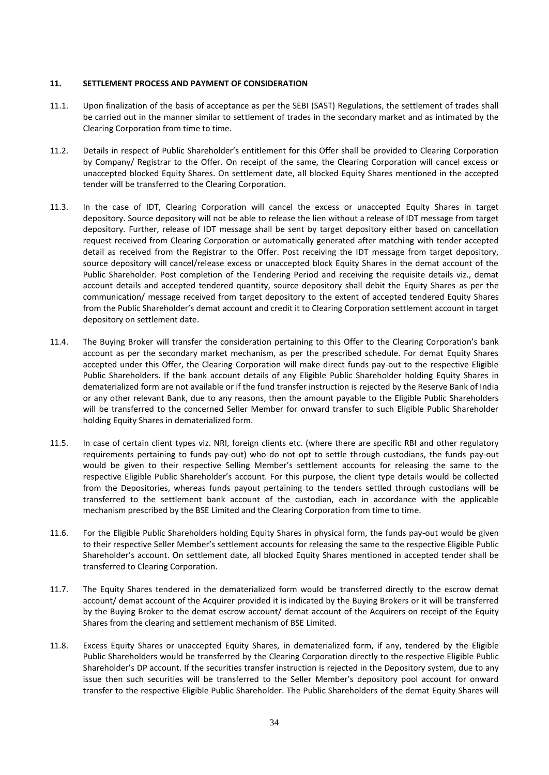#### <span id="page-34-0"></span>**11. SETTLEMENT PROCESS AND PAYMENT OF CONSIDERATION**

- 11.1. Upon finalization of the basis of acceptance as per the SEBI (SAST) Regulations, the settlement of trades shall be carried out in the manner similar to settlement of trades in the secondary market and as intimated by the Clearing Corporation from time to time.
- 11.2. Details in respect of Public Shareholder's entitlement for this Offer shall be provided to Clearing Corporation by Company/ Registrar to the Offer. On receipt of the same, the Clearing Corporation will cancel excess or unaccepted blocked Equity Shares. On settlement date, all blocked Equity Shares mentioned in the accepted tender will be transferred to the Clearing Corporation.
- 11.3. In the case of IDT, Clearing Corporation will cancel the excess or unaccepted Equity Shares in target depository. Source depository will not be able to release the lien without a release of IDT message from target depository. Further, release of IDT message shall be sent by target depository either based on cancellation request received from Clearing Corporation or automatically generated after matching with tender accepted detail as received from the Registrar to the Offer. Post receiving the IDT message from target depository, source depository will cancel/release excess or unaccepted block Equity Shares in the demat account of the Public Shareholder. Post completion of the Tendering Period and receiving the requisite details viz., demat account details and accepted tendered quantity, source depository shall debit the Equity Shares as per the communication/ message received from target depository to the extent of accepted tendered Equity Shares from the Public Shareholder's demat account and credit it to Clearing Corporation settlement account in target depository on settlement date.
- 11.4. The Buying Broker will transfer the consideration pertaining to this Offer to the Clearing Corporation's bank account as per the secondary market mechanism, as per the prescribed schedule. For demat Equity Shares accepted under this Offer, the Clearing Corporation will make direct funds pay-out to the respective Eligible Public Shareholders. If the bank account details of any Eligible Public Shareholder holding Equity Shares in dematerialized form are not available or if the fund transfer instruction is rejected by the Reserve Bank of India or any other relevant Bank, due to any reasons, then the amount payable to the Eligible Public Shareholders will be transferred to the concerned Seller Member for onward transfer to such Eligible Public Shareholder holding Equity Shares in dematerialized form.
- 11.5. In case of certain client types viz. NRI, foreign clients etc. (where there are specific RBI and other regulatory requirements pertaining to funds pay-out) who do not opt to settle through custodians, the funds pay-out would be given to their respective Selling Member's settlement accounts for releasing the same to the respective Eligible Public Shareholder's account. For this purpose, the client type details would be collected from the Depositories, whereas funds payout pertaining to the tenders settled through custodians will be transferred to the settlement bank account of the custodian, each in accordance with the applicable mechanism prescribed by the BSE Limited and the Clearing Corporation from time to time.
- 11.6. For the Eligible Public Shareholders holding Equity Shares in physical form, the funds pay-out would be given to their respective Seller Member's settlement accounts for releasing the same to the respective Eligible Public Shareholder's account. On settlement date, all blocked Equity Shares mentioned in accepted tender shall be transferred to Clearing Corporation.
- 11.7. The Equity Shares tendered in the dematerialized form would be transferred directly to the escrow demat account/ demat account of the Acquirer provided it is indicated by the Buying Brokers or it will be transferred by the Buying Broker to the demat escrow account/ demat account of the Acquirers on receipt of the Equity Shares from the clearing and settlement mechanism of BSE Limited.
- 11.8. Excess Equity Shares or unaccepted Equity Shares, in dematerialized form, if any, tendered by the Eligible Public Shareholders would be transferred by the Clearing Corporation directly to the respective Eligible Public Shareholder's DP account. If the securities transfer instruction is rejected in the Depository system, due to any issue then such securities will be transferred to the Seller Member's depository pool account for onward transfer to the respective Eligible Public Shareholder. The Public Shareholders of the demat Equity Shares will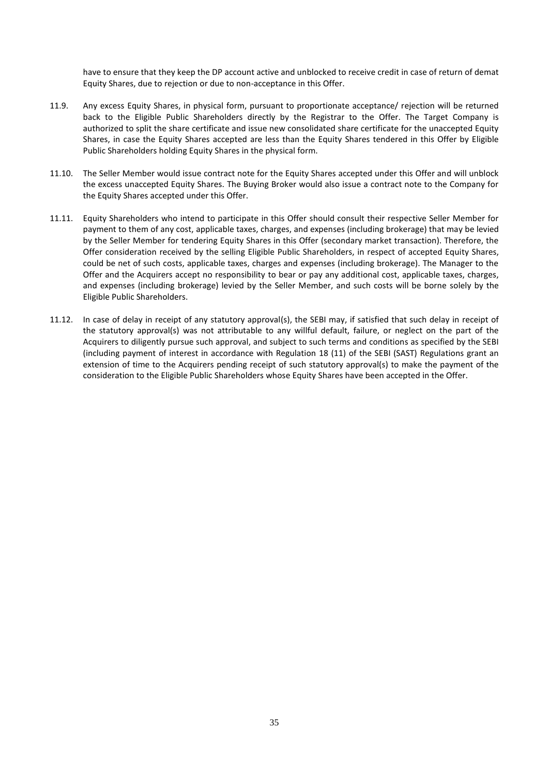have to ensure that they keep the DP account active and unblocked to receive credit in case of return of demat Equity Shares, due to rejection or due to non-acceptance in this Offer.

- 11.9. Any excess Equity Shares, in physical form, pursuant to proportionate acceptance/ rejection will be returned back to the Eligible Public Shareholders directly by the Registrar to the Offer. The Target Company is authorized to split the share certificate and issue new consolidated share certificate for the unaccepted Equity Shares, in case the Equity Shares accepted are less than the Equity Shares tendered in this Offer by Eligible Public Shareholders holding Equity Shares in the physical form.
- 11.10. The Seller Member would issue contract note for the Equity Shares accepted under this Offer and will unblock the excess unaccepted Equity Shares. The Buying Broker would also issue a contract note to the Company for the Equity Shares accepted under this Offer.
- 11.11. Equity Shareholders who intend to participate in this Offer should consult their respective Seller Member for payment to them of any cost, applicable taxes, charges, and expenses (including brokerage) that may be levied by the Seller Member for tendering Equity Shares in this Offer (secondary market transaction). Therefore, the Offer consideration received by the selling Eligible Public Shareholders, in respect of accepted Equity Shares, could be net of such costs, applicable taxes, charges and expenses (including brokerage). The Manager to the Offer and the Acquirers accept no responsibility to bear or pay any additional cost, applicable taxes, charges, and expenses (including brokerage) levied by the Seller Member, and such costs will be borne solely by the Eligible Public Shareholders.
- 11.12. In case of delay in receipt of any statutory approval(s), the SEBI may, if satisfied that such delay in receipt of the statutory approval(s) was not attributable to any willful default, failure, or neglect on the part of the Acquirers to diligently pursue such approval, and subject to such terms and conditions as specified by the SEBI (including payment of interest in accordance with Regulation 18 (11) of the SEBI (SAST) Regulations grant an extension of time to the Acquirers pending receipt of such statutory approval(s) to make the payment of the consideration to the Eligible Public Shareholders whose Equity Shares have been accepted in the Offer.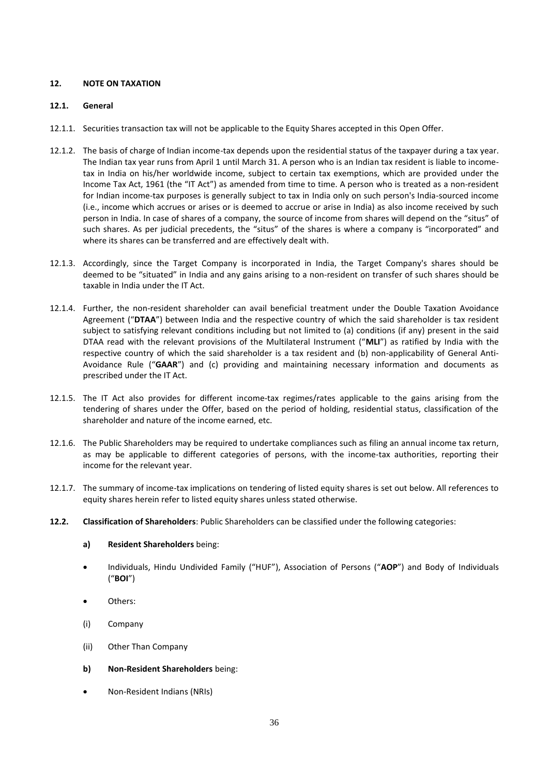# <span id="page-36-0"></span>**12. NOTE ON TAXATION**

### **12.1. General**

- 12.1.1. Securities transaction tax will not be applicable to the Equity Shares accepted in this Open Offer.
- 12.1.2. The basis of charge of Indian income-tax depends upon the residential status of the taxpayer during a tax year. The Indian tax year runs from April 1 until March 31. A person who is an Indian tax resident is liable to incometax in India on his/her worldwide income, subject to certain tax exemptions, which are provided under the Income Tax Act, 1961 (the "IT Act") as amended from time to time. A person who is treated as a non-resident for Indian income-tax purposes is generally subject to tax in India only on such person's India-sourced income (i.e., income which accrues or arises or is deemed to accrue or arise in India) as also income received by such person in India. In case of shares of a company, the source of income from shares will depend on the "situs" of such shares. As per judicial precedents, the "situs" of the shares is where a company is "incorporated" and where its shares can be transferred and are effectively dealt with.
- 12.1.3. Accordingly, since the Target Company is incorporated in India, the Target Company's shares should be deemed to be "situated" in India and any gains arising to a non-resident on transfer of such shares should be taxable in India under the IT Act.
- 12.1.4. Further, the non-resident shareholder can avail beneficial treatment under the Double Taxation Avoidance Agreement ("**DTAA**") between India and the respective country of which the said shareholder is tax resident subject to satisfying relevant conditions including but not limited to (a) conditions (if any) present in the said DTAA read with the relevant provisions of the Multilateral Instrument ("**MLI**") as ratified by India with the respective country of which the said shareholder is a tax resident and (b) non-applicability of General Anti-Avoidance Rule ("**GAAR**") and (c) providing and maintaining necessary information and documents as prescribed under the IT Act.
- 12.1.5. The IT Act also provides for different income-tax regimes/rates applicable to the gains arising from the tendering of shares under the Offer, based on the period of holding, residential status, classification of the shareholder and nature of the income earned, etc.
- 12.1.6. The Public Shareholders may be required to undertake compliances such as filing an annual income tax return, as may be applicable to different categories of persons, with the income-tax authorities, reporting their income for the relevant year.
- 12.1.7. The summary of income-tax implications on tendering of listed equity shares is set out below. All references to equity shares herein refer to listed equity shares unless stated otherwise.
- **12.2. Classification of Shareholders**: Public Shareholders can be classified under the following categories:
	- **a) Resident Shareholders** being:
	- Individuals, Hindu Undivided Family ("HUF"), Association of Persons ("**AOP**") and Body of Individuals ("**BOI**")
	- Others:
	- (i) Company
	- (ii) Other Than Company
	- **b) Non-Resident Shareholders** being:
	- Non-Resident Indians (NRIs)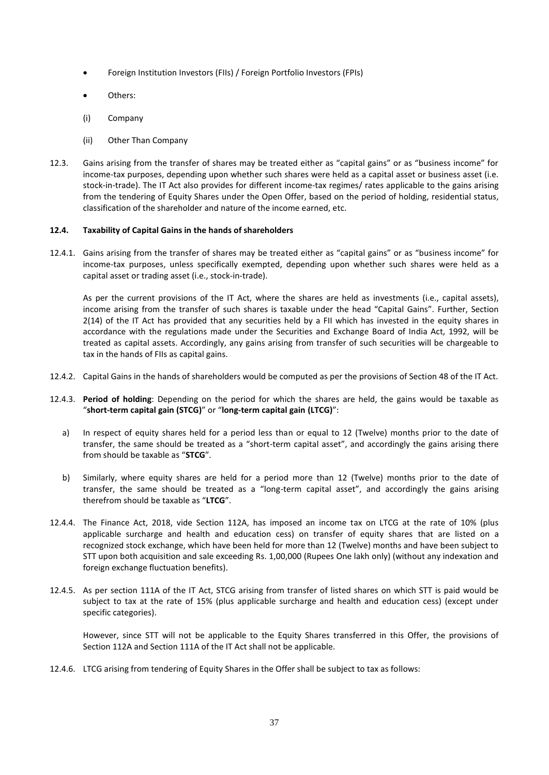- Foreign Institution Investors (FIIs) / Foreign Portfolio Investors (FPIs)
- Others:
- (i) Company
- (ii) Other Than Company
- 12.3. Gains arising from the transfer of shares may be treated either as "capital gains" or as "business income" for income-tax purposes, depending upon whether such shares were held as a capital asset or business asset (i.e. stock-in-trade). The IT Act also provides for different income-tax regimes/ rates applicable to the gains arising from the tendering of Equity Shares under the Open Offer, based on the period of holding, residential status, classification of the shareholder and nature of the income earned, etc.

### **12.4. Taxability of Capital Gains in the hands of shareholders**

12.4.1. Gains arising from the transfer of shares may be treated either as "capital gains" or as "business income" for income-tax purposes, unless specifically exempted, depending upon whether such shares were held as a capital asset or trading asset (i.e., stock-in-trade).

As per the current provisions of the IT Act, where the shares are held as investments (i.e., capital assets), income arising from the transfer of such shares is taxable under the head "Capital Gains". Further, Section 2(14) of the IT Act has provided that any securities held by a FII which has invested in the equity shares in accordance with the regulations made under the Securities and Exchange Board of India Act, 1992, will be treated as capital assets. Accordingly, any gains arising from transfer of such securities will be chargeable to tax in the hands of FIIs as capital gains.

- 12.4.2. Capital Gains in the hands of shareholders would be computed as per the provisions of Section 48 of the IT Act.
- 12.4.3. **Period of holding**: Depending on the period for which the shares are held, the gains would be taxable as "**short-term capital gain (STCG)**" or "**long-term capital gain (LTCG)**":
	- a) In respect of equity shares held for a period less than or equal to 12 (Twelve) months prior to the date of transfer, the same should be treated as a "short-term capital asset", and accordingly the gains arising there from should be taxable as "**STCG**".
	- b) Similarly, where equity shares are held for a period more than 12 (Twelve) months prior to the date of transfer, the same should be treated as a "long-term capital asset", and accordingly the gains arising therefrom should be taxable as "**LTCG**".
- 12.4.4. The Finance Act, 2018, vide Section 112A, has imposed an income tax on LTCG at the rate of 10% (plus applicable surcharge and health and education cess) on transfer of equity shares that are listed on a recognized stock exchange, which have been held for more than 12 (Twelve) months and have been subject to STT upon both acquisition and sale exceeding Rs. 1,00,000 (Rupees One lakh only) (without any indexation and foreign exchange fluctuation benefits).
- 12.4.5. As per section 111A of the IT Act, STCG arising from transfer of listed shares on which STT is paid would be subject to tax at the rate of 15% (plus applicable surcharge and health and education cess) (except under specific categories).

However, since STT will not be applicable to the Equity Shares transferred in this Offer, the provisions of Section 112A and Section 111A of the IT Act shall not be applicable.

12.4.6. LTCG arising from tendering of Equity Shares in the Offer shall be subject to tax as follows: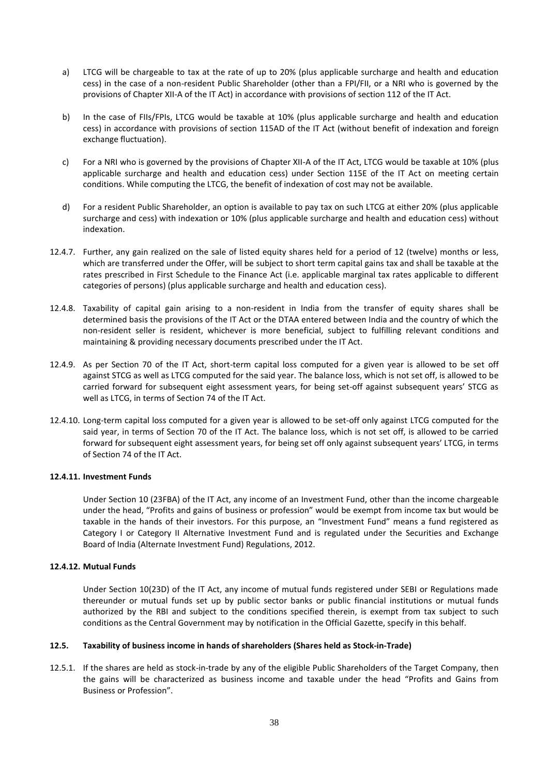- a) LTCG will be chargeable to tax at the rate of up to 20% (plus applicable surcharge and health and education cess) in the case of a non-resident Public Shareholder (other than a FPI/FII, or a NRI who is governed by the provisions of Chapter XII-A of the IT Act) in accordance with provisions of section 112 of the IT Act.
- b) In the case of FIIs/FPIs, LTCG would be taxable at 10% (plus applicable surcharge and health and education cess) in accordance with provisions of section 115AD of the IT Act (without benefit of indexation and foreign exchange fluctuation).
- c) For a NRI who is governed by the provisions of Chapter XII-A of the IT Act, LTCG would be taxable at 10% (plus applicable surcharge and health and education cess) under Section 115E of the IT Act on meeting certain conditions. While computing the LTCG, the benefit of indexation of cost may not be available.
- d) For a resident Public Shareholder, an option is available to pay tax on such LTCG at either 20% (plus applicable surcharge and cess) with indexation or 10% (plus applicable surcharge and health and education cess) without indexation.
- 12.4.7. Further, any gain realized on the sale of listed equity shares held for a period of 12 (twelve) months or less, which are transferred under the Offer, will be subject to short term capital gains tax and shall be taxable at the rates prescribed in First Schedule to the Finance Act (i.e. applicable marginal tax rates applicable to different categories of persons) (plus applicable surcharge and health and education cess).
- 12.4.8. Taxability of capital gain arising to a non-resident in India from the transfer of equity shares shall be determined basis the provisions of the IT Act or the DTAA entered between India and the country of which the non-resident seller is resident, whichever is more beneficial, subject to fulfilling relevant conditions and maintaining & providing necessary documents prescribed under the IT Act.
- 12.4.9. As per Section 70 of the IT Act, short-term capital loss computed for a given year is allowed to be set off against STCG as well as LTCG computed for the said year. The balance loss, which is not set off, is allowed to be carried forward for subsequent eight assessment years, for being set-off against subsequent years' STCG as well as LTCG, in terms of Section 74 of the IT Act.
- 12.4.10. Long-term capital loss computed for a given year is allowed to be set-off only against LTCG computed for the said year, in terms of Section 70 of the IT Act. The balance loss, which is not set off, is allowed to be carried forward for subsequent eight assessment years, for being set off only against subsequent years' LTCG, in terms of Section 74 of the IT Act.

### **12.4.11. Investment Funds**

Under Section 10 (23FBA) of the IT Act, any income of an Investment Fund, other than the income chargeable under the head, "Profits and gains of business or profession" would be exempt from income tax but would be taxable in the hands of their investors. For this purpose, an "Investment Fund" means a fund registered as Category I or Category II Alternative Investment Fund and is regulated under the Securities and Exchange Board of India (Alternate Investment Fund) Regulations, 2012.

### **12.4.12. Mutual Funds**

Under Section 10(23D) of the IT Act, any income of mutual funds registered under SEBI or Regulations made thereunder or mutual funds set up by public sector banks or public financial institutions or mutual funds authorized by the RBI and subject to the conditions specified therein, is exempt from tax subject to such conditions as the Central Government may by notification in the Official Gazette, specify in this behalf.

### **12.5. Taxability of business income in hands of shareholders (Shares held as Stock-in-Trade)**

12.5.1. If the shares are held as stock-in-trade by any of the eligible Public Shareholders of the Target Company, then the gains will be characterized as business income and taxable under the head "Profits and Gains from Business or Profession".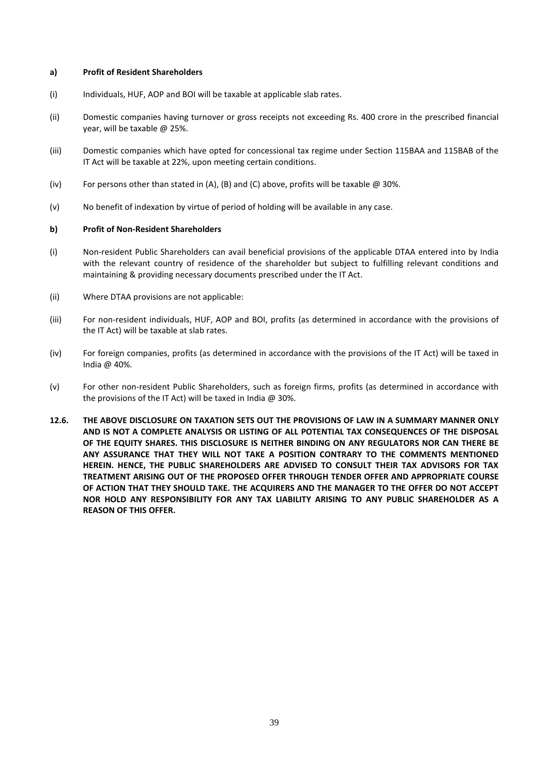#### **a) Profit of Resident Shareholders**

- (i) Individuals, HUF, AOP and BOI will be taxable at applicable slab rates.
- (ii) Domestic companies having turnover or gross receipts not exceeding Rs. 400 crore in the prescribed financial year, will be taxable @ 25%.
- (iii) Domestic companies which have opted for concessional tax regime under Section 115BAA and 115BAB of the IT Act will be taxable at 22%, upon meeting certain conditions.
- (iv) For persons other than stated in (A), (B) and (C) above, profits will be taxable  $@$  30%.
- (v) No benefit of indexation by virtue of period of holding will be available in any case.

#### **b) Profit of Non-Resident Shareholders**

- (i) Non-resident Public Shareholders can avail beneficial provisions of the applicable DTAA entered into by India with the relevant country of residence of the shareholder but subject to fulfilling relevant conditions and maintaining & providing necessary documents prescribed under the IT Act.
- (ii) Where DTAA provisions are not applicable:
- (iii) For non-resident individuals, HUF, AOP and BOI, profits (as determined in accordance with the provisions of the IT Act) will be taxable at slab rates.
- (iv) For foreign companies, profits (as determined in accordance with the provisions of the IT Act) will be taxed in India @ 40%.
- (v) For other non-resident Public Shareholders, such as foreign firms, profits (as determined in accordance with the provisions of the IT Act) will be taxed in India  $\omega$  30%.
- **12.6. THE ABOVE DISCLOSURE ON TAXATION SETS OUT THE PROVISIONS OF LAW IN A SUMMARY MANNER ONLY AND IS NOT A COMPLETE ANALYSIS OR LISTING OF ALL POTENTIAL TAX CONSEQUENCES OF THE DISPOSAL OF THE EQUITY SHARES. THIS DISCLOSURE IS NEITHER BINDING ON ANY REGULATORS NOR CAN THERE BE ANY ASSURANCE THAT THEY WILL NOT TAKE A POSITION CONTRARY TO THE COMMENTS MENTIONED HEREIN. HENCE, THE PUBLIC SHAREHOLDERS ARE ADVISED TO CONSULT THEIR TAX ADVISORS FOR TAX TREATMENT ARISING OUT OF THE PROPOSED OFFER THROUGH TENDER OFFER AND APPROPRIATE COURSE OF ACTION THAT THEY SHOULD TAKE. THE ACQUIRERS AND THE MANAGER TO THE OFFER DO NOT ACCEPT NOR HOLD ANY RESPONSIBILITY FOR ANY TAX LIABILITY ARISING TO ANY PUBLIC SHAREHOLDER AS A REASON OF THIS OFFER.**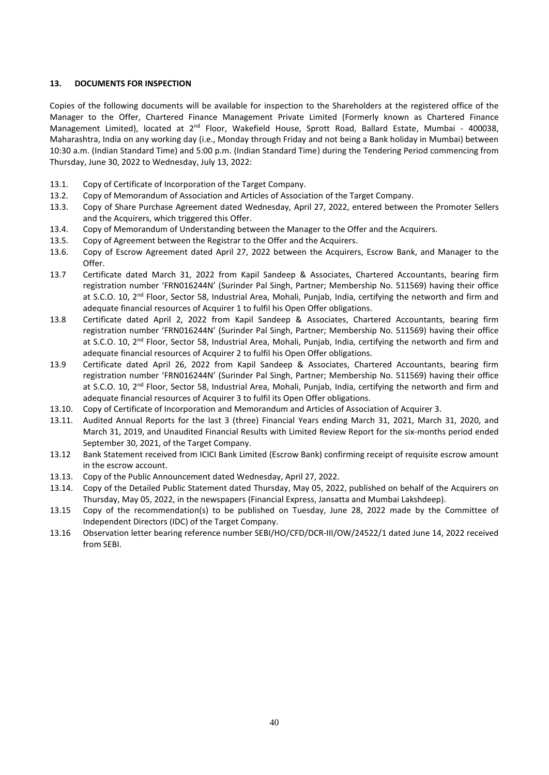# <span id="page-40-0"></span>**13. DOCUMENTS FOR INSPECTION**

Copies of the following documents will be available for inspection to the Shareholders at the registered office of the Manager to the Offer, Chartered Finance Management Private Limited (Formerly known as Chartered Finance Management Limited), located at 2<sup>nd</sup> Floor, Wakefield House, Sprott Road, Ballard Estate, Mumbai - 400038, Maharashtra, India on any working day (i.e., Monday through Friday and not being a Bank holiday in Mumbai) between 10:30 a.m. (Indian Standard Time) and 5:00 p.m. (Indian Standard Time) during the Tendering Period commencing from Thursday, June 30, 2022 to Wednesday, July 13, 2022:

- 13.1. Copy of Certificate of Incorporation of the Target Company.
- 13.2. Copy of Memorandum of Association and Articles of Association of the Target Company.
- 13.3. Copy of Share Purchase Agreement dated Wednesday, April 27, 2022, entered between the Promoter Sellers and the Acquirers, which triggered this Offer.
- 13.4. Copy of Memorandum of Understanding between the Manager to the Offer and the Acquirers.
- 13.5. Copy of Agreement between the Registrar to the Offer and the Acquirers.
- 13.6. Copy of Escrow Agreement dated April 27, 2022 between the Acquirers, Escrow Bank, and Manager to the Offer.
- 13.7 Certificate dated March 31, 2022 from Kapil Sandeep & Associates, Chartered Accountants, bearing firm registration number 'FRN016244N' (Surinder Pal Singh, Partner; Membership No. 511569) having their office at S.C.O. 10, 2<sup>nd</sup> Floor, Sector 58, Industrial Area, Mohali, Punjab, India, certifying the networth and firm and adequate financial resources of Acquirer 1 to fulfil his Open Offer obligations.
- 13.8 Certificate dated April 2, 2022 from Kapil Sandeep & Associates, Chartered Accountants, bearing firm registration number 'FRN016244N' (Surinder Pal Singh, Partner; Membership No. 511569) having their office at S.C.O. 10, 2<sup>nd</sup> Floor, Sector 58, Industrial Area, Mohali, Punjab, India, certifying the networth and firm and adequate financial resources of Acquirer 2 to fulfil his Open Offer obligations.
- 13.9 Certificate dated April 26, 2022 from Kapil Sandeep & Associates, Chartered Accountants, bearing firm registration number 'FRN016244N' (Surinder Pal Singh, Partner; Membership No. 511569) having their office at S.C.O. 10, 2<sup>nd</sup> Floor, Sector 58, Industrial Area, Mohali, Punjab, India, certifying the networth and firm and adequate financial resources of Acquirer 3 to fulfil its Open Offer obligations.
- 13.10. Copy of Certificate of Incorporation and Memorandum and Articles of Association of Acquirer 3.
- 13.11. Audited Annual Reports for the last 3 (three) Financial Years ending March 31, 2021, March 31, 2020, and March 31, 2019, and Unaudited Financial Results with Limited Review Report for the six-months period ended September 30, 2021, of the Target Company.
- 13.12 Bank Statement received from ICICI Bank Limited (Escrow Bank) confirming receipt of requisite escrow amount in the escrow account.
- 13.13. Copy of the Public Announcement dated Wednesday, April 27, 2022.
- 13.14. Copy of the Detailed Public Statement dated Thursday, May 05, 2022, published on behalf of the Acquirers on Thursday, May 05, 2022, in the newspapers (Financial Express, Jansatta and Mumbai Lakshdeep).
- 13.15 Copy of the recommendation(s) to be published on Tuesday, June 28, 2022 made by the Committee of Independent Directors (IDC) of the Target Company.
- 13.16 Observation letter bearing reference number SEBI/HO/CFD/DCR-III/OW/24522/1 dated June 14, 2022 received from SEBI.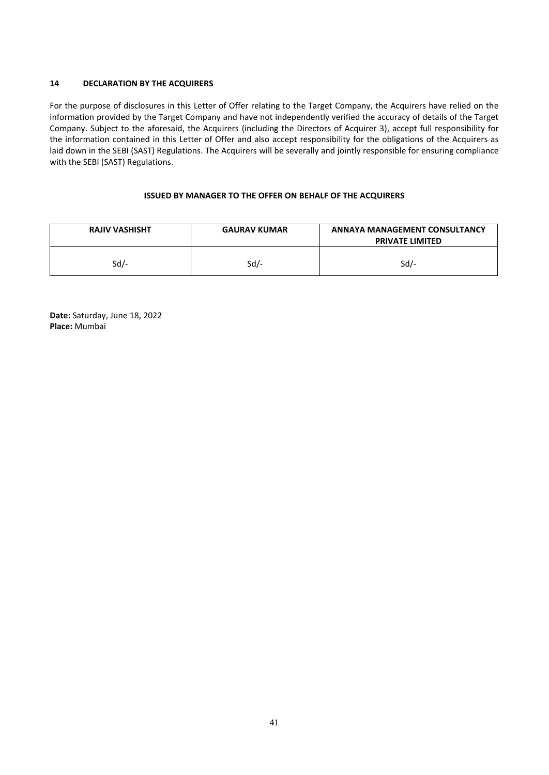# <span id="page-41-0"></span>**14 DECLARATION BY THE ACQUIRERS**

For the purpose of disclosures in this Letter of Offer relating to the Target Company, the Acquirers have relied on the information provided by the Target Company and have not independently verified the accuracy of details of the Target Company. Subject to the aforesaid, the Acquirers (including the Directors of Acquirer 3), accept full responsibility for the information contained in this Letter of Offer and also accept responsibility for the obligations of the Acquirers as laid down in the SEBI (SAST) Regulations. The Acquirers will be severally and jointly responsible for ensuring compliance with the SEBI (SAST) Regulations.

# **ISSUED BY MANAGER TO THE OFFER ON BEHALF OF THE ACQUIRERS**

| <b>RAJIV VASHISHT</b> | <b>GAURAV KUMAR</b> | <b>ANNAYA MANAGEMENT CONSULTANCY</b><br><b>PRIVATE LIMITED</b> |
|-----------------------|---------------------|----------------------------------------------------------------|
| Sd/-                  | Sd/-                | Sd/-                                                           |

**Date:** Saturday, June 18, 2022 **Place:** Mumbai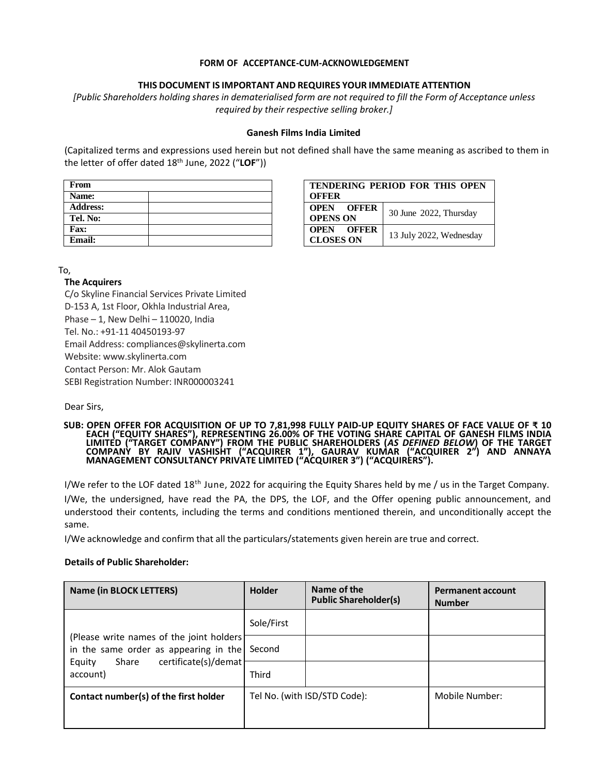#### **FORM OF ACCEPTANCE-CUM-ACKNOWLEDGEMENT**

#### **THIS DOCUMENT IS IMPORTANT AND REQUIRES YOUR IMMEDIATE ATTENTION**

[Public Shareholders holding shares in dematerialised form are not required to fill the Form of Acceptance unless *required by their respective selling broker.]*

#### **Ganesh Films India Limited**

(Capitalized terms and expressions used herein but not defined shall have the same meaning as ascribed to them in the letter of offer dated 18th June, 2022 ("**LOF**"))

| From            |  |
|-----------------|--|
| <b>Name:</b>    |  |
| <b>Address:</b> |  |
| Tel. No:        |  |
| Fax:            |  |
| <b>Email:</b>   |  |

| TENDERING PERIOD FOR THIS OPEN<br><b>OFFER</b> |                         |  |  |
|------------------------------------------------|-------------------------|--|--|
| <b>OPEN OFFER</b><br><b>OPENS ON</b>           | 30 June 2022, Thursday  |  |  |
| <b>OPEN OFFER</b><br><b>CLOSES ON</b>          | 13 July 2022, Wednesday |  |  |

To,

#### **The Acquirers**

C/o Skyline Financial Services Private Limited D-153 A, 1st Floor, Okhla Industrial Area, Phase – 1, New Delhi – 110020, India Tel. No.: +91-11 40450193-97 Email Address: compliances@skylinerta.com Website: www.skylinerta.com Contact Person: Mr. Alok Gautam SEBI Registration Number: INR000003241

Dear Sirs,

**SUB: OPEN OFFER FOR ACQUISITION OF UP TO 7,81,998 FULLY PAID-UP EQUITY SHARES OF FACE VALUE OF ₹ 10 EACH ("EQUITY SHARES"), REPRESENTING 26.00% OF THE VOTING SHARE CAPITAL OF GANESH FILMS INDIA LIMITED ("TARGET COMPANY") FROM THE PUBLIC SHAREHOLDERS (***AS DEFINED BELOW***) OF THE TARGET COMPANY BY RAJIV VASHISHT ("ACQUIRER 1"), GAURAV KUMAR ("ACQUIRER 2") AND ANNAYA MANAGEMENT CONSULTANCY PRIVATE LIMITED ("ACQUIRER 3") ("ACQUIRERS").**

I/We refer to the LOF dated 18<sup>th</sup> June, 2022 for acquiring the Equity Shares held by me / us in the Target Company.

I/We, the undersigned, have read the PA, the DPS, the LOF, and the Offer opening public announcement, and understood their contents, including the terms and conditions mentioned therein, and unconditionally accept the same.

I/We acknowledge and confirm that all the particulars/statements given herein are true and correct.

#### **Details of Public Shareholder:**

| <b>Name (in BLOCK LETTERS)</b>                                                                                                            | <b>Holder</b>                | Name of the<br><b>Public Shareholder(s)</b> | <b>Permanent account</b><br><b>Number</b> |
|-------------------------------------------------------------------------------------------------------------------------------------------|------------------------------|---------------------------------------------|-------------------------------------------|
| (Please write names of the joint holders)<br>in the same order as appearing in the<br>certificate(s)/demat<br>Share<br>Equity<br>account) | Sole/First                   |                                             |                                           |
|                                                                                                                                           | Second                       |                                             |                                           |
|                                                                                                                                           | <b>Third</b>                 |                                             |                                           |
| Contact number(s) of the first holder                                                                                                     | Tel No. (with ISD/STD Code): |                                             | Mobile Number:                            |
|                                                                                                                                           |                              |                                             |                                           |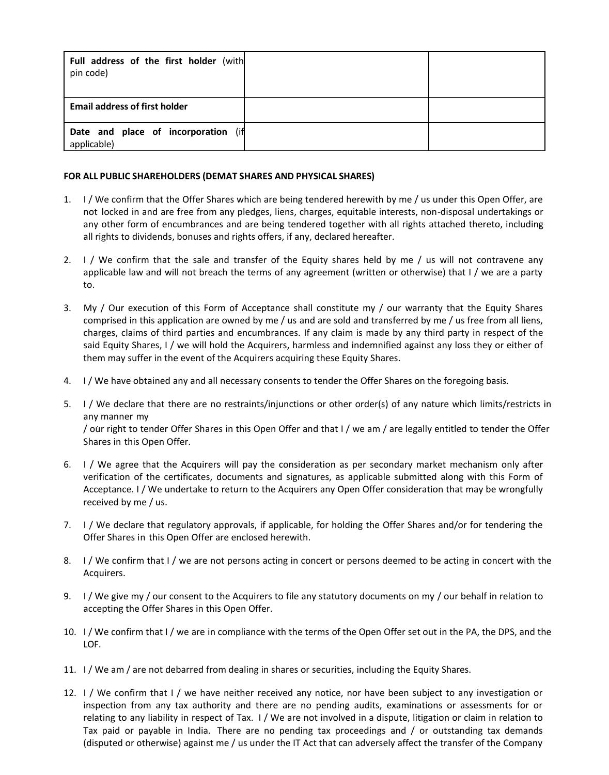| Full address of the first holder (with<br>pin code) |  |
|-----------------------------------------------------|--|
| <b>Email address of first holder</b>                |  |
| Date and place of incorporation (if<br>applicable)  |  |

#### **FOR ALL PUBLIC SHAREHOLDERS (DEMAT SHARES AND PHYSICAL SHARES)**

- 1. I / We confirm that the Offer Shares which are being tendered herewith by me / us under this Open Offer, are not locked in and are free from any pledges, liens, charges, equitable interests, non-disposal undertakings or any other form of encumbrances and are being tendered together with all rights attached thereto, including all rights to dividends, bonuses and rights offers, if any, declared hereafter.
- 2. I / We confirm that the sale and transfer of the Equity shares held by me / us will not contravene any applicable law and will not breach the terms of any agreement (written or otherwise) that I / we are a party to.
- 3. My / Our execution of this Form of Acceptance shall constitute my / our warranty that the Equity Shares comprised in this application are owned by me / us and are sold and transferred by me / us free from all liens, charges, claims of third parties and encumbrances. If any claim is made by any third party in respect of the said Equity Shares, I / we will hold the Acquirers, harmless and indemnified against any loss they or either of them may suffer in the event of the Acquirers acquiring these Equity Shares.
- 4. I / We have obtained any and all necessary consents to tender the Offer Shares on the foregoing basis.
- 5. I / We declare that there are no restraints/injunctions or other order(s) of any nature which limits/restricts in any manner my / our right to tender Offer Shares in this Open Offer and that I / we am / are legally entitled to tender the Offer Shares in this Open Offer.
- 6. I / We agree that the Acquirers will pay the consideration as per secondary market mechanism only after verification of the certificates, documents and signatures, as applicable submitted along with this Form of Acceptance. I / We undertake to return to the Acquirers any Open Offer consideration that may be wrongfully received by me / us.
- 7. I / We declare that regulatory approvals, if applicable, for holding the Offer Shares and/or for tendering the Offer Shares in this Open Offer are enclosed herewith.
- 8. I / We confirm that I / we are not persons acting in concert or persons deemed to be acting in concert with the Acquirers.
- 9. I / We give my / our consent to the Acquirers to file any statutory documents on my / our behalf in relation to accepting the Offer Shares in this Open Offer.
- 10. I / We confirm that I / we are in compliance with the terms of the Open Offer set out in the PA, the DPS, and the LOF.
- 11. I / We am / are not debarred from dealing in shares or securities, including the Equity Shares.
- 12. I / We confirm that I / we have neither received any notice, nor have been subject to any investigation or inspection from any tax authority and there are no pending audits, examinations or assessments for or relating to any liability in respect of Tax. I / We are not involved in a dispute, litigation or claim in relation to Tax paid or payable in India. There are no pending tax proceedings and / or outstanding tax demands (disputed or otherwise) against me / us under the IT Act that can adversely affect the transfer of the Company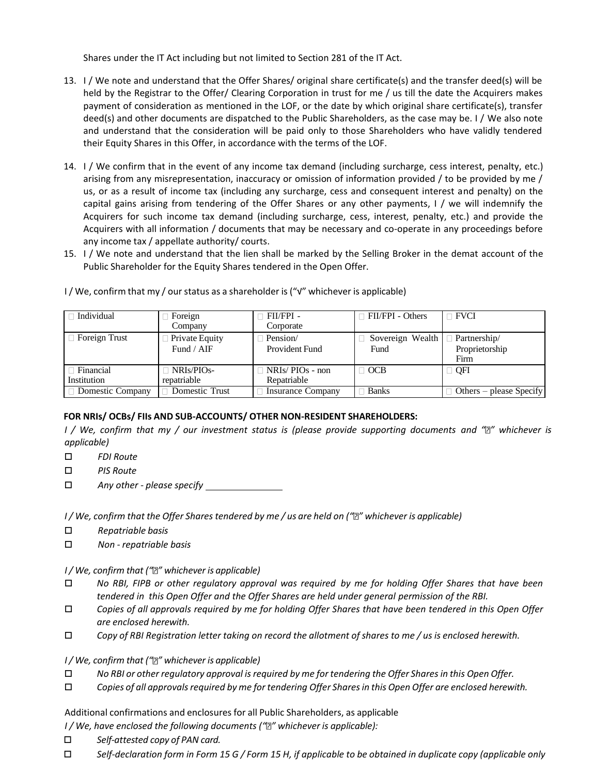Shares under the IT Act including but not limited to Section 281 of the IT Act.

- 13. I / We note and understand that the Offer Shares/ original share certificate(s) and the transfer deed(s) will be held by the Registrar to the Offer/ Clearing Corporation in trust for me / us till the date the Acquirers makes payment of consideration as mentioned in the LOF, or the date by which original share certificate(s), transfer deed(s) and other documents are dispatched to the Public Shareholders, as the case may be. I / We also note and understand that the consideration will be paid only to those Shareholders who have validly tendered their Equity Shares in this Offer, in accordance with the terms of the LOF.
- 14. I / We confirm that in the event of any income tax demand (including surcharge, cess interest, penalty, etc.) arising from any misrepresentation, inaccuracy or omission of information provided / to be provided by me / us, or as a result of income tax (including any surcharge, cess and consequent interest and penalty) on the capital gains arising from tendering of the Offer Shares or any other payments, I / we will indemnify the Acquirers for such income tax demand (including surcharge, cess, interest, penalty, etc.) and provide the Acquirers with all information / documents that may be necessary and co-operate in any proceedings before any income tax / appellate authority/ courts.
- 15. I / We note and understand that the lien shall be marked by the Selling Broker in the demat account of the Public Shareholder for the Equity Shares tendered in the Open Offer.

| $\Box$ Individual               | Foreign<br>Company               | ⊺ FII/FPI -<br>Corporate              | $\Box$ FII/FPI - Others  | $\Box$ FVCI                            |
|---------------------------------|----------------------------------|---------------------------------------|--------------------------|----------------------------------------|
| $\Box$ Foreign Trust            | Private Equity<br>Fund / $AIF$   | Pension/<br>Provident Fund            | Sovereign Wealth<br>Fund | Partnership/<br>Proprietorship<br>Firm |
| $\Box$ Financial<br>Institution | $\Box$ NRIs/PIOs-<br>repatriable | $\Box$ NRIs/PIOs - non<br>Repatriable | $\Box$ OCB               | $\Box$ QFI                             |
| □ Domestic Company              | Domestic Trust                   | <b>Insurance Company</b>              | <b>Banks</b>             | Others – please Specify                |

I / We, confirm that my / ourstatus as a shareholder is ("√" whichever is applicable)

# **FOR NRIs/ OCBs/ FIIs AND SUB-ACCOUNTS/ OTHER NON-RESIDENT SHAREHOLDERS:**

*I / We, confirm that my / our investment status is (please provide supporting documents and " " whichever is applicable)*

- *FDI Route*
- *PIS Route*
- *Any other - please specify*

I / We, confirm that the Offer Shares tendered by me / us are held on ("a" whichever is applicable)

- *Repatriable basis*
- *Non - repatriable basis*

# *I/ We, confirm that (" " whichever is applicable)*

- *No RBI, FIPB or other regulatory approval was required by me for holding Offer Shares that have been tendered in this Open Offer and the Offer Shares are held under general permission of the RBI.*
- $\Box$  Copies of all approvals required by me for holding Offer Shares that have been tendered in this Open Offer *are enclosed herewith.*
- $\Box$  Copy of RBI Registration letter taking on record the allotment of shares to me / us is enclosed herewith.

*I/ We, confirm that (" " whichever is applicable)*

- *No RBI or other regulatory approval isrequired by me for tendering the Offer Sharesin this Open Offer.*
- *Copies of all approvalsrequired by me for tendering Offer Sharesin this Open Offer are enclosed herewith.*

Additional confirmations and enclosures for all Public Shareholders, as applicable

- *I / We, have enclosed the following documents (" " whichever is applicable):*
- *Self-attested copy of PAN card.*
- $\Box$  Self-declaration form in Form 15 G / Form 15 H, if applicable to be obtained in duplicate copy (applicable only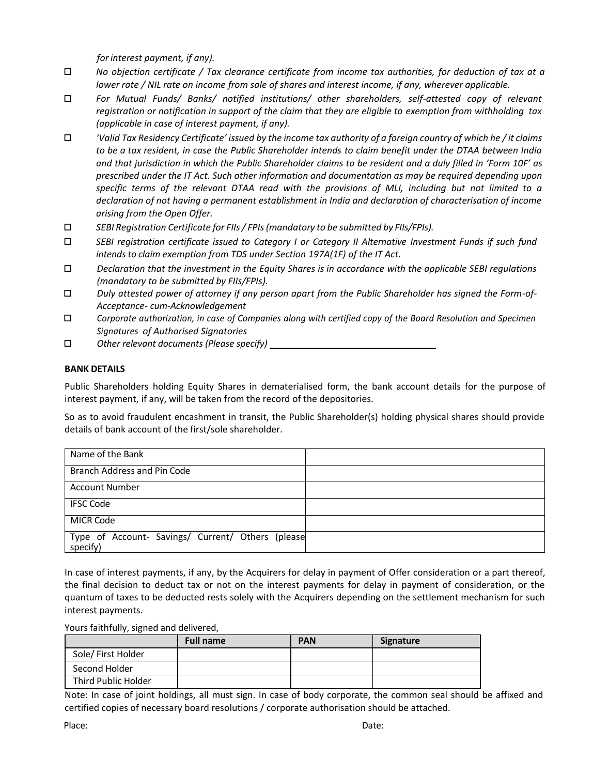*forinterest payment, if any).*

- *No objection certificate / Tax clearance certificate from income tax authorities, for deduction of tax at a lower rate / NIL rate on income from sale of shares and interest income, if any, wherever applicable.*
- *For Mutual Funds/ Banks/ notified institutions/ other shareholders, self-attested copy of relevant registration or notification in support of the claim that they are eligible to exemption from withholding tax (applicable in case of interest payment, if any).*
- $\Box$  Valid Tax Residency Certificate' issued by the income tax authority of a foreign country of which he / it claims *to be a tax resident, in case the Public Shareholder intends to claim benefit under the DTAA between India and that jurisdiction in which the Public Shareholder claims to be resident and a duly filled in 'Form 10F' as prescribed under the IT Act. Such other information and documentation as may be required depending upon specific terms of the relevant DTAA read with the provisions of MLI, including but not limited to a declaration of not having a permanent establishment in India and declaration of characterisation of income arising from the Open Offer.*
- *SEBI Registration Certificate for FIIs/ FPIs(mandatory to be submitted by FIIs/FPIs).*
- *SEBI registration certificate issued to Category I or Category II Alternative Investment Funds if such fund intends to claim exemption from TDS under Section 197A(1F) of the IT Act.*
- *Declaration that the investment in the Equity Shares is in accordance with the applicable SEBI regulations (mandatory to be submitted by FIIs/FPIs).*
- *Duly attested power of attorney if any person apart from the Public Shareholder has signed the Form-of-Acceptance- cum-Acknowledgement*
- *Corporate authorization, in case of Companies along with certified copy of the Board Resolution and Specimen Signatures of Authorised Signatories*
- *Other relevant documents (Please specify)*

### **BANK DETAILS**

Public Shareholders holding Equity Shares in dematerialised form, the bank account details for the purpose of interest payment, if any, will be taken from the record of the depositories.

So as to avoid fraudulent encashment in transit, the Public Shareholder(s) holding physical shares should provide details of bank account of the first/sole shareholder.

| Name of the Bank                                              |  |
|---------------------------------------------------------------|--|
| Branch Address and Pin Code                                   |  |
| <b>Account Number</b>                                         |  |
| <b>IFSC Code</b>                                              |  |
| <b>MICR Code</b>                                              |  |
| Type of Account- Savings/ Current/ Others (please<br>specify) |  |

In case of interest payments, if any, by the Acquirers for delay in payment of Offer consideration or a part thereof, the final decision to deduct tax or not on the interest payments for delay in payment of consideration, or the quantum of taxes to be deducted rests solely with the Acquirers depending on the settlement mechanism for such interest payments.

#### Yours faithfully, signed and delivered,

|                     | <b>Full name</b> | <b>PAN</b> | Signature |
|---------------------|------------------|------------|-----------|
| Sole/ First Holder  |                  |            |           |
| Second Holder       |                  |            |           |
| Third Public Holder |                  |            |           |

Note: In case of joint holdings, all must sign. In case of body corporate, the common seal should be affixed and certified copies of necessary board resolutions / corporate authorisation should be attached.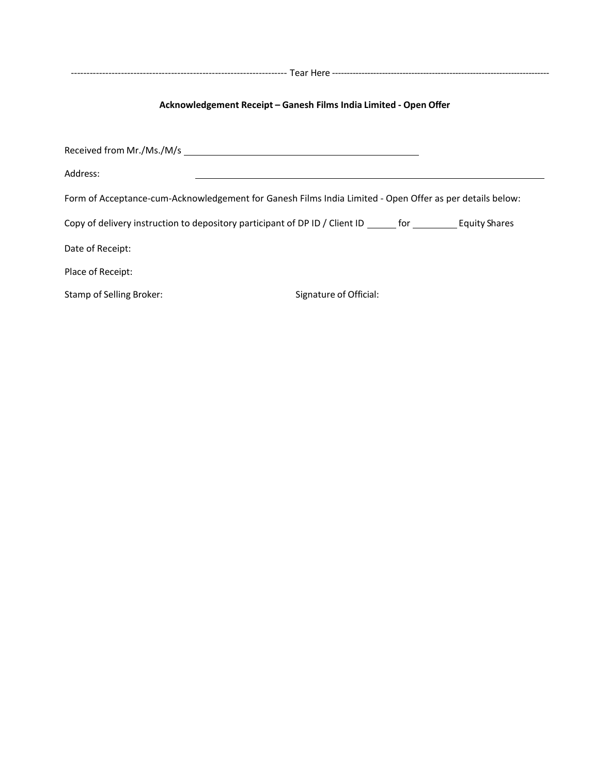--------------------------------------------------------------------- Tear Here --------------------------------------------------------------------------

# **Acknowledgement Receipt – Ganesh Films India Limited - Open Offer**

Received from Mr./Ms./M/s Address: Form of Acceptance-cum-Acknowledgement for Ganesh Films India Limited - Open Offer as per details below: Copy of delivery instruction to depository participant of DP ID / Client ID \_\_\_\_\_\_ for \_\_\_\_\_\_\_\_\_\_ Equity Shares Date of Receipt: Place of Receipt: Stamp of Selling Broker: Stamp of Selling Broker: Signature of Official: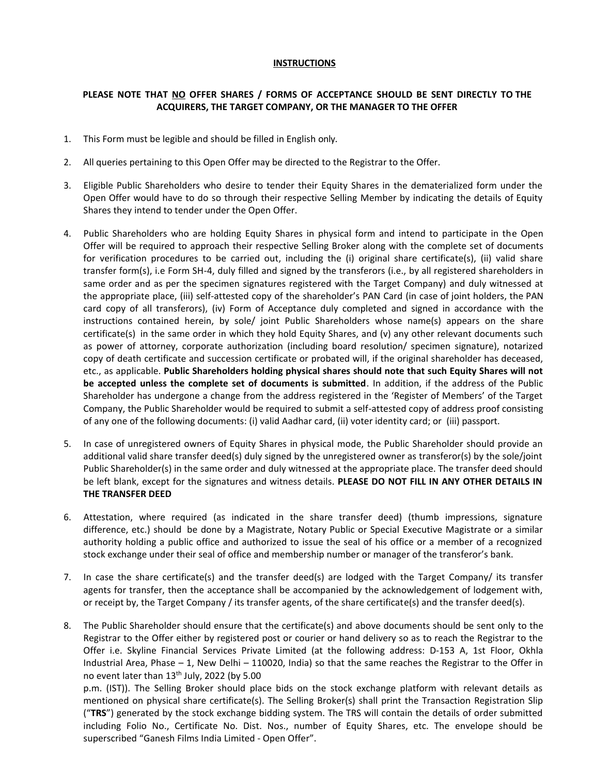#### **INSTRUCTIONS**

#### **PLEASE NOTE THAT NO OFFER SHARES / FORMS OF ACCEPTANCE SHOULD BE SENT DIRECTLY TO THE ACQUIRERS, THE TARGET COMPANY, OR THE MANAGER TO THE OFFER**

- 1. This Form must be legible and should be filled in English only.
- 2. All queries pertaining to this Open Offer may be directed to the Registrar to the Offer.
- 3. Eligible Public Shareholders who desire to tender their Equity Shares in the dematerialized form under the Open Offer would have to do so through their respective Selling Member by indicating the details of Equity Shares they intend to tender under the Open Offer.
- 4. Public Shareholders who are holding Equity Shares in physical form and intend to participate in the Open Offer will be required to approach their respective Selling Broker along with the complete set of documents for verification procedures to be carried out, including the (i) original share certificate(s), (ii) valid share transfer form(s), i.e Form SH-4, duly filled and signed by the transferors (i.e., by all registered shareholders in same order and as per the specimen signatures registered with the Target Company) and duly witnessed at the appropriate place, (iii) self-attested copy of the shareholder's PAN Card (in case of joint holders, the PAN card copy of all transferors), (iv) Form of Acceptance duly completed and signed in accordance with the instructions contained herein, by sole/ joint Public Shareholders whose name(s) appears on the share certificate(s) in the same order in which they hold Equity Shares, and (v) any other relevant documents such as power of attorney, corporate authorization (including board resolution/ specimen signature), notarized copy of death certificate and succession certificate or probated will, if the original shareholder has deceased, etc., as applicable. **Public Shareholders holding physical shares should note that such Equity Shares will not be accepted unless the complete set of documents is submitted**. In addition, if the address of the Public Shareholder has undergone a change from the address registered in the 'Register of Members' of the Target Company, the Public Shareholder would be required to submit a self-attested copy of address proof consisting of any one of the following documents: (i) valid Aadhar card, (ii) voter identity card; or (iii) passport.
- 5. In case of unregistered owners of Equity Shares in physical mode, the Public Shareholder should provide an additional valid share transfer deed(s) duly signed by the unregistered owner as transferor(s) by the sole/joint Public Shareholder(s) in the same order and duly witnessed at the appropriate place. The transfer deed should be left blank, except for the signatures and witness details. **PLEASE DO NOT FILL IN ANY OTHER DETAILS IN THE TRANSFER DEED**
- 6. Attestation, where required (as indicated in the share transfer deed) (thumb impressions, signature difference, etc.) should be done by a Magistrate, Notary Public or Special Executive Magistrate or a similar authority holding a public office and authorized to issue the seal of his office or a member of a recognized stock exchange under their seal of office and membership number or manager of the transferor's bank.
- 7. In case the share certificate(s) and the transfer deed(s) are lodged with the Target Company/ its transfer agents for transfer, then the acceptance shall be accompanied by the acknowledgement of lodgement with, or receipt by, the Target Company / its transfer agents, of the share certificate(s) and the transfer deed(s).
- 8. The Public Shareholder should ensure that the certificate(s) and above documents should be sent only to the Registrar to the Offer either by registered post or courier or hand delivery so as to reach the Registrar to the Offer i.e. Skyline Financial Services Private Limited (at the following address: D-153 A, 1st Floor, Okhla Industrial Area, Phase – 1, New Delhi – 110020, India) so that the same reaches the Registrar to the Offer in no event later than 13<sup>th</sup> July, 2022 (by 5.00

p.m. (IST)). The Selling Broker should place bids on the stock exchange platform with relevant details as mentioned on physical share certificate(s). The Selling Broker(s) shall print the Transaction Registration Slip ("**TRS**") generated by the stock exchange bidding system. The TRS will contain the details of order submitted including Folio No., Certificate No. Dist. Nos., number of Equity Shares, etc. The envelope should be superscribed "Ganesh Films India Limited - Open Offer".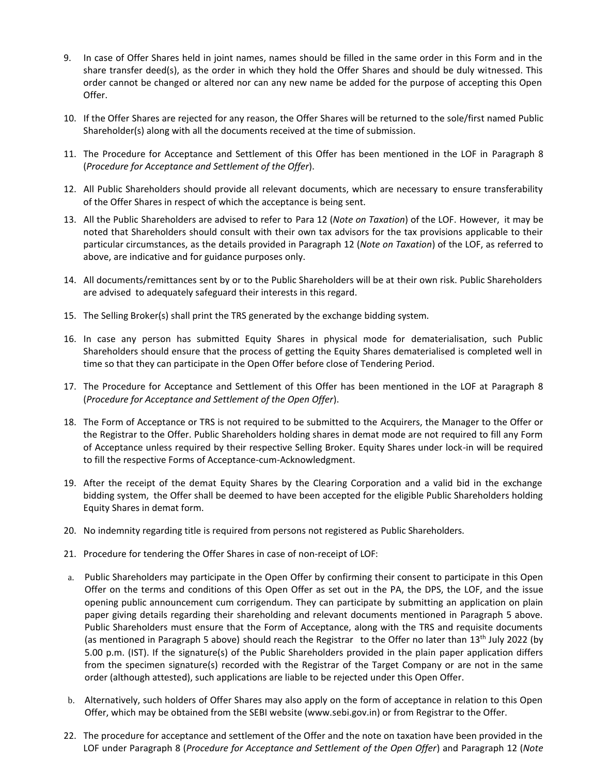- 9. In case of Offer Shares held in joint names, names should be filled in the same order in this Form and in the share transfer deed(s), as the order in which they hold the Offer Shares and should be duly witnessed. This order cannot be changed or altered nor can any new name be added for the purpose of accepting this Open Offer.
- 10. If the Offer Shares are rejected for any reason, the Offer Shares will be returned to the sole/first named Public Shareholder(s) along with all the documents received at the time of submission.
- 11. The Procedure for Acceptance and Settlement of this Offer has been mentioned in the LOF in Paragraph 8 (*Procedure for Acceptance and Settlement of the Offer*).
- 12. All Public Shareholders should provide all relevant documents, which are necessary to ensure transferability of the Offer Shares in respect of which the acceptance is being sent.
- 13. All the Public Shareholders are advised to refer to Para 12 (*Note on Taxation*) of the LOF. However, it may be noted that Shareholders should consult with their own tax advisors for the tax provisions applicable to their particular circumstances, as the details provided in Paragraph 12 (*Note on Taxation*) of the LOF, as referred to above, are indicative and for guidance purposes only.
- 14. All documents/remittances sent by or to the Public Shareholders will be at their own risk. Public Shareholders are advised to adequately safeguard their interests in this regard.
- 15. The Selling Broker(s) shall print the TRS generated by the exchange bidding system.
- 16. In case any person has submitted Equity Shares in physical mode for dematerialisation, such Public Shareholders should ensure that the process of getting the Equity Shares dematerialised is completed well in time so that they can participate in the Open Offer before close of Tendering Period.
- 17. The Procedure for Acceptance and Settlement of this Offer has been mentioned in the LOF at Paragraph 8 (*Procedure for Acceptance and Settlement of the Open Offer*).
- 18. The Form of Acceptance or TRS is not required to be submitted to the Acquirers, the Manager to the Offer or the Registrar to the Offer. Public Shareholders holding shares in demat mode are not required to fill any Form of Acceptance unless required by their respective Selling Broker. Equity Shares under lock-in will be required to fill the respective Forms of Acceptance-cum-Acknowledgment.
- 19. After the receipt of the demat Equity Shares by the Clearing Corporation and a valid bid in the exchange bidding system, the Offer shall be deemed to have been accepted for the eligible Public Shareholders holding Equity Shares in demat form.
- 20. No indemnity regarding title is required from persons not registered as Public Shareholders.
- 21. Procedure for tendering the Offer Shares in case of non-receipt of LOF:
- a. Public Shareholders may participate in the Open Offer by confirming their consent to participate in this Open Offer on the terms and conditions of this Open Offer as set out in the PA, the DPS, the LOF, and the issue opening public announcement cum corrigendum. They can participate by submitting an application on plain paper giving details regarding their shareholding and relevant documents mentioned in Paragraph 5 above. Public Shareholders must ensure that the Form of Acceptance, along with the TRS and requisite documents (as mentioned in Paragraph 5 above) should reach the Registrar to the Offer no later than 13<sup>th</sup> July 2022 (by 5.00 p.m. (IST). If the signature(s) of the Public Shareholders provided in the plain paper application differs from the specimen signature(s) recorded with the Registrar of the Target Company or are not in the same order (although attested), such applications are liable to be rejected under this Open Offer.
- b. Alternatively, such holders of Offer Shares may also apply on the form of acceptance in relation to this Open Offer, which may be obtained from the SEBI website (www.sebi.gov.in) or from Registrar to the Offer.
- 22. The procedure for acceptance and settlement of the Offer and the note on taxation have been provided in the LOF under Paragraph 8 (*Procedure for Acceptance and Settlement of the Open Offer*) and Paragraph 12 (*Note*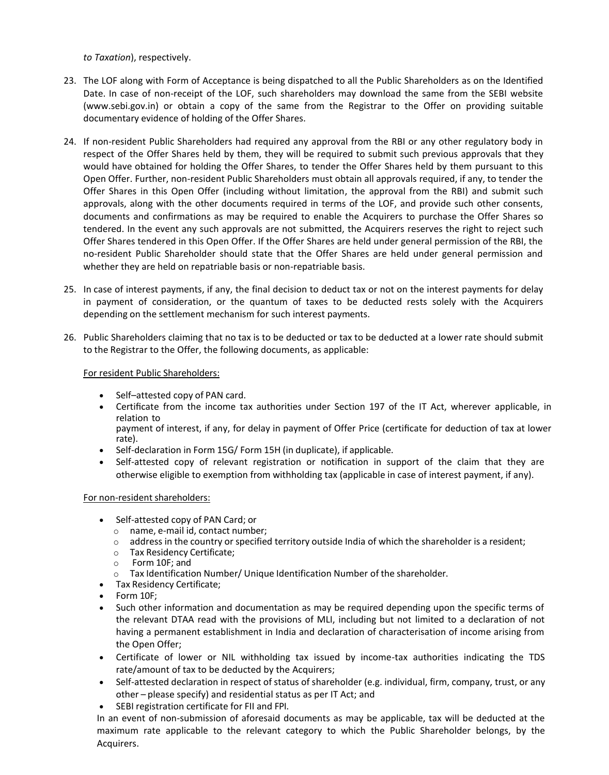*to Taxation*), respectively.

- 23. The LOF along with Form of Acceptance is being dispatched to all the Public Shareholders as on the Identified Date. In case of non-receipt of the LOF, such shareholders may download the same from the SEBI website (www.sebi.gov.in) or obtain a copy of the same from the Registrar to the Offer on providing suitable documentary evidence of holding of the Offer Shares.
- 24. If non-resident Public Shareholders had required any approval from the RBI or any other regulatory body in respect of the Offer Shares held by them, they will be required to submit such previous approvals that they would have obtained for holding the Offer Shares, to tender the Offer Shares held by them pursuant to this Open Offer. Further, non-resident Public Shareholders must obtain all approvals required, if any, to tender the Offer Shares in this Open Offer (including without limitation, the approval from the RBI) and submit such approvals, along with the other documents required in terms of the LOF, and provide such other consents, documents and confirmations as may be required to enable the Acquirers to purchase the Offer Shares so tendered. In the event any such approvals are not submitted, the Acquirers reserves the right to reject such Offer Shares tendered in this Open Offer. If the Offer Shares are held under general permission of the RBI, the no-resident Public Shareholder should state that the Offer Shares are held under general permission and whether they are held on repatriable basis or non-repatriable basis.
- 25. In case of interest payments, if any, the final decision to deduct tax or not on the interest payments for delay in payment of consideration, or the quantum of taxes to be deducted rests solely with the Acquirers depending on the settlement mechanism for such interest payments.
- 26. Public Shareholders claiming that no tax is to be deducted or tax to be deducted at a lower rate should submit to the Registrar to the Offer, the following documents, as applicable:

#### For resident Public Shareholders:

- Self–attested copy of PAN card.
- Certificate from the income tax authorities under Section 197 of the IT Act, wherever applicable, in relation to

payment of interest, if any, for delay in payment of Offer Price (certificate for deduction of tax at lower rate).

- Self-declaration in Form 15G/ Form 15H (in duplicate), if applicable.
- Self-attested copy of relevant registration or notification in support of the claim that they are otherwise eligible to exemption from withholding tax (applicable in case of interest payment, if any).

#### For non-resident shareholders:

- Self-attested copy of PAN Card; or
	- o name, e-mail id, contact number;
	- $\circ$  address in the country or specified territory outside India of which the shareholder is a resident;<br> $\circ$  Tax Residency Certificate;
	- Tax Residency Certificate;
	- o Form 10F; and
	- $\circ$  Tax Identification Number/ Unique Identification Number of the shareholder.
- Tax Residency Certificate;
- Form 10F;
- Such other information and documentation as may be required depending upon the specific terms of the relevant DTAA read with the provisions of MLI, including but not limited to a declaration of not having a permanent establishment in India and declaration of characterisation of income arising from the Open Offer;
- Certificate of lower or NIL withholding tax issued by income-tax authorities indicating the TDS rate/amount of tax to be deducted by the Acquirers;
- Self-attested declaration in respect of status of shareholder (e.g. individual, firm, company, trust, or any other – please specify) and residential status as per IT Act; and
- SEBI registration certificate for FII and FPI.

In an event of non-submission of aforesaid documents as may be applicable, tax will be deducted at the maximum rate applicable to the relevant category to which the Public Shareholder belongs, by the Acquirers.